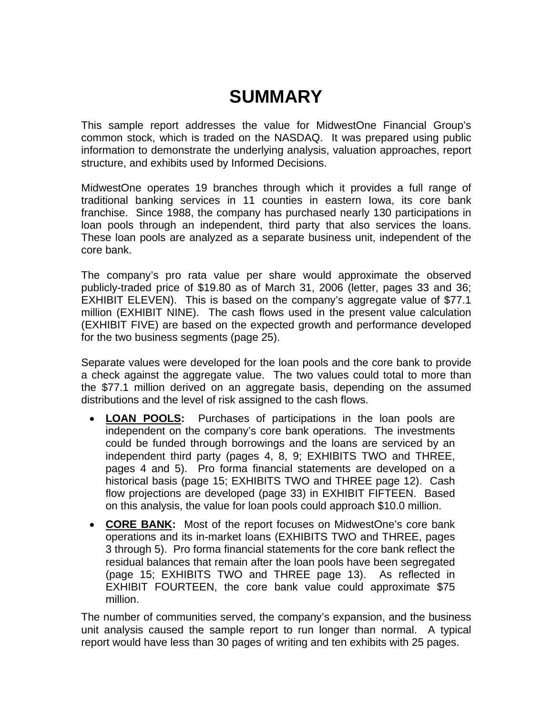# **SUMMARY**

This sample report addresses the value for MidwestOne Financial Group's common stock, which is traded on the NASDAQ. It was prepared using public information to demonstrate the underlying analysis, valuation approaches, report structure, and exhibits used by Informed Decisions.

MidwestOne operates 19 branches through which it provides a full range of traditional banking services in 11 counties in eastern Iowa, its core bank franchise. Since 1988, the company has purchased nearly 130 participations in loan pools through an independent, third party that also services the loans. These loan pools are analyzed as a separate business unit, independent of the core bank.

The company's pro rata value per share would approximate the observed publicly-traded price of \$19.80 as of March 31, 2006 (letter, pages 33 and 36; EXHIBIT ELEVEN). This is based on the company's aggregate value of \$77.1 million (EXHIBIT NINE). The cash flows used in the present value calculation (EXHIBIT FIVE) are based on the expected growth and performance developed for the two business segments (page 25).

Separate values were developed for the loan pools and the core bank to provide a check against the aggregate value. The two values could total to more than the \$77.1 million derived on an aggregate basis, depending on the assumed distributions and the level of risk assigned to the cash flows.

- **LOAN POOLS:** Purchases of participations in the loan pools are independent on the company's core bank operations. The investments could be funded through borrowings and the loans are serviced by an independent third party (pages 4, 8, 9; EXHIBITS TWO and THREE, pages 4 and 5). Pro forma financial statements are developed on a historical basis (page 15; EXHIBITS TWO and THREE page 12). Cash flow projections are developed (page 33) in EXHIBIT FIFTEEN. Based on this analysis, the value for loan pools could approach \$10.0 million.
- **CORE BANK:** Most of the report focuses on MidwestOne's core bank operations and its in-market loans (EXHIBITS TWO and THREE, pages 3 through 5). Pro forma financial statements for the core bank reflect the residual balances that remain after the loan pools have been segregated (page 15; EXHIBITS TWO and THREE page 13). As reflected in EXHIBIT FOURTEEN, the core bank value could approximate \$75 million.

The number of communities served, the company's expansion, and the business unit analysis caused the sample report to run longer than normal. A typical report would have less than 30 pages of writing and ten exhibits with 25 pages.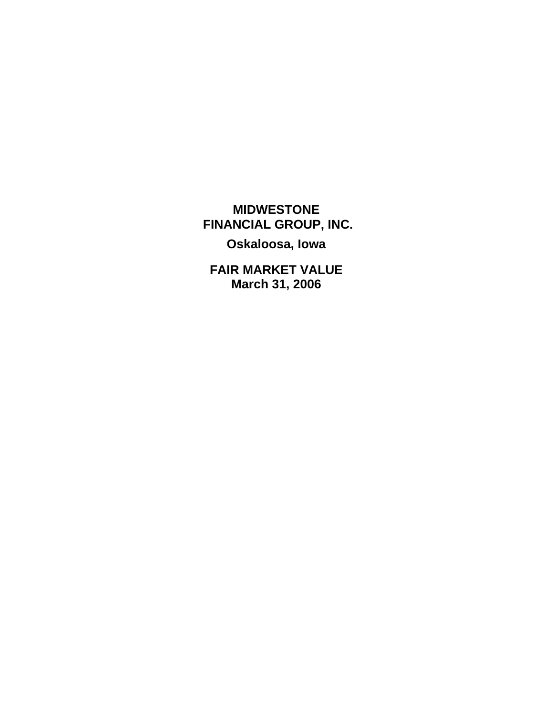**MIDWESTONE FINANCIAL GROUP, INC.** 

**Oskaloosa, Iowa** 

**FAIR MARKET VALUE March 31, 2006**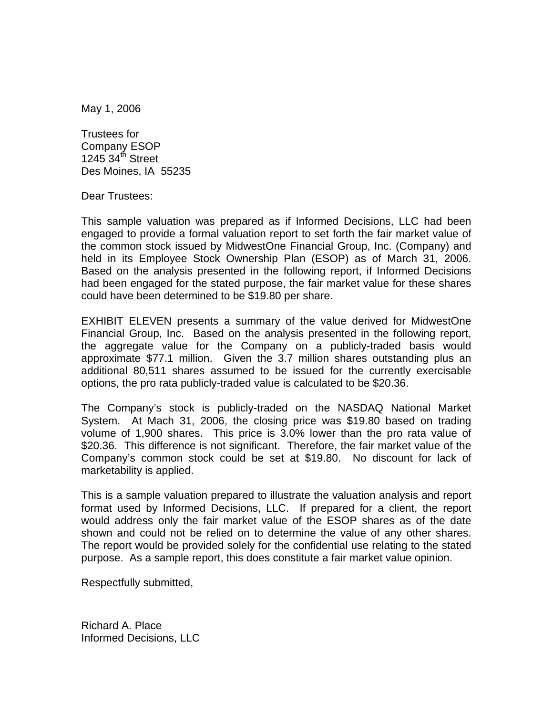May 1, 2006

Trustees for Company ESOP  $1245.34<sup>th</sup>$  Street Des Moines, IA 55235

Dear Trustees:

This sample valuation was prepared as if Informed Decisions, LLC had been engaged to provide a formal valuation report to set forth the fair market value of the common stock issued by MidwestOne Financial Group, Inc. (Company) and held in its Employee Stock Ownership Plan (ESOP) as of March 31, 2006. Based on the analysis presented in the following report, if Informed Decisions had been engaged for the stated purpose, the fair market value for these shares could have been determined to be \$19.80 per share.

EXHIBIT ELEVEN presents a summary of the value derived for MidwestOne Financial Group, Inc. Based on the analysis presented in the following report, the aggregate value for the Company on a publicly-traded basis would approximate \$77.1 million. Given the 3.7 million shares outstanding plus an additional 80,511 shares assumed to be issued for the currently exercisable options, the pro rata publicly-traded value is calculated to be \$20.36.

The Company's stock is publicly-traded on the NASDAQ National Market System. At Mach 31, 2006, the closing price was \$19.80 based on trading volume of 1,900 shares. This price is 3.0% lower than the pro rata value of \$20.36. This difference is not significant. Therefore, the fair market value of the Company's common stock could be set at \$19.80. No discount for lack of marketability is applied.

This is a sample valuation prepared to illustrate the valuation analysis and report format used by Informed Decisions, LLC. If prepared for a client, the report would address only the fair market value of the ESOP shares as of the date shown and could not be relied on to determine the value of any other shares. The report would be provided solely for the confidential use relating to the stated purpose. As a sample report, this does constitute a fair market value opinion.

Respectfully submitted,

Richard A. Place Informed Decisions, LLC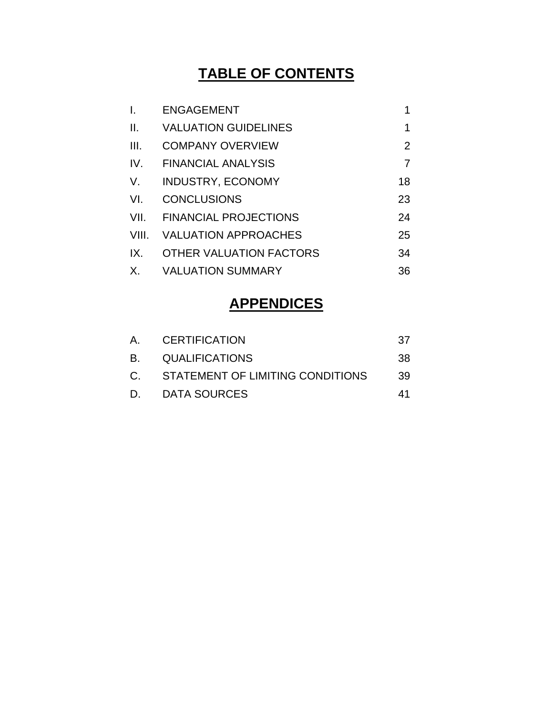## **TABLE OF CONTENTS**

| $\mathbf{I}$ .  | <b>ENGAGEMENT</b>            | 1              |
|-----------------|------------------------------|----------------|
| $\mathbf{II}$ . | <b>VALUATION GUIDELINES</b>  | 1              |
| III.            | <b>COMPANY OVERVIEW</b>      | $\overline{2}$ |
| IV.             | <b>FINANCIAL ANALYSIS</b>    | 7              |
| V.              | <b>INDUSTRY, ECONOMY</b>     | 18             |
| VI.             | <b>CONCLUSIONS</b>           | 23             |
| VII.            | <b>FINANCIAL PROJECTIONS</b> | 24             |
| VIII.           | <b>VALUATION APPROACHES</b>  | 25             |
| IX.             | OTHER VALUATION FACTORS      | 34             |
| Χ.              | <b>VALUATION SUMMARY</b>     | 36             |

## **APPENDICES**

|           | A. CERTIFICATION                    | 37  |
|-----------|-------------------------------------|-----|
| <b>B.</b> | <b>QUALIFICATIONS</b>               | 38. |
|           | C. STATEMENT OF LIMITING CONDITIONS | 39. |
| D.        | DATA SOURCES                        | 41  |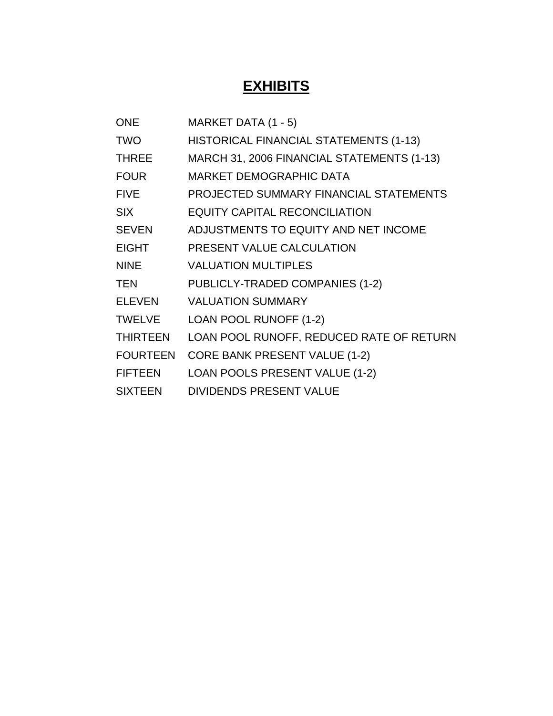# **EXHIBITS**

| <b>ONE</b>      | MARKET DATA (1 - 5)                        |
|-----------------|--------------------------------------------|
| <b>TWO</b>      | HISTORICAL FINANCIAL STATEMENTS (1-13)     |
| <b>THREE</b>    | MARCH 31, 2006 FINANCIAL STATEMENTS (1-13) |
| <b>FOUR</b>     | <b>MARKET DEMOGRAPHIC DATA</b>             |
| <b>FIVE</b>     | PROJECTED SUMMARY FINANCIAL STATEMENTS     |
| <b>SIX</b>      | <b>EQUITY CAPITAL RECONCILIATION</b>       |
| <b>SEVEN</b>    | ADJUSTMENTS TO EQUITY AND NET INCOME       |
| <b>EIGHT</b>    | PRESENT VALUE CALCULATION                  |
| <b>NINE</b>     | <b>VALUATION MULTIPLES</b>                 |
| <b>TEN</b>      | PUBLICLY-TRADED COMPANIES (1-2)            |
| <b>ELEVEN</b>   | <b>VALUATION SUMMARY</b>                   |
| <b>TWELVE</b>   | LOAN POOL RUNOFF (1-2)                     |
| <b>THIRTEEN</b> | LOAN POOL RUNOFF, REDUCED RATE OF RETURN   |
| <b>FOURTEEN</b> | <b>CORE BANK PRESENT VALUE (1-2)</b>       |
| <b>FIFTEEN</b>  | LOAN POOLS PRESENT VALUE (1-2)             |
| <b>SIXTEEN</b>  | <b>DIVIDENDS PRESENT VALUE</b>             |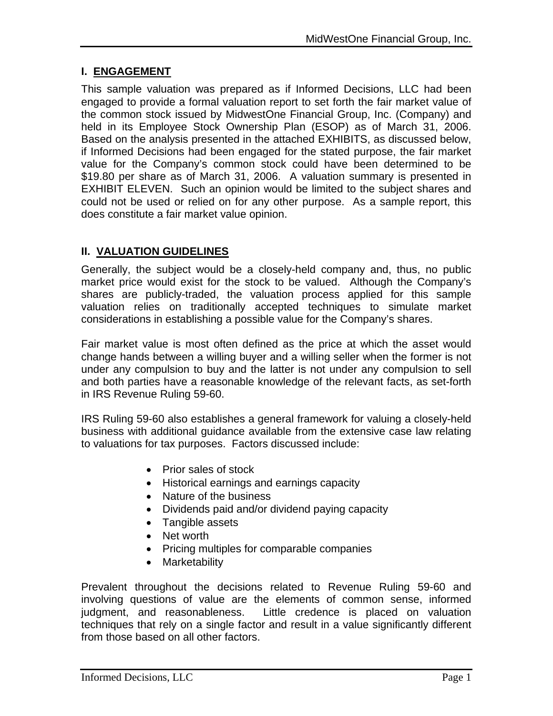## **I. ENGAGEMENT**

This sample valuation was prepared as if Informed Decisions, LLC had been engaged to provide a formal valuation report to set forth the fair market value of the common stock issued by MidwestOne Financial Group, Inc. (Company) and held in its Employee Stock Ownership Plan (ESOP) as of March 31, 2006. Based on the analysis presented in the attached EXHIBITS, as discussed below, if Informed Decisions had been engaged for the stated purpose, the fair market value for the Company's common stock could have been determined to be \$19.80 per share as of March 31, 2006. A valuation summary is presented in EXHIBIT ELEVEN. Such an opinion would be limited to the subject shares and could not be used or relied on for any other purpose. As a sample report, this does constitute a fair market value opinion.

## **II. VALUATION GUIDELINES**

Generally, the subject would be a closely-held company and, thus, no public market price would exist for the stock to be valued. Although the Company's shares are publicly-traded, the valuation process applied for this sample valuation relies on traditionally accepted techniques to simulate market considerations in establishing a possible value for the Company's shares.

Fair market value is most often defined as the price at which the asset would change hands between a willing buyer and a willing seller when the former is not under any compulsion to buy and the latter is not under any compulsion to sell and both parties have a reasonable knowledge of the relevant facts, as set-forth in IRS Revenue Ruling 59-60.

IRS Ruling 59-60 also establishes a general framework for valuing a closely-held business with additional guidance available from the extensive case law relating to valuations for tax purposes. Factors discussed include:

- Prior sales of stock
- Historical earnings and earnings capacity
- Nature of the business
- Dividends paid and/or dividend paying capacity
- Tangible assets
- Net worth
- Pricing multiples for comparable companies
- Marketability

Prevalent throughout the decisions related to Revenue Ruling 59-60 and involving questions of value are the elements of common sense, informed judgment, and reasonableness. Little credence is placed on valuation techniques that rely on a single factor and result in a value significantly different from those based on all other factors.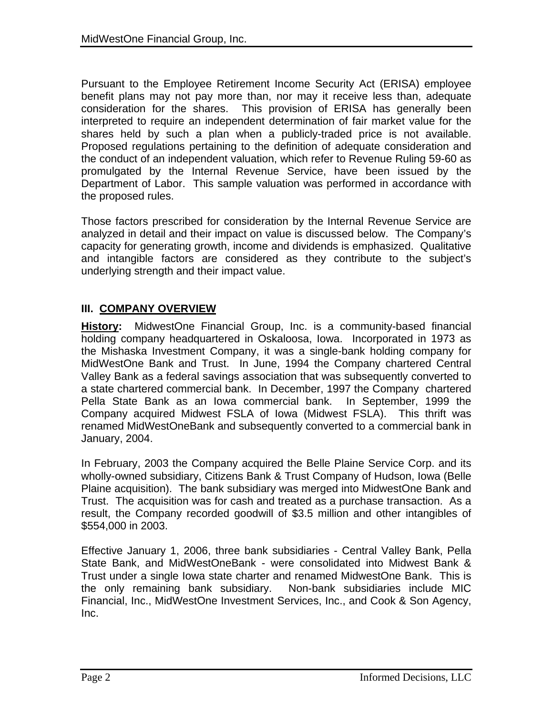Pursuant to the Employee Retirement Income Security Act (ERISA) employee benefit plans may not pay more than, nor may it receive less than, adequate consideration for the shares. This provision of ERISA has generally been interpreted to require an independent determination of fair market value for the shares held by such a plan when a publicly-traded price is not available. Proposed regulations pertaining to the definition of adequate consideration and the conduct of an independent valuation, which refer to Revenue Ruling 59-60 as promulgated by the Internal Revenue Service, have been issued by the Department of Labor. This sample valuation was performed in accordance with the proposed rules.

Those factors prescribed for consideration by the Internal Revenue Service are analyzed in detail and their impact on value is discussed below. The Company's capacity for generating growth, income and dividends is emphasized. Qualitative and intangible factors are considered as they contribute to the subject's underlying strength and their impact value.

## **III. COMPANY OVERVIEW**

**History:** MidwestOne Financial Group, Inc. is a community-based financial holding company headquartered in Oskaloosa, Iowa. Incorporated in 1973 as the Mishaska Investment Company, it was a single-bank holding company for MidWestOne Bank and Trust. In June, 1994 the Company chartered Central Valley Bank as a federal savings association that was subsequently converted to a state chartered commercial bank. In December, 1997 the Company chartered Pella State Bank as an Iowa commercial bank. In September, 1999 the Company acquired Midwest FSLA of Iowa (Midwest FSLA). This thrift was renamed MidWestOneBank and subsequently converted to a commercial bank in January, 2004.

In February, 2003 the Company acquired the Belle Plaine Service Corp. and its wholly-owned subsidiary, Citizens Bank & Trust Company of Hudson, Iowa (Belle Plaine acquisition). The bank subsidiary was merged into MidwestOne Bank and Trust. The acquisition was for cash and treated as a purchase transaction. As a result, the Company recorded goodwill of \$3.5 million and other intangibles of \$554,000 in 2003.

Effective January 1, 2006, three bank subsidiaries - Central Valley Bank, Pella State Bank, and MidWestOneBank - were consolidated into Midwest Bank & Trust under a single Iowa state charter and renamed MidwestOne Bank. This is the only remaining bank subsidiary. Non-bank subsidiaries include MIC Financial, Inc., MidWestOne Investment Services, Inc., and Cook & Son Agency, Inc.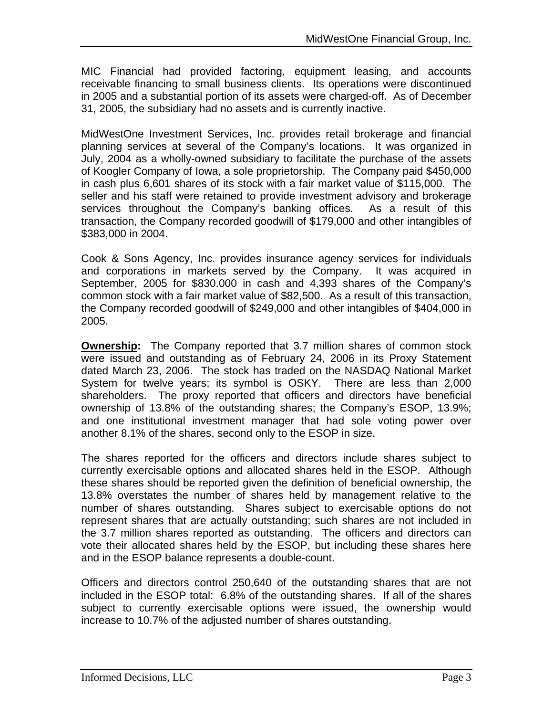MIC Financial had provided factoring, equipment leasing, and accounts receivable financing to small business clients. Its operations were discontinued in 2005 and a substantial portion of its assets were charged-off. As of December 31, 2005, the subsidiary had no assets and is currently inactive.

MidWestOne Investment Services, Inc. provides retail brokerage and financial planning services at several of the Company's locations. It was organized in July, 2004 as a wholly-owned subsidiary to facilitate the purchase of the assets of Koogler Company of Iowa, a sole proprietorship. The Company paid \$450,000 in cash plus 6,601 shares of its stock with a fair market value of \$115,000. The seller and his staff were retained to provide investment advisory and brokerage services throughout the Company's banking offices. As a result of this transaction, the Company recorded goodwill of \$179,000 and other intangibles of \$383,000 in 2004.

Cook & Sons Agency, Inc. provides insurance agency services for individuals and corporations in markets served by the Company. It was acquired in September, 2005 for \$830.000 in cash and 4,393 shares of the Company's common stock with a fair market value of \$82,500. As a result of this transaction, the Company recorded goodwill of \$249,000 and other intangibles of \$404,000 in 2005.

**Ownership:** The Company reported that 3.7 million shares of common stock were issued and outstanding as of February 24, 2006 in its Proxy Statement dated March 23, 2006. The stock has traded on the NASDAQ National Market System for twelve years; its symbol is OSKY. There are less than 2,000 shareholders. The proxy reported that officers and directors have beneficial ownership of 13.8% of the outstanding shares; the Company's ESOP, 13.9%; and one institutional investment manager that had sole voting power over another 8.1% of the shares, second only to the ESOP in size.

The shares reported for the officers and directors include shares subject to currently exercisable options and allocated shares held in the ESOP. Although these shares should be reported given the definition of beneficial ownership, the 13.8% overstates the number of shares held by management relative to the number of shares outstanding. Shares subject to exercisable options do not represent shares that are actually outstanding; such shares are not included in the 3.7 million shares reported as outstanding. The officers and directors can vote their allocated shares held by the ESOP, but including these shares here and in the ESOP balance represents a double-count.

Officers and directors control 250,640 of the outstanding shares that are not included in the ESOP total: 6.8% of the outstanding shares. If all of the shares subject to currently exercisable options were issued, the ownership would increase to 10.7% of the adjusted number of shares outstanding.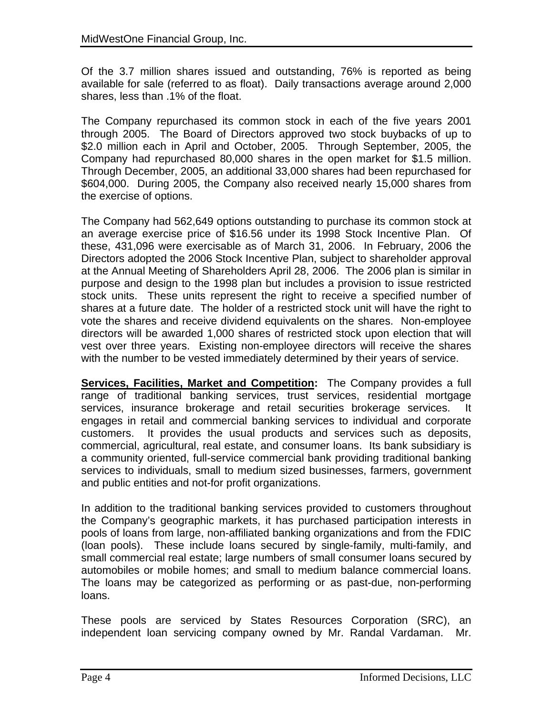Of the 3.7 million shares issued and outstanding, 76% is reported as being available for sale (referred to as float). Daily transactions average around 2,000 shares, less than .1% of the float.

The Company repurchased its common stock in each of the five years 2001 through 2005. The Board of Directors approved two stock buybacks of up to \$2.0 million each in April and October, 2005. Through September, 2005, the Company had repurchased 80,000 shares in the open market for \$1.5 million. Through December, 2005, an additional 33,000 shares had been repurchased for \$604,000. During 2005, the Company also received nearly 15,000 shares from the exercise of options.

The Company had 562,649 options outstanding to purchase its common stock at an average exercise price of \$16.56 under its 1998 Stock Incentive Plan. Of these, 431,096 were exercisable as of March 31, 2006. In February, 2006 the Directors adopted the 2006 Stock Incentive Plan, subject to shareholder approval at the Annual Meeting of Shareholders April 28, 2006. The 2006 plan is similar in purpose and design to the 1998 plan but includes a provision to issue restricted stock units. These units represent the right to receive a specified number of shares at a future date. The holder of a restricted stock unit will have the right to vote the shares and receive dividend equivalents on the shares. Non-employee directors will be awarded 1,000 shares of restricted stock upon election that will vest over three years. Existing non-employee directors will receive the shares with the number to be vested immediately determined by their years of service.

**Services, Facilities, Market and Competition:** The Company provides a full range of traditional banking services, trust services, residential mortgage services, insurance brokerage and retail securities brokerage services. It engages in retail and commercial banking services to individual and corporate customers. It provides the usual products and services such as deposits, commercial, agricultural, real estate, and consumer loans. Its bank subsidiary is a community oriented, full-service commercial bank providing traditional banking services to individuals, small to medium sized businesses, farmers, government and public entities and not-for profit organizations.

In addition to the traditional banking services provided to customers throughout the Company's geographic markets, it has purchased participation interests in pools of loans from large, non-affiliated banking organizations and from the FDIC (loan pools). These include loans secured by single-family, multi-family, and small commercial real estate; large numbers of small consumer loans secured by automobiles or mobile homes; and small to medium balance commercial loans. The loans may be categorized as performing or as past-due, non-performing loans.

These pools are serviced by States Resources Corporation (SRC), an independent loan servicing company owned by Mr. Randal Vardaman. Mr.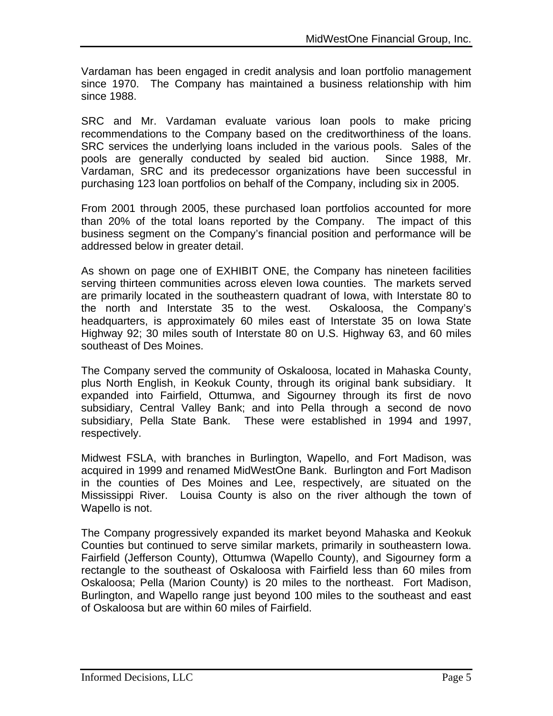Vardaman has been engaged in credit analysis and loan portfolio management since 1970. The Company has maintained a business relationship with him since 1988.

SRC and Mr. Vardaman evaluate various loan pools to make pricing recommendations to the Company based on the creditworthiness of the loans. SRC services the underlying loans included in the various pools. Sales of the pools are generally conducted by sealed bid auction. Since 1988, Mr. Vardaman, SRC and its predecessor organizations have been successful in purchasing 123 loan portfolios on behalf of the Company, including six in 2005.

From 2001 through 2005, these purchased loan portfolios accounted for more than 20% of the total loans reported by the Company. The impact of this business segment on the Company's financial position and performance will be addressed below in greater detail.

As shown on page one of EXHIBIT ONE, the Company has nineteen facilities serving thirteen communities across eleven Iowa counties. The markets served are primarily located in the southeastern quadrant of Iowa, with Interstate 80 to the north and Interstate 35 to the west. Oskaloosa, the Company's headquarters, is approximately 60 miles east of Interstate 35 on Iowa State Highway 92; 30 miles south of Interstate 80 on U.S. Highway 63, and 60 miles southeast of Des Moines.

The Company served the community of Oskaloosa, located in Mahaska County, plus North English, in Keokuk County, through its original bank subsidiary. It expanded into Fairfield, Ottumwa, and Sigourney through its first de novo subsidiary, Central Valley Bank; and into Pella through a second de novo subsidiary, Pella State Bank. These were established in 1994 and 1997, respectively.

Midwest FSLA, with branches in Burlington, Wapello, and Fort Madison, was acquired in 1999 and renamed MidWestOne Bank. Burlington and Fort Madison in the counties of Des Moines and Lee, respectively, are situated on the Mississippi River. Louisa County is also on the river although the town of Wapello is not.

The Company progressively expanded its market beyond Mahaska and Keokuk Counties but continued to serve similar markets, primarily in southeastern Iowa. Fairfield (Jefferson County), Ottumwa (Wapello County), and Sigourney form a rectangle to the southeast of Oskaloosa with Fairfield less than 60 miles from Oskaloosa; Pella (Marion County) is 20 miles to the northeast. Fort Madison, Burlington, and Wapello range just beyond 100 miles to the southeast and east of Oskaloosa but are within 60 miles of Fairfield.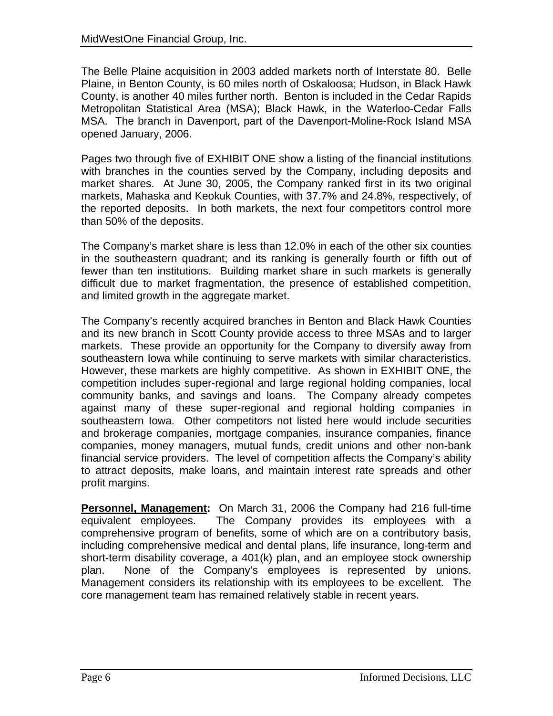The Belle Plaine acquisition in 2003 added markets north of Interstate 80. Belle Plaine, in Benton County, is 60 miles north of Oskaloosa; Hudson, in Black Hawk County, is another 40 miles further north. Benton is included in the Cedar Rapids Metropolitan Statistical Area (MSA); Black Hawk, in the Waterloo-Cedar Falls MSA. The branch in Davenport, part of the Davenport-Moline-Rock Island MSA opened January, 2006.

Pages two through five of EXHIBIT ONE show a listing of the financial institutions with branches in the counties served by the Company, including deposits and market shares. At June 30, 2005, the Company ranked first in its two original markets, Mahaska and Keokuk Counties, with 37.7% and 24.8%, respectively, of the reported deposits. In both markets, the next four competitors control more than 50% of the deposits.

The Company's market share is less than 12.0% in each of the other six counties in the southeastern quadrant; and its ranking is generally fourth or fifth out of fewer than ten institutions. Building market share in such markets is generally difficult due to market fragmentation, the presence of established competition, and limited growth in the aggregate market.

The Company's recently acquired branches in Benton and Black Hawk Counties and its new branch in Scott County provide access to three MSAs and to larger markets. These provide an opportunity for the Company to diversify away from southeastern Iowa while continuing to serve markets with similar characteristics. However, these markets are highly competitive. As shown in EXHIBIT ONE, the competition includes super-regional and large regional holding companies, local community banks, and savings and loans. The Company already competes against many of these super-regional and regional holding companies in southeastern Iowa. Other competitors not listed here would include securities and brokerage companies, mortgage companies, insurance companies, finance companies, money managers, mutual funds, credit unions and other non-bank financial service providers. The level of competition affects the Company's ability to attract deposits, make loans, and maintain interest rate spreads and other profit margins.

**Personnel, Management:** On March 31, 2006 the Company had 216 full-time equivalent employees. The Company provides its employees with a comprehensive program of benefits, some of which are on a contributory basis, including comprehensive medical and dental plans, life insurance, long-term and short-term disability coverage, a 401(k) plan, and an employee stock ownership plan. None of the Company's employees is represented by unions. Management considers its relationship with its employees to be excellent. The core management team has remained relatively stable in recent years.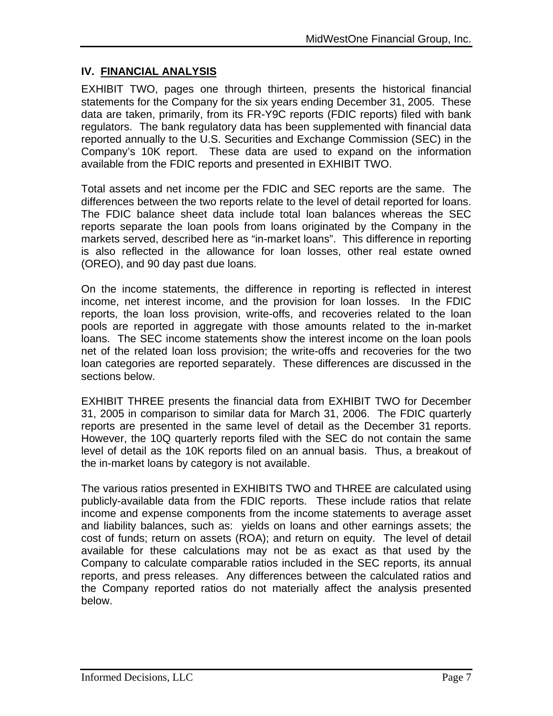#### **IV. FINANCIAL ANALYSIS**

EXHIBIT TWO, pages one through thirteen, presents the historical financial statements for the Company for the six years ending December 31, 2005. These data are taken, primarily, from its FR-Y9C reports (FDIC reports) filed with bank regulators. The bank regulatory data has been supplemented with financial data reported annually to the U.S. Securities and Exchange Commission (SEC) in the Company's 10K report. These data are used to expand on the information available from the FDIC reports and presented in EXHIBIT TWO.

Total assets and net income per the FDIC and SEC reports are the same. The differences between the two reports relate to the level of detail reported for loans. The FDIC balance sheet data include total loan balances whereas the SEC reports separate the loan pools from loans originated by the Company in the markets served, described here as "in-market loans". This difference in reporting is also reflected in the allowance for loan losses, other real estate owned (OREO), and 90 day past due loans.

On the income statements, the difference in reporting is reflected in interest income, net interest income, and the provision for loan losses. In the FDIC reports, the loan loss provision, write-offs, and recoveries related to the loan pools are reported in aggregate with those amounts related to the in-market loans. The SEC income statements show the interest income on the loan pools net of the related loan loss provision; the write-offs and recoveries for the two loan categories are reported separately. These differences are discussed in the sections below.

EXHIBIT THREE presents the financial data from EXHIBIT TWO for December 31, 2005 in comparison to similar data for March 31, 2006. The FDIC quarterly reports are presented in the same level of detail as the December 31 reports. However, the 10Q quarterly reports filed with the SEC do not contain the same level of detail as the 10K reports filed on an annual basis. Thus, a breakout of the in-market loans by category is not available.

The various ratios presented in EXHIBITS TWO and THREE are calculated using publicly-available data from the FDIC reports. These include ratios that relate income and expense components from the income statements to average asset and liability balances, such as: yields on loans and other earnings assets; the cost of funds; return on assets (ROA); and return on equity. The level of detail available for these calculations may not be as exact as that used by the Company to calculate comparable ratios included in the SEC reports, its annual reports, and press releases. Any differences between the calculated ratios and the Company reported ratios do not materially affect the analysis presented below.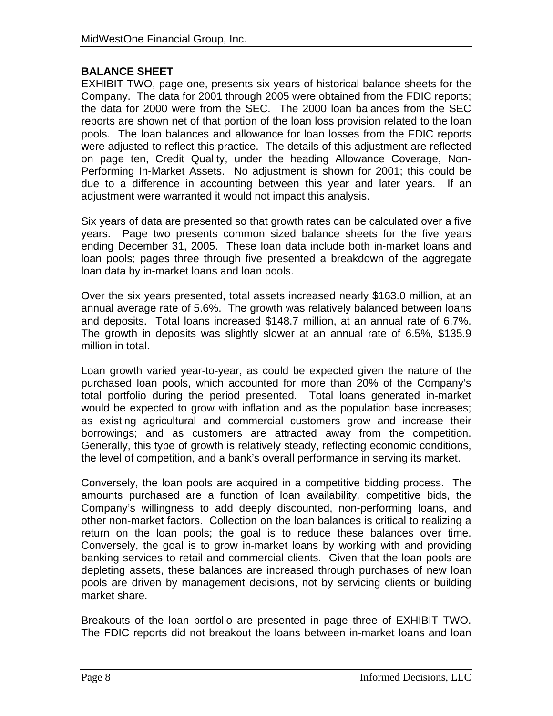#### **BALANCE SHEET**

EXHIBIT TWO, page one, presents six years of historical balance sheets for the Company. The data for 2001 through 2005 were obtained from the FDIC reports; the data for 2000 were from the SEC. The 2000 loan balances from the SEC reports are shown net of that portion of the loan loss provision related to the loan pools. The loan balances and allowance for loan losses from the FDIC reports were adjusted to reflect this practice. The details of this adjustment are reflected on page ten, Credit Quality, under the heading Allowance Coverage, Non-Performing In-Market Assets. No adjustment is shown for 2001; this could be due to a difference in accounting between this year and later years. If an adjustment were warranted it would not impact this analysis.

Six years of data are presented so that growth rates can be calculated over a five years. Page two presents common sized balance sheets for the five years ending December 31, 2005. These loan data include both in-market loans and loan pools; pages three through five presented a breakdown of the aggregate loan data by in-market loans and loan pools.

Over the six years presented, total assets increased nearly \$163.0 million, at an annual average rate of 5.6%. The growth was relatively balanced between loans and deposits. Total loans increased \$148.7 million, at an annual rate of 6.7%. The growth in deposits was slightly slower at an annual rate of 6.5%, \$135.9 million in total.

Loan growth varied year-to-year, as could be expected given the nature of the purchased loan pools, which accounted for more than 20% of the Company's total portfolio during the period presented. Total loans generated in-market would be expected to grow with inflation and as the population base increases; as existing agricultural and commercial customers grow and increase their borrowings; and as customers are attracted away from the competition. Generally, this type of growth is relatively steady, reflecting economic conditions, the level of competition, and a bank's overall performance in serving its market.

Conversely, the loan pools are acquired in a competitive bidding process. The amounts purchased are a function of loan availability, competitive bids, the Company's willingness to add deeply discounted, non-performing loans, and other non-market factors. Collection on the loan balances is critical to realizing a return on the loan pools; the goal is to reduce these balances over time. Conversely, the goal is to grow in-market loans by working with and providing banking services to retail and commercial clients. Given that the loan pools are depleting assets, these balances are increased through purchases of new loan pools are driven by management decisions, not by servicing clients or building market share.

Breakouts of the loan portfolio are presented in page three of EXHIBIT TWO. The FDIC reports did not breakout the loans between in-market loans and loan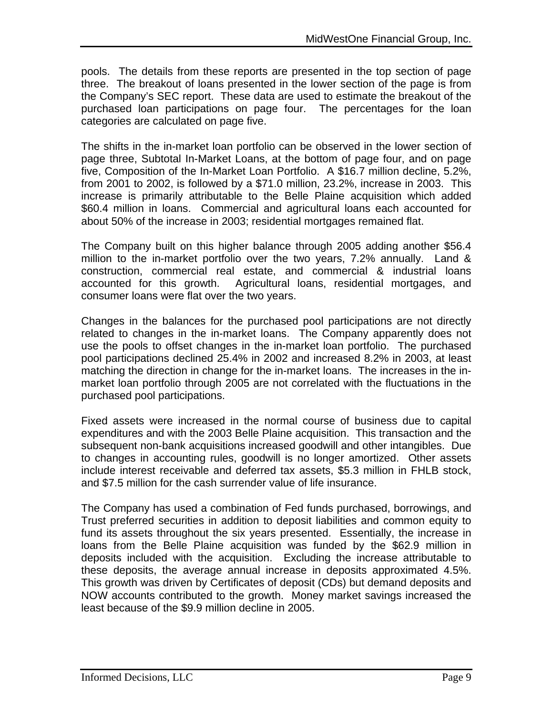pools. The details from these reports are presented in the top section of page three. The breakout of loans presented in the lower section of the page is from the Company's SEC report. These data are used to estimate the breakout of the purchased loan participations on page four. The percentages for the loan categories are calculated on page five.

The shifts in the in-market loan portfolio can be observed in the lower section of page three, Subtotal In-Market Loans, at the bottom of page four, and on page five, Composition of the In-Market Loan Portfolio. A \$16.7 million decline, 5.2%, from 2001 to 2002, is followed by a \$71.0 million, 23.2%, increase in 2003. This increase is primarily attributable to the Belle Plaine acquisition which added \$60.4 million in loans. Commercial and agricultural loans each accounted for about 50% of the increase in 2003; residential mortgages remained flat.

The Company built on this higher balance through 2005 adding another \$56.4 million to the in-market portfolio over the two years, 7.2% annually. Land & construction, commercial real estate, and commercial & industrial loans accounted for this growth. Agricultural loans, residential mortgages, and consumer loans were flat over the two years.

Changes in the balances for the purchased pool participations are not directly related to changes in the in-market loans. The Company apparently does not use the pools to offset changes in the in-market loan portfolio. The purchased pool participations declined 25.4% in 2002 and increased 8.2% in 2003, at least matching the direction in change for the in-market loans. The increases in the inmarket loan portfolio through 2005 are not correlated with the fluctuations in the purchased pool participations.

Fixed assets were increased in the normal course of business due to capital expenditures and with the 2003 Belle Plaine acquisition. This transaction and the subsequent non-bank acquisitions increased goodwill and other intangibles. Due to changes in accounting rules, goodwill is no longer amortized. Other assets include interest receivable and deferred tax assets, \$5.3 million in FHLB stock, and \$7.5 million for the cash surrender value of life insurance.

The Company has used a combination of Fed funds purchased, borrowings, and Trust preferred securities in addition to deposit liabilities and common equity to fund its assets throughout the six years presented. Essentially, the increase in loans from the Belle Plaine acquisition was funded by the \$62.9 million in deposits included with the acquisition. Excluding the increase attributable to these deposits, the average annual increase in deposits approximated 4.5%. This growth was driven by Certificates of deposit (CDs) but demand deposits and NOW accounts contributed to the growth. Money market savings increased the least because of the \$9.9 million decline in 2005.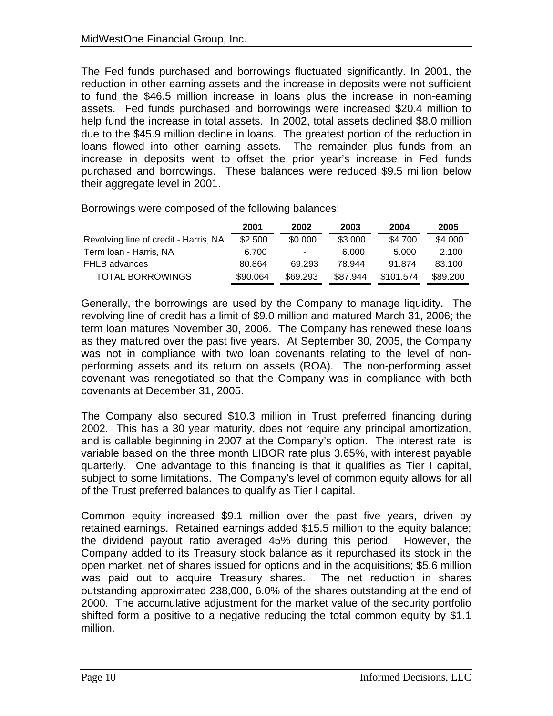The Fed funds purchased and borrowings fluctuated significantly. In 2001, the reduction in other earning assets and the increase in deposits were not sufficient to fund the \$46.5 million increase in loans plus the increase in non-earning assets. Fed funds purchased and borrowings were increased \$20.4 million to help fund the increase in total assets. In 2002, total assets declined \$8.0 million due to the \$45.9 million decline in loans. The greatest portion of the reduction in loans flowed into other earning assets. The remainder plus funds from an increase in deposits went to offset the prior year's increase in Fed funds purchased and borrowings. These balances were reduced \$9.5 million below their aggregate level in 2001.

Borrowings were composed of the following balances:

|                                       | 2001     | 2002                     | 2003     | 2004      | 2005     |
|---------------------------------------|----------|--------------------------|----------|-----------|----------|
| Revolving line of credit - Harris, NA | \$2.500  | \$0.000                  | \$3.000  | \$4.700   | \$4.000  |
| Term Ioan - Harris, NA                | 6.700    | $\overline{\phantom{a}}$ | 6.000    | 5.000     | 2.100    |
| FHLB advances                         | 80.864   | 69.293                   | 78.944   | 91.874    | 83.100   |
| <b>TOTAL BORROWINGS</b>               | \$90.064 | \$69.293                 | \$87.944 | \$101.574 | \$89,200 |

Generally, the borrowings are used by the Company to manage liquidity. The revolving line of credit has a limit of \$9.0 million and matured March 31, 2006; the term loan matures November 30, 2006. The Company has renewed these loans as they matured over the past five years. At September 30, 2005, the Company was not in compliance with two loan covenants relating to the level of nonperforming assets and its return on assets (ROA). The non-performing asset covenant was renegotiated so that the Company was in compliance with both covenants at December 31, 2005.

The Company also secured \$10.3 million in Trust preferred financing during 2002. This has a 30 year maturity, does not require any principal amortization, and is callable beginning in 2007 at the Company's option. The interest rate is variable based on the three month LIBOR rate plus 3.65%, with interest payable quarterly. One advantage to this financing is that it qualifies as Tier I capital, subject to some limitations. The Company's level of common equity allows for all of the Trust preferred balances to qualify as Tier I capital.

Common equity increased \$9.1 million over the past five years, driven by retained earnings. Retained earnings added \$15.5 million to the equity balance; the dividend payout ratio averaged 45% during this period. However, the Company added to its Treasury stock balance as it repurchased its stock in the open market, net of shares issued for options and in the acquisitions; \$5.6 million was paid out to acquire Treasury shares. The net reduction in shares outstanding approximated 238,000, 6.0% of the shares outstanding at the end of 2000. The accumulative adjustment for the market value of the security portfolio shifted form a positive to a negative reducing the total common equity by \$1.1 million.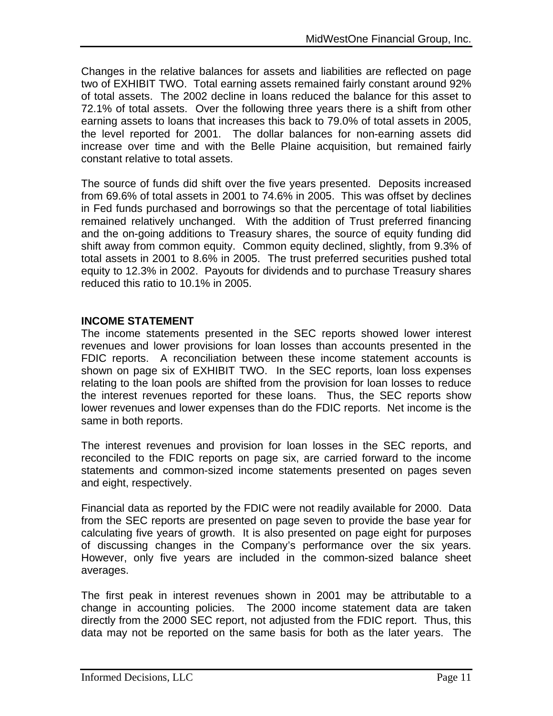Changes in the relative balances for assets and liabilities are reflected on page two of EXHIBIT TWO. Total earning assets remained fairly constant around 92% of total assets. The 2002 decline in loans reduced the balance for this asset to 72.1% of total assets. Over the following three years there is a shift from other earning assets to loans that increases this back to 79.0% of total assets in 2005, the level reported for 2001. The dollar balances for non-earning assets did increase over time and with the Belle Plaine acquisition, but remained fairly constant relative to total assets.

The source of funds did shift over the five years presented. Deposits increased from 69.6% of total assets in 2001 to 74.6% in 2005. This was offset by declines in Fed funds purchased and borrowings so that the percentage of total liabilities remained relatively unchanged. With the addition of Trust preferred financing and the on-going additions to Treasury shares, the source of equity funding did shift away from common equity. Common equity declined, slightly, from 9.3% of total assets in 2001 to 8.6% in 2005. The trust preferred securities pushed total equity to 12.3% in 2002. Payouts for dividends and to purchase Treasury shares reduced this ratio to 10.1% in 2005.

#### **INCOME STATEMENT**

The income statements presented in the SEC reports showed lower interest revenues and lower provisions for loan losses than accounts presented in the FDIC reports. A reconciliation between these income statement accounts is shown on page six of EXHIBIT TWO. In the SEC reports, loan loss expenses relating to the loan pools are shifted from the provision for loan losses to reduce the interest revenues reported for these loans. Thus, the SEC reports show lower revenues and lower expenses than do the FDIC reports. Net income is the same in both reports.

The interest revenues and provision for loan losses in the SEC reports, and reconciled to the FDIC reports on page six, are carried forward to the income statements and common-sized income statements presented on pages seven and eight, respectively.

Financial data as reported by the FDIC were not readily available for 2000. Data from the SEC reports are presented on page seven to provide the base year for calculating five years of growth. It is also presented on page eight for purposes of discussing changes in the Company's performance over the six years. However, only five years are included in the common-sized balance sheet averages.

The first peak in interest revenues shown in 2001 may be attributable to a change in accounting policies. The 2000 income statement data are taken directly from the 2000 SEC report, not adjusted from the FDIC report. Thus, this data may not be reported on the same basis for both as the later years. The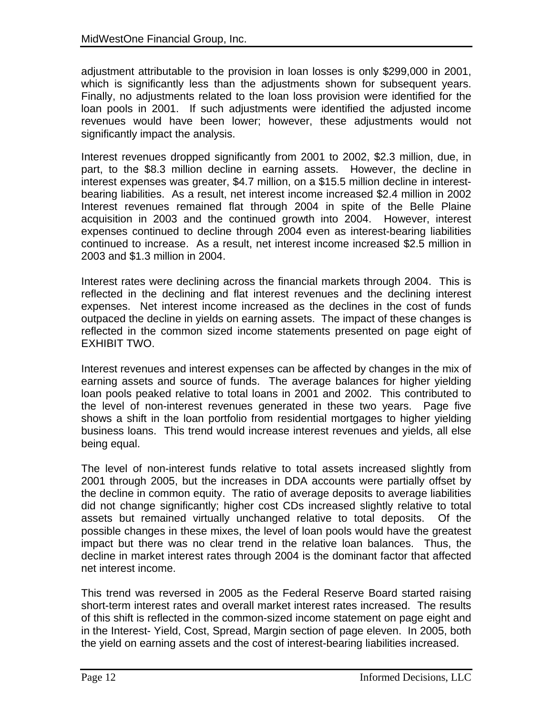adjustment attributable to the provision in loan losses is only \$299,000 in 2001, which is significantly less than the adjustments shown for subsequent years. Finally, no adjustments related to the loan loss provision were identified for the loan pools in 2001. If such adjustments were identified the adjusted income revenues would have been lower; however, these adjustments would not significantly impact the analysis.

Interest revenues dropped significantly from 2001 to 2002, \$2.3 million, due, in part, to the \$8.3 million decline in earning assets. However, the decline in interest expenses was greater, \$4.7 million, on a \$15.5 million decline in interestbearing liabilities. As a result, net interest income increased \$2.4 million in 2002 Interest revenues remained flat through 2004 in spite of the Belle Plaine acquisition in 2003 and the continued growth into 2004. However, interest expenses continued to decline through 2004 even as interest-bearing liabilities continued to increase. As a result, net interest income increased \$2.5 million in 2003 and \$1.3 million in 2004.

Interest rates were declining across the financial markets through 2004. This is reflected in the declining and flat interest revenues and the declining interest expenses. Net interest income increased as the declines in the cost of funds outpaced the decline in yields on earning assets. The impact of these changes is reflected in the common sized income statements presented on page eight of EXHIBIT TWO.

Interest revenues and interest expenses can be affected by changes in the mix of earning assets and source of funds. The average balances for higher yielding loan pools peaked relative to total loans in 2001 and 2002. This contributed to the level of non-interest revenues generated in these two years. Page five shows a shift in the loan portfolio from residential mortgages to higher yielding business loans. This trend would increase interest revenues and yields, all else being equal.

The level of non-interest funds relative to total assets increased slightly from 2001 through 2005, but the increases in DDA accounts were partially offset by the decline in common equity. The ratio of average deposits to average liabilities did not change significantly; higher cost CDs increased slightly relative to total assets but remained virtually unchanged relative to total deposits. Of the possible changes in these mixes, the level of loan pools would have the greatest impact but there was no clear trend in the relative loan balances. Thus, the decline in market interest rates through 2004 is the dominant factor that affected net interest income.

This trend was reversed in 2005 as the Federal Reserve Board started raising short-term interest rates and overall market interest rates increased. The results of this shift is reflected in the common-sized income statement on page eight and in the Interest- Yield, Cost, Spread, Margin section of page eleven. In 2005, both the yield on earning assets and the cost of interest-bearing liabilities increased.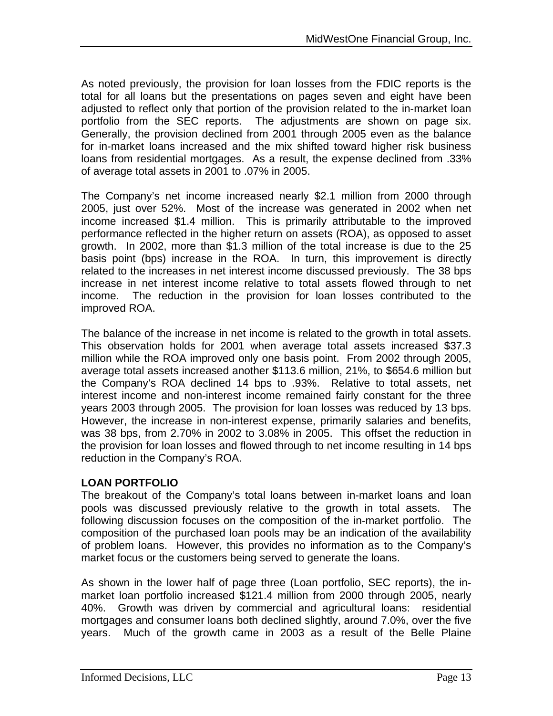As noted previously, the provision for loan losses from the FDIC reports is the total for all loans but the presentations on pages seven and eight have been adjusted to reflect only that portion of the provision related to the in-market loan portfolio from the SEC reports. The adjustments are shown on page six. Generally, the provision declined from 2001 through 2005 even as the balance for in-market loans increased and the mix shifted toward higher risk business loans from residential mortgages. As a result, the expense declined from .33% of average total assets in 2001 to .07% in 2005.

The Company's net income increased nearly \$2.1 million from 2000 through 2005, just over 52%. Most of the increase was generated in 2002 when net income increased \$1.4 million. This is primarily attributable to the improved performance reflected in the higher return on assets (ROA), as opposed to asset growth. In 2002, more than \$1.3 million of the total increase is due to the 25 basis point (bps) increase in the ROA. In turn, this improvement is directly related to the increases in net interest income discussed previously. The 38 bps increase in net interest income relative to total assets flowed through to net income. The reduction in the provision for loan losses contributed to the improved ROA.

The balance of the increase in net income is related to the growth in total assets. This observation holds for 2001 when average total assets increased \$37.3 million while the ROA improved only one basis point. From 2002 through 2005, average total assets increased another \$113.6 million, 21%, to \$654.6 million but the Company's ROA declined 14 bps to .93%. Relative to total assets, net interest income and non-interest income remained fairly constant for the three years 2003 through 2005. The provision for loan losses was reduced by 13 bps. However, the increase in non-interest expense, primarily salaries and benefits, was 38 bps, from 2.70% in 2002 to 3.08% in 2005. This offset the reduction in the provision for loan losses and flowed through to net income resulting in 14 bps reduction in the Company's ROA.

#### **LOAN PORTFOLIO**

The breakout of the Company's total loans between in-market loans and loan pools was discussed previously relative to the growth in total assets. The following discussion focuses on the composition of the in-market portfolio. The composition of the purchased loan pools may be an indication of the availability of problem loans. However, this provides no information as to the Company's market focus or the customers being served to generate the loans.

As shown in the lower half of page three (Loan portfolio, SEC reports), the inmarket loan portfolio increased \$121.4 million from 2000 through 2005, nearly 40%. Growth was driven by commercial and agricultural loans: residential mortgages and consumer loans both declined slightly, around 7.0%, over the five years. Much of the growth came in 2003 as a result of the Belle Plaine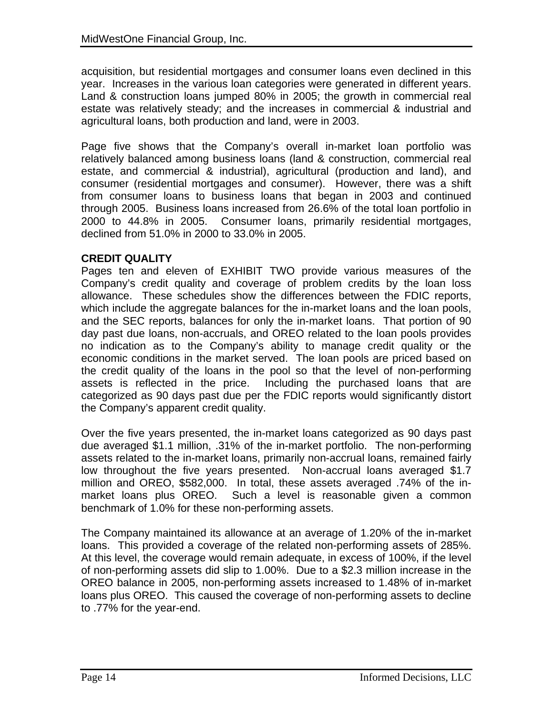acquisition, but residential mortgages and consumer loans even declined in this year. Increases in the various loan categories were generated in different years. Land & construction loans jumped 80% in 2005; the growth in commercial real estate was relatively steady; and the increases in commercial & industrial and agricultural loans, both production and land, were in 2003.

Page five shows that the Company's overall in-market loan portfolio was relatively balanced among business loans (land & construction, commercial real estate, and commercial & industrial), agricultural (production and land), and consumer (residential mortgages and consumer). However, there was a shift from consumer loans to business loans that began in 2003 and continued through 2005. Business loans increased from 26.6% of the total loan portfolio in 2000 to 44.8% in 2005. Consumer loans, primarily residential mortgages, declined from 51.0% in 2000 to 33.0% in 2005.

#### **CREDIT QUALITY**

Pages ten and eleven of EXHIBIT TWO provide various measures of the Company's credit quality and coverage of problem credits by the loan loss allowance. These schedules show the differences between the FDIC reports, which include the aggregate balances for the in-market loans and the loan pools, and the SEC reports, balances for only the in-market loans. That portion of 90 day past due loans, non-accruals, and OREO related to the loan pools provides no indication as to the Company's ability to manage credit quality or the economic conditions in the market served. The loan pools are priced based on the credit quality of the loans in the pool so that the level of non-performing assets is reflected in the price. Including the purchased loans that are categorized as 90 days past due per the FDIC reports would significantly distort the Company's apparent credit quality.

Over the five years presented, the in-market loans categorized as 90 days past due averaged \$1.1 million, .31% of the in-market portfolio. The non-performing assets related to the in-market loans, primarily non-accrual loans, remained fairly low throughout the five years presented. Non-accrual loans averaged \$1.7 million and OREO, \$582,000. In total, these assets averaged .74% of the inmarket loans plus OREO. Such a level is reasonable given a common benchmark of 1.0% for these non-performing assets.

The Company maintained its allowance at an average of 1.20% of the in-market loans. This provided a coverage of the related non-performing assets of 285%. At this level, the coverage would remain adequate, in excess of 100%, if the level of non-performing assets did slip to 1.00%. Due to a \$2.3 million increase in the OREO balance in 2005, non-performing assets increased to 1.48% of in-market loans plus OREO. This caused the coverage of non-performing assets to decline to .77% for the year-end.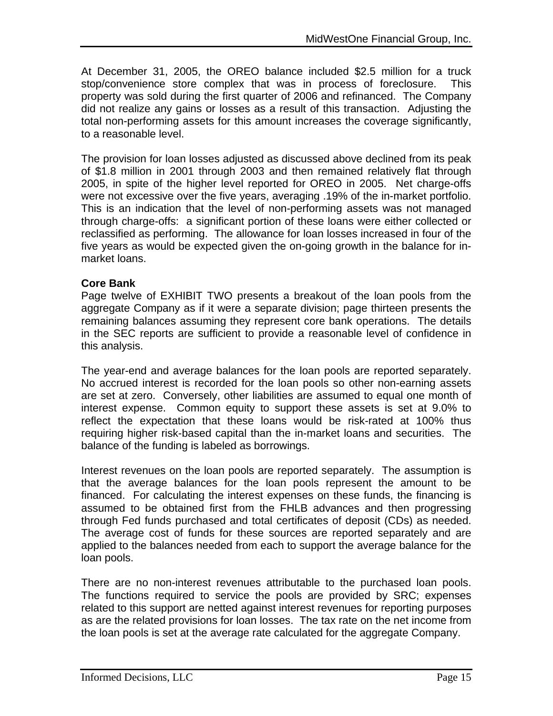At December 31, 2005, the OREO balance included \$2.5 million for a truck stop/convenience store complex that was in process of foreclosure. This property was sold during the first quarter of 2006 and refinanced. The Company did not realize any gains or losses as a result of this transaction. Adjusting the total non-performing assets for this amount increases the coverage significantly, to a reasonable level.

The provision for loan losses adjusted as discussed above declined from its peak of \$1.8 million in 2001 through 2003 and then remained relatively flat through 2005, in spite of the higher level reported for OREO in 2005. Net charge-offs were not excessive over the five years, averaging .19% of the in-market portfolio. This is an indication that the level of non-performing assets was not managed through charge-offs: a significant portion of these loans were either collected or reclassified as performing. The allowance for loan losses increased in four of the five years as would be expected given the on-going growth in the balance for inmarket loans.

#### **Core Bank**

Page twelve of EXHIBIT TWO presents a breakout of the loan pools from the aggregate Company as if it were a separate division; page thirteen presents the remaining balances assuming they represent core bank operations. The details in the SEC reports are sufficient to provide a reasonable level of confidence in this analysis.

The year-end and average balances for the loan pools are reported separately. No accrued interest is recorded for the loan pools so other non-earning assets are set at zero. Conversely, other liabilities are assumed to equal one month of interest expense. Common equity to support these assets is set at 9.0% to reflect the expectation that these loans would be risk-rated at 100% thus requiring higher risk-based capital than the in-market loans and securities. The balance of the funding is labeled as borrowings.

Interest revenues on the loan pools are reported separately. The assumption is that the average balances for the loan pools represent the amount to be financed. For calculating the interest expenses on these funds, the financing is assumed to be obtained first from the FHLB advances and then progressing through Fed funds purchased and total certificates of deposit (CDs) as needed. The average cost of funds for these sources are reported separately and are applied to the balances needed from each to support the average balance for the loan pools.

There are no non-interest revenues attributable to the purchased loan pools. The functions required to service the pools are provided by SRC; expenses related to this support are netted against interest revenues for reporting purposes as are the related provisions for loan losses. The tax rate on the net income from the loan pools is set at the average rate calculated for the aggregate Company.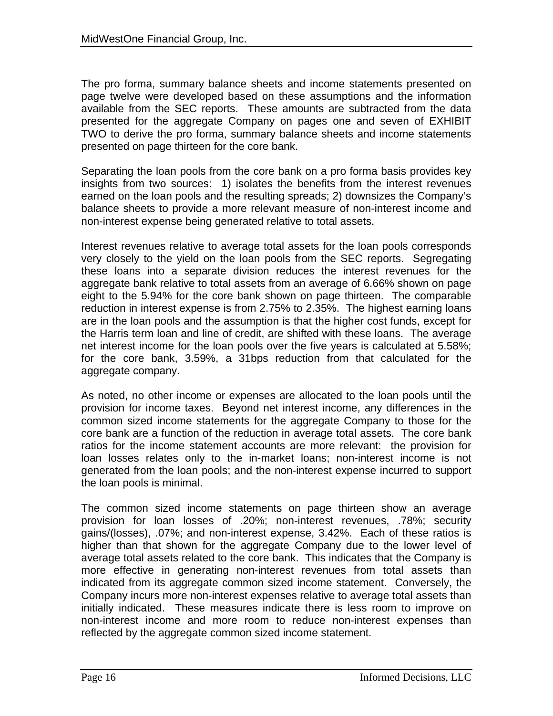The pro forma, summary balance sheets and income statements presented on page twelve were developed based on these assumptions and the information available from the SEC reports. These amounts are subtracted from the data presented for the aggregate Company on pages one and seven of EXHIBIT TWO to derive the pro forma, summary balance sheets and income statements presented on page thirteen for the core bank.

Separating the loan pools from the core bank on a pro forma basis provides key insights from two sources: 1) isolates the benefits from the interest revenues earned on the loan pools and the resulting spreads; 2) downsizes the Company's balance sheets to provide a more relevant measure of non-interest income and non-interest expense being generated relative to total assets.

Interest revenues relative to average total assets for the loan pools corresponds very closely to the yield on the loan pools from the SEC reports. Segregating these loans into a separate division reduces the interest revenues for the aggregate bank relative to total assets from an average of 6.66% shown on page eight to the 5.94% for the core bank shown on page thirteen. The comparable reduction in interest expense is from 2.75% to 2.35%. The highest earning loans are in the loan pools and the assumption is that the higher cost funds, except for the Harris term loan and line of credit, are shifted with these loans. The average net interest income for the loan pools over the five years is calculated at 5.58%; for the core bank, 3.59%, a 31bps reduction from that calculated for the aggregate company.

As noted, no other income or expenses are allocated to the loan pools until the provision for income taxes. Beyond net interest income, any differences in the common sized income statements for the aggregate Company to those for the core bank are a function of the reduction in average total assets. The core bank ratios for the income statement accounts are more relevant: the provision for loan losses relates only to the in-market loans; non-interest income is not generated from the loan pools; and the non-interest expense incurred to support the loan pools is minimal.

The common sized income statements on page thirteen show an average provision for loan losses of .20%; non-interest revenues, .78%; security gains/(losses), .07%; and non-interest expense, 3.42%. Each of these ratios is higher than that shown for the aggregate Company due to the lower level of average total assets related to the core bank. This indicates that the Company is more effective in generating non-interest revenues from total assets than indicated from its aggregate common sized income statement. Conversely, the Company incurs more non-interest expenses relative to average total assets than initially indicated. These measures indicate there is less room to improve on non-interest income and more room to reduce non-interest expenses than reflected by the aggregate common sized income statement.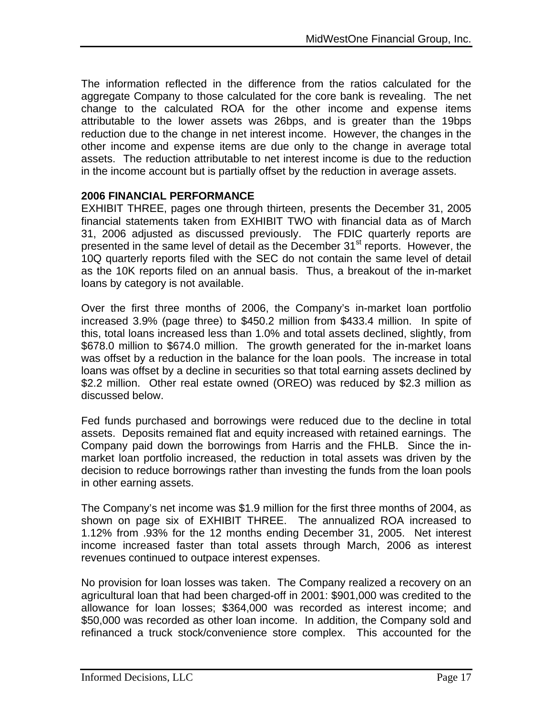The information reflected in the difference from the ratios calculated for the aggregate Company to those calculated for the core bank is revealing. The net change to the calculated ROA for the other income and expense items attributable to the lower assets was 26bps, and is greater than the 19bps reduction due to the change in net interest income. However, the changes in the other income and expense items are due only to the change in average total assets. The reduction attributable to net interest income is due to the reduction in the income account but is partially offset by the reduction in average assets.

#### **2006 FINANCIAL PERFORMANCE**

EXHIBIT THREE, pages one through thirteen, presents the December 31, 2005 financial statements taken from EXHIBIT TWO with financial data as of March 31, 2006 adjusted as discussed previously. The FDIC quarterly reports are presented in the same level of detail as the December 31<sup>st</sup> reports. However, the 10Q quarterly reports filed with the SEC do not contain the same level of detail as the 10K reports filed on an annual basis. Thus, a breakout of the in-market loans by category is not available.

Over the first three months of 2006, the Company's in-market loan portfolio increased 3.9% (page three) to \$450.2 million from \$433.4 million. In spite of this, total loans increased less than 1.0% and total assets declined, slightly, from \$678.0 million to \$674.0 million. The growth generated for the in-market loans was offset by a reduction in the balance for the loan pools. The increase in total loans was offset by a decline in securities so that total earning assets declined by \$2.2 million. Other real estate owned (OREO) was reduced by \$2.3 million as discussed below.

Fed funds purchased and borrowings were reduced due to the decline in total assets. Deposits remained flat and equity increased with retained earnings. The Company paid down the borrowings from Harris and the FHLB. Since the inmarket loan portfolio increased, the reduction in total assets was driven by the decision to reduce borrowings rather than investing the funds from the loan pools in other earning assets.

The Company's net income was \$1.9 million for the first three months of 2004, as shown on page six of EXHIBIT THREE. The annualized ROA increased to 1.12% from .93% for the 12 months ending December 31, 2005. Net interest income increased faster than total assets through March, 2006 as interest revenues continued to outpace interest expenses.

No provision for loan losses was taken. The Company realized a recovery on an agricultural loan that had been charged-off in 2001: \$901,000 was credited to the allowance for loan losses; \$364,000 was recorded as interest income; and \$50,000 was recorded as other loan income. In addition, the Company sold and refinanced a truck stock/convenience store complex. This accounted for the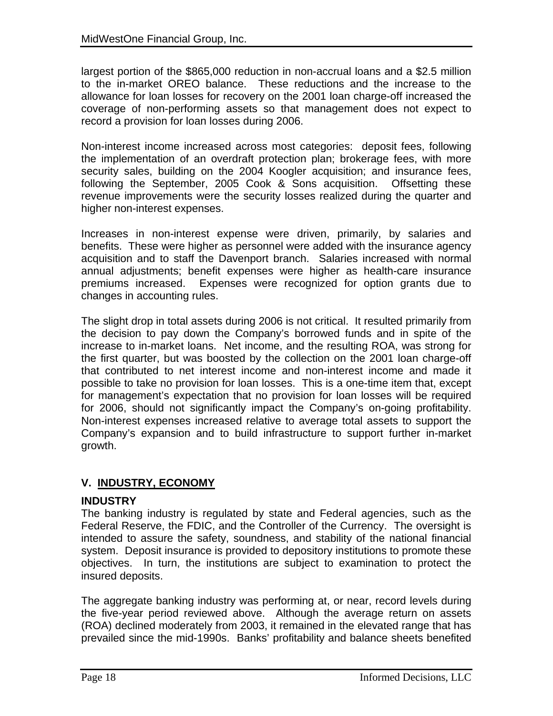largest portion of the \$865,000 reduction in non-accrual loans and a \$2.5 million to the in-market OREO balance. These reductions and the increase to the allowance for loan losses for recovery on the 2001 loan charge-off increased the coverage of non-performing assets so that management does not expect to record a provision for loan losses during 2006.

Non-interest income increased across most categories: deposit fees, following the implementation of an overdraft protection plan; brokerage fees, with more security sales, building on the 2004 Koogler acquisition; and insurance fees, following the September, 2005 Cook & Sons acquisition. Offsetting these revenue improvements were the security losses realized during the quarter and higher non-interest expenses.

Increases in non-interest expense were driven, primarily, by salaries and benefits. These were higher as personnel were added with the insurance agency acquisition and to staff the Davenport branch. Salaries increased with normal annual adjustments; benefit expenses were higher as health-care insurance premiums increased. Expenses were recognized for option grants due to changes in accounting rules.

The slight drop in total assets during 2006 is not critical. It resulted primarily from the decision to pay down the Company's borrowed funds and in spite of the increase to in-market loans. Net income, and the resulting ROA, was strong for the first quarter, but was boosted by the collection on the 2001 loan charge-off that contributed to net interest income and non-interest income and made it possible to take no provision for loan losses. This is a one-time item that, except for management's expectation that no provision for loan losses will be required for 2006, should not significantly impact the Company's on-going profitability. Non-interest expenses increased relative to average total assets to support the Company's expansion and to build infrastructure to support further in-market growth.

## **V. INDUSTRY, ECONOMY**

#### **INDUSTRY**

The banking industry is regulated by state and Federal agencies, such as the Federal Reserve, the FDIC, and the Controller of the Currency. The oversight is intended to assure the safety, soundness, and stability of the national financial system. Deposit insurance is provided to depository institutions to promote these objectives. In turn, the institutions are subject to examination to protect the insured deposits.

The aggregate banking industry was performing at, or near, record levels during the five-year period reviewed above. Although the average return on assets (ROA) declined moderately from 2003, it remained in the elevated range that has prevailed since the mid-1990s. Banks' profitability and balance sheets benefited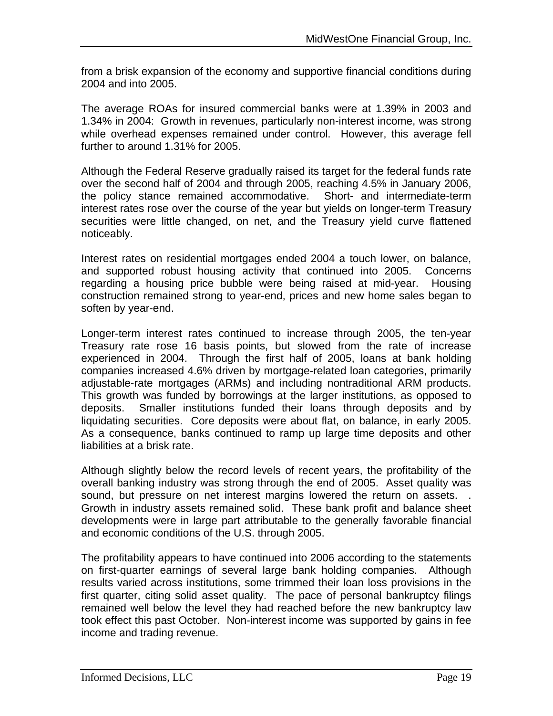from a brisk expansion of the economy and supportive financial conditions during 2004 and into 2005.

The average ROAs for insured commercial banks were at 1.39% in 2003 and 1.34% in 2004: Growth in revenues, particularly non-interest income, was strong while overhead expenses remained under control. However, this average fell further to around 1.31% for 2005.

Although the Federal Reserve gradually raised its target for the federal funds rate over the second half of 2004 and through 2005, reaching 4.5% in January 2006, the policy stance remained accommodative. Short- and intermediate-term interest rates rose over the course of the year but yields on longer-term Treasury securities were little changed, on net, and the Treasury yield curve flattened noticeably.

Interest rates on residential mortgages ended 2004 a touch lower, on balance, and supported robust housing activity that continued into 2005. Concerns regarding a housing price bubble were being raised at mid-year. Housing construction remained strong to year-end, prices and new home sales began to soften by year-end.

Longer-term interest rates continued to increase through 2005, the ten-year Treasury rate rose 16 basis points, but slowed from the rate of increase experienced in 2004. Through the first half of 2005, loans at bank holding companies increased 4.6% driven by mortgage-related loan categories, primarily adjustable-rate mortgages (ARMs) and including nontraditional ARM products. This growth was funded by borrowings at the larger institutions, as opposed to deposits. Smaller institutions funded their loans through deposits and by liquidating securities. Core deposits were about flat, on balance, in early 2005. As a consequence, banks continued to ramp up large time deposits and other liabilities at a brisk rate.

Although slightly below the record levels of recent years, the profitability of the overall banking industry was strong through the end of 2005. Asset quality was sound, but pressure on net interest margins lowered the return on assets. Growth in industry assets remained solid. These bank profit and balance sheet developments were in large part attributable to the generally favorable financial and economic conditions of the U.S. through 2005.

The profitability appears to have continued into 2006 according to the statements on first-quarter earnings of several large bank holding companies. Although results varied across institutions, some trimmed their loan loss provisions in the first quarter, citing solid asset quality. The pace of personal bankruptcy filings remained well below the level they had reached before the new bankruptcy law took effect this past October. Non-interest income was supported by gains in fee income and trading revenue.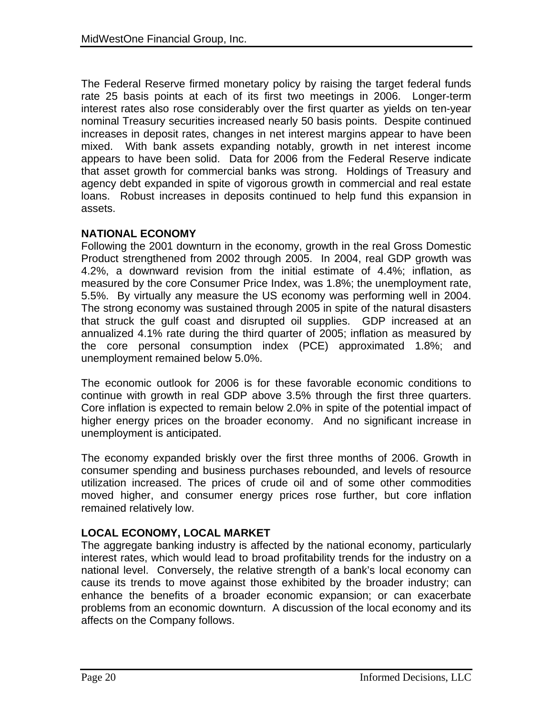The Federal Reserve firmed monetary policy by raising the target federal funds rate 25 basis points at each of its first two meetings in 2006. Longer-term interest rates also rose considerably over the first quarter as yields on ten-year nominal Treasury securities increased nearly 50 basis points. Despite continued increases in deposit rates, changes in net interest margins appear to have been mixed. With bank assets expanding notably, growth in net interest income appears to have been solid. Data for 2006 from the Federal Reserve indicate that asset growth for commercial banks was strong. Holdings of Treasury and agency debt expanded in spite of vigorous growth in commercial and real estate loans. Robust increases in deposits continued to help fund this expansion in assets.

#### **NATIONAL ECONOMY**

Following the 2001 downturn in the economy, growth in the real Gross Domestic Product strengthened from 2002 through 2005. In 2004, real GDP growth was 4.2%, a downward revision from the initial estimate of 4.4%; inflation, as measured by the core Consumer Price Index, was 1.8%; the unemployment rate, 5.5%. By virtually any measure the US economy was performing well in 2004. The strong economy was sustained through 2005 in spite of the natural disasters that struck the gulf coast and disrupted oil supplies. GDP increased at an annualized 4.1% rate during the third quarter of 2005; inflation as measured by the core personal consumption index (PCE) approximated 1.8%; and unemployment remained below 5.0%.

The economic outlook for 2006 is for these favorable economic conditions to continue with growth in real GDP above 3.5% through the first three quarters. Core inflation is expected to remain below 2.0% in spite of the potential impact of higher energy prices on the broader economy. And no significant increase in unemployment is anticipated.

The economy expanded briskly over the first three months of 2006. Growth in consumer spending and business purchases rebounded, and levels of resource utilization increased. The prices of crude oil and of some other commodities moved higher, and consumer energy prices rose further, but core inflation remained relatively low.

## **LOCAL ECONOMY, LOCAL MARKET**

The aggregate banking industry is affected by the national economy, particularly interest rates, which would lead to broad profitability trends for the industry on a national level. Conversely, the relative strength of a bank's local economy can cause its trends to move against those exhibited by the broader industry; can enhance the benefits of a broader economic expansion; or can exacerbate problems from an economic downturn. A discussion of the local economy and its affects on the Company follows.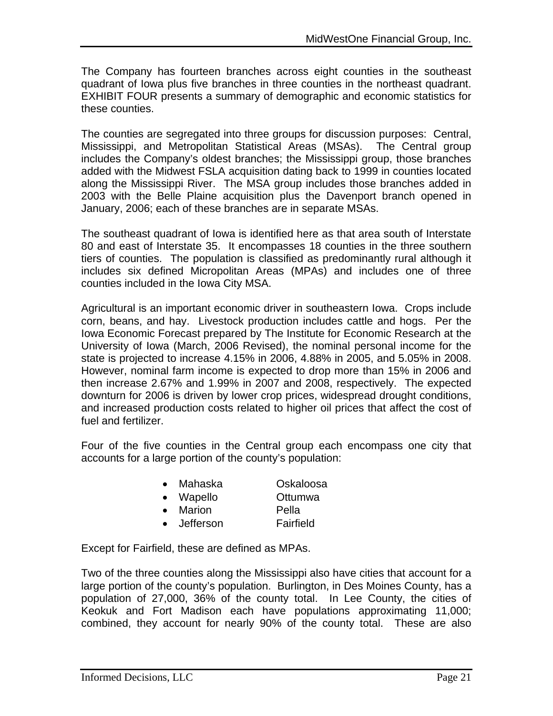The Company has fourteen branches across eight counties in the southeast quadrant of Iowa plus five branches in three counties in the northeast quadrant. EXHIBIT FOUR presents a summary of demographic and economic statistics for these counties.

The counties are segregated into three groups for discussion purposes: Central, Mississippi, and Metropolitan Statistical Areas (MSAs). The Central group includes the Company's oldest branches; the Mississippi group, those branches added with the Midwest FSLA acquisition dating back to 1999 in counties located along the Mississippi River. The MSA group includes those branches added in 2003 with the Belle Plaine acquisition plus the Davenport branch opened in January, 2006; each of these branches are in separate MSAs.

The southeast quadrant of Iowa is identified here as that area south of Interstate 80 and east of Interstate 35. It encompasses 18 counties in the three southern tiers of counties. The population is classified as predominantly rural although it includes six defined Micropolitan Areas (MPAs) and includes one of three counties included in the Iowa City MSA.

Agricultural is an important economic driver in southeastern Iowa. Crops include corn, beans, and hay. Livestock production includes cattle and hogs. Per the Iowa Economic Forecast prepared by The Institute for Economic Research at the University of Iowa (March, 2006 Revised), the nominal personal income for the state is projected to increase 4.15% in 2006, 4.88% in 2005, and 5.05% in 2008. However, nominal farm income is expected to drop more than 15% in 2006 and then increase 2.67% and 1.99% in 2007 and 2008, respectively. The expected downturn for 2006 is driven by lower crop prices, widespread drought conditions, and increased production costs related to higher oil prices that affect the cost of fuel and fertilizer.

Four of the five counties in the Central group each encompass one city that accounts for a large portion of the county's population:

| $\bullet$ | Mahaska   | Oskaloosa |
|-----------|-----------|-----------|
| $\bullet$ | Wapello   | Ottumwa   |
| $\bullet$ | Marion    | Pella     |
| $\bullet$ | Jefferson | Fairfield |

Except for Fairfield, these are defined as MPAs.

Two of the three counties along the Mississippi also have cities that account for a large portion of the county's population. Burlington, in Des Moines County, has a population of 27,000, 36% of the county total. In Lee County, the cities of Keokuk and Fort Madison each have populations approximating 11,000; combined, they account for nearly 90% of the county total. These are also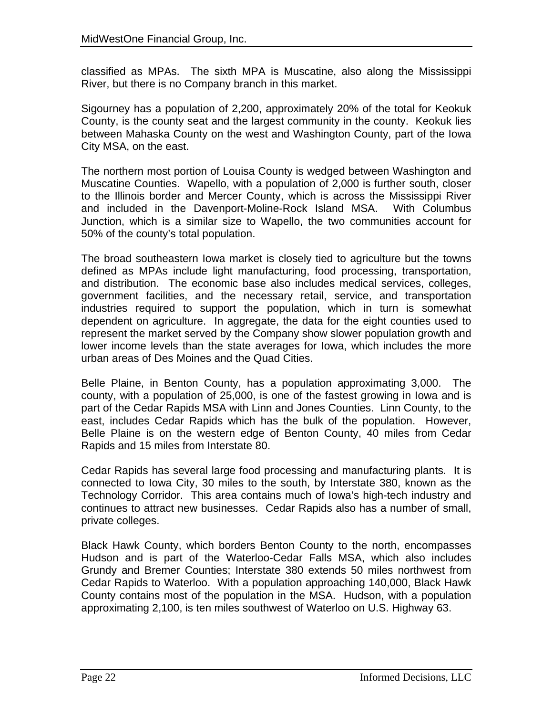classified as MPAs. The sixth MPA is Muscatine, also along the Mississippi River, but there is no Company branch in this market.

Sigourney has a population of 2,200, approximately 20% of the total for Keokuk County, is the county seat and the largest community in the county. Keokuk lies between Mahaska County on the west and Washington County, part of the Iowa City MSA, on the east.

The northern most portion of Louisa County is wedged between Washington and Muscatine Counties. Wapello, with a population of 2,000 is further south, closer to the Illinois border and Mercer County, which is across the Mississippi River and included in the Davenport-Moline-Rock Island MSA. With Columbus Junction, which is a similar size to Wapello, the two communities account for 50% of the county's total population.

The broad southeastern Iowa market is closely tied to agriculture but the towns defined as MPAs include light manufacturing, food processing, transportation, and distribution. The economic base also includes medical services, colleges, government facilities, and the necessary retail, service, and transportation industries required to support the population, which in turn is somewhat dependent on agriculture. In aggregate, the data for the eight counties used to represent the market served by the Company show slower population growth and lower income levels than the state averages for Iowa, which includes the more urban areas of Des Moines and the Quad Cities.

Belle Plaine, in Benton County, has a population approximating 3,000. The county, with a population of 25,000, is one of the fastest growing in Iowa and is part of the Cedar Rapids MSA with Linn and Jones Counties. Linn County, to the east, includes Cedar Rapids which has the bulk of the population. However, Belle Plaine is on the western edge of Benton County, 40 miles from Cedar Rapids and 15 miles from Interstate 80.

Cedar Rapids has several large food processing and manufacturing plants. It is connected to Iowa City, 30 miles to the south, by Interstate 380, known as the Technology Corridor. This area contains much of Iowa's high-tech industry and continues to attract new businesses. Cedar Rapids also has a number of small, private colleges.

Black Hawk County, which borders Benton County to the north, encompasses Hudson and is part of the Waterloo-Cedar Falls MSA, which also includes Grundy and Bremer Counties; Interstate 380 extends 50 miles northwest from Cedar Rapids to Waterloo. With a population approaching 140,000, Black Hawk County contains most of the population in the MSA. Hudson, with a population approximating 2,100, is ten miles southwest of Waterloo on U.S. Highway 63.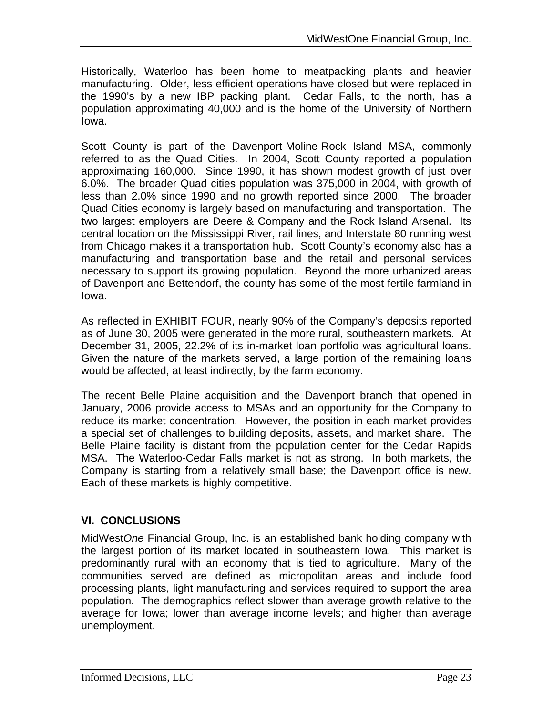Historically, Waterloo has been home to meatpacking plants and heavier manufacturing. Older, less efficient operations have closed but were replaced in the 1990's by a new IBP packing plant. Cedar Falls, to the north, has a population approximating 40,000 and is the home of the University of Northern Iowa.

Scott County is part of the Davenport-Moline-Rock Island MSA, commonly referred to as the Quad Cities. In 2004, Scott County reported a population approximating 160,000. Since 1990, it has shown modest growth of just over 6.0%. The broader Quad cities population was 375,000 in 2004, with growth of less than 2.0% since 1990 and no growth reported since 2000. The broader Quad Cities economy is largely based on manufacturing and transportation. The two largest employers are Deere & Company and the Rock Island Arsenal. Its central location on the Mississippi River, rail lines, and Interstate 80 running west from Chicago makes it a transportation hub. Scott County's economy also has a manufacturing and transportation base and the retail and personal services necessary to support its growing population. Beyond the more urbanized areas of Davenport and Bettendorf, the county has some of the most fertile farmland in Iowa.

As reflected in EXHIBIT FOUR, nearly 90% of the Company's deposits reported as of June 30, 2005 were generated in the more rural, southeastern markets. At December 31, 2005, 22.2% of its in-market loan portfolio was agricultural loans. Given the nature of the markets served, a large portion of the remaining loans would be affected, at least indirectly, by the farm economy.

The recent Belle Plaine acquisition and the Davenport branch that opened in January, 2006 provide access to MSAs and an opportunity for the Company to reduce its market concentration. However, the position in each market provides a special set of challenges to building deposits, assets, and market share. The Belle Plaine facility is distant from the population center for the Cedar Rapids MSA. The Waterloo-Cedar Falls market is not as strong. In both markets, the Company is starting from a relatively small base; the Davenport office is new. Each of these markets is highly competitive.

## **VI. CONCLUSIONS**

MidWest*One* Financial Group, Inc. is an established bank holding company with the largest portion of its market located in southeastern Iowa. This market is predominantly rural with an economy that is tied to agriculture. Many of the communities served are defined as micropolitan areas and include food processing plants, light manufacturing and services required to support the area population. The demographics reflect slower than average growth relative to the average for Iowa; lower than average income levels; and higher than average unemployment.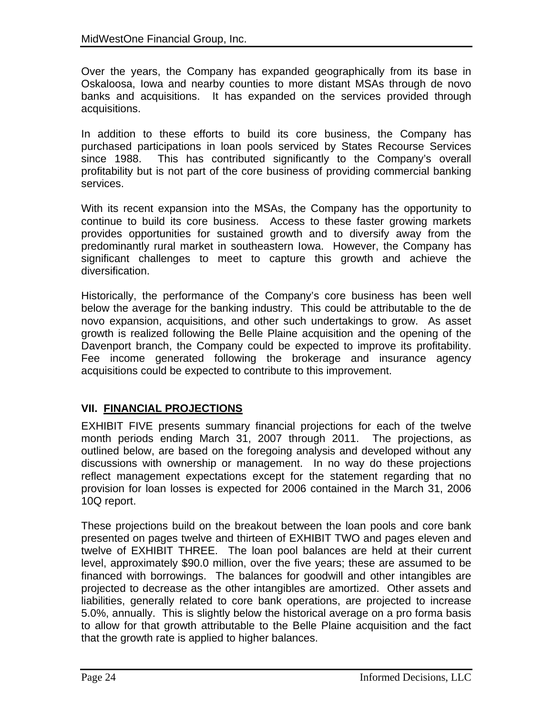Over the years, the Company has expanded geographically from its base in Oskaloosa, Iowa and nearby counties to more distant MSAs through de novo banks and acquisitions. It has expanded on the services provided through acquisitions.

In addition to these efforts to build its core business, the Company has purchased participations in loan pools serviced by States Recourse Services since 1988. This has contributed significantly to the Company's overall profitability but is not part of the core business of providing commercial banking services.

With its recent expansion into the MSAs, the Company has the opportunity to continue to build its core business. Access to these faster growing markets provides opportunities for sustained growth and to diversify away from the predominantly rural market in southeastern Iowa. However, the Company has significant challenges to meet to capture this growth and achieve the diversification.

Historically, the performance of the Company's core business has been well below the average for the banking industry. This could be attributable to the de novo expansion, acquisitions, and other such undertakings to grow. As asset growth is realized following the Belle Plaine acquisition and the opening of the Davenport branch, the Company could be expected to improve its profitability. Fee income generated following the brokerage and insurance agency acquisitions could be expected to contribute to this improvement.

## **VII. FINANCIAL PROJECTIONS**

EXHIBIT FIVE presents summary financial projections for each of the twelve month periods ending March 31, 2007 through 2011. The projections, as outlined below, are based on the foregoing analysis and developed without any discussions with ownership or management. In no way do these projections reflect management expectations except for the statement regarding that no provision for loan losses is expected for 2006 contained in the March 31, 2006 10Q report.

These projections build on the breakout between the loan pools and core bank presented on pages twelve and thirteen of EXHIBIT TWO and pages eleven and twelve of EXHIBIT THREE. The loan pool balances are held at their current level, approximately \$90.0 million, over the five years; these are assumed to be financed with borrowings. The balances for goodwill and other intangibles are projected to decrease as the other intangibles are amortized. Other assets and liabilities, generally related to core bank operations, are projected to increase 5.0%, annually. This is slightly below the historical average on a pro forma basis to allow for that growth attributable to the Belle Plaine acquisition and the fact that the growth rate is applied to higher balances.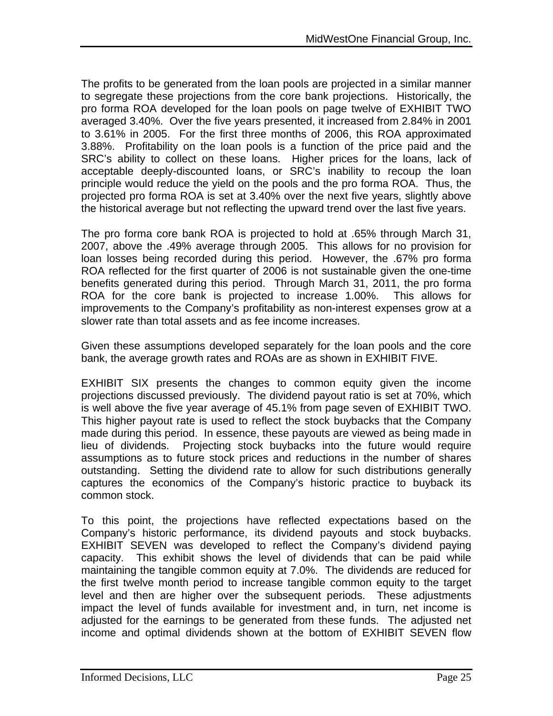The profits to be generated from the loan pools are projected in a similar manner to segregate these projections from the core bank projections. Historically, the pro forma ROA developed for the loan pools on page twelve of EXHIBIT TWO averaged 3.40%. Over the five years presented, it increased from 2.84% in 2001 to 3.61% in 2005. For the first three months of 2006, this ROA approximated 3.88%. Profitability on the loan pools is a function of the price paid and the SRC's ability to collect on these loans. Higher prices for the loans, lack of acceptable deeply-discounted loans, or SRC's inability to recoup the loan principle would reduce the yield on the pools and the pro forma ROA. Thus, the projected pro forma ROA is set at 3.40% over the next five years, slightly above the historical average but not reflecting the upward trend over the last five years.

The pro forma core bank ROA is projected to hold at .65% through March 31, 2007, above the .49% average through 2005. This allows for no provision for loan losses being recorded during this period. However, the .67% pro forma ROA reflected for the first quarter of 2006 is not sustainable given the one-time benefits generated during this period. Through March 31, 2011, the pro forma ROA for the core bank is projected to increase 1.00%. This allows for improvements to the Company's profitability as non-interest expenses grow at a slower rate than total assets and as fee income increases.

Given these assumptions developed separately for the loan pools and the core bank, the average growth rates and ROAs are as shown in EXHIBIT FIVE.

EXHIBIT SIX presents the changes to common equity given the income projections discussed previously. The dividend payout ratio is set at 70%, which is well above the five year average of 45.1% from page seven of EXHIBIT TWO. This higher payout rate is used to reflect the stock buybacks that the Company made during this period. In essence, these payouts are viewed as being made in lieu of dividends. Projecting stock buybacks into the future would require assumptions as to future stock prices and reductions in the number of shares outstanding. Setting the dividend rate to allow for such distributions generally captures the economics of the Company's historic practice to buyback its common stock.

To this point, the projections have reflected expectations based on the Company's historic performance, its dividend payouts and stock buybacks. EXHIBIT SEVEN was developed to reflect the Company's dividend paying capacity. This exhibit shows the level of dividends that can be paid while maintaining the tangible common equity at 7.0%. The dividends are reduced for the first twelve month period to increase tangible common equity to the target level and then are higher over the subsequent periods. These adjustments impact the level of funds available for investment and, in turn, net income is adjusted for the earnings to be generated from these funds. The adjusted net income and optimal dividends shown at the bottom of EXHIBIT SEVEN flow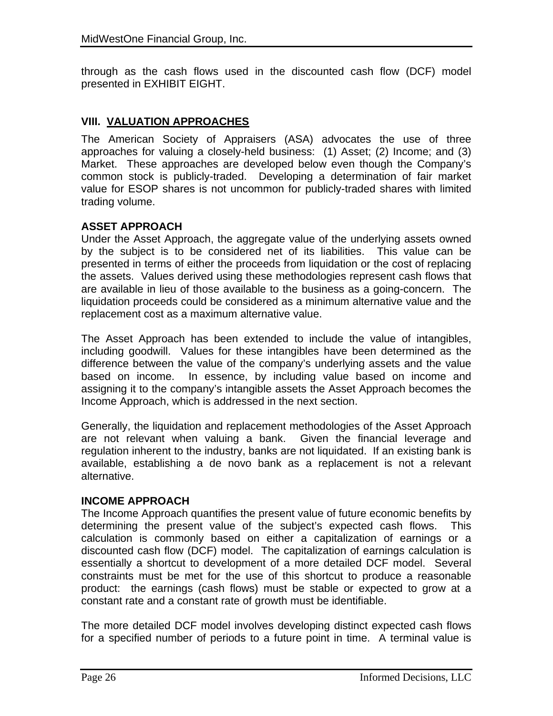through as the cash flows used in the discounted cash flow (DCF) model presented in EXHIBIT EIGHT.

## **VIII. VALUATION APPROACHES**

The American Society of Appraisers (ASA) advocates the use of three approaches for valuing a closely-held business: (1) Asset; (2) Income; and (3) Market. These approaches are developed below even though the Company's common stock is publicly-traded. Developing a determination of fair market value for ESOP shares is not uncommon for publicly-traded shares with limited trading volume.

#### **ASSET APPROACH**

Under the Asset Approach, the aggregate value of the underlying assets owned by the subject is to be considered net of its liabilities. This value can be presented in terms of either the proceeds from liquidation or the cost of replacing the assets. Values derived using these methodologies represent cash flows that are available in lieu of those available to the business as a going-concern. The liquidation proceeds could be considered as a minimum alternative value and the replacement cost as a maximum alternative value.

The Asset Approach has been extended to include the value of intangibles, including goodwill. Values for these intangibles have been determined as the difference between the value of the company's underlying assets and the value based on income. In essence, by including value based on income and assigning it to the company's intangible assets the Asset Approach becomes the Income Approach, which is addressed in the next section.

Generally, the liquidation and replacement methodologies of the Asset Approach are not relevant when valuing a bank. Given the financial leverage and regulation inherent to the industry, banks are not liquidated. If an existing bank is available, establishing a de novo bank as a replacement is not a relevant alternative.

#### **INCOME APPROACH**

The Income Approach quantifies the present value of future economic benefits by determining the present value of the subject's expected cash flows. This calculation is commonly based on either a capitalization of earnings or a discounted cash flow (DCF) model. The capitalization of earnings calculation is essentially a shortcut to development of a more detailed DCF model. Several constraints must be met for the use of this shortcut to produce a reasonable product: the earnings (cash flows) must be stable or expected to grow at a constant rate and a constant rate of growth must be identifiable.

The more detailed DCF model involves developing distinct expected cash flows for a specified number of periods to a future point in time. A terminal value is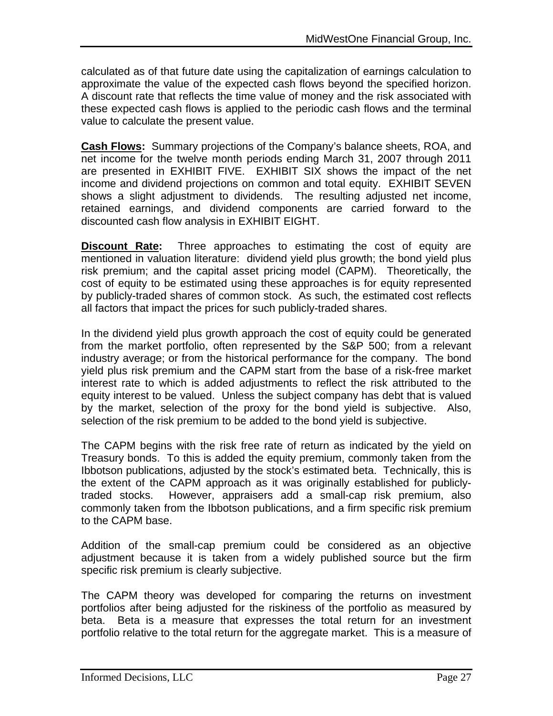calculated as of that future date using the capitalization of earnings calculation to approximate the value of the expected cash flows beyond the specified horizon. A discount rate that reflects the time value of money and the risk associated with these expected cash flows is applied to the periodic cash flows and the terminal value to calculate the present value.

**Cash Flows:** Summary projections of the Company's balance sheets, ROA, and net income for the twelve month periods ending March 31, 2007 through 2011 are presented in EXHIBIT FIVE. EXHIBIT SIX shows the impact of the net income and dividend projections on common and total equity. EXHIBIT SEVEN shows a slight adjustment to dividends. The resulting adjusted net income, retained earnings, and dividend components are carried forward to the discounted cash flow analysis in EXHIBIT EIGHT.

**Discount Rate:** Three approaches to estimating the cost of equity are mentioned in valuation literature: dividend yield plus growth; the bond yield plus risk premium; and the capital asset pricing model (CAPM). Theoretically, the cost of equity to be estimated using these approaches is for equity represented by publicly-traded shares of common stock. As such, the estimated cost reflects all factors that impact the prices for such publicly-traded shares.

In the dividend yield plus growth approach the cost of equity could be generated from the market portfolio, often represented by the S&P 500; from a relevant industry average; or from the historical performance for the company. The bond yield plus risk premium and the CAPM start from the base of a risk-free market interest rate to which is added adjustments to reflect the risk attributed to the equity interest to be valued. Unless the subject company has debt that is valued by the market, selection of the proxy for the bond yield is subjective. Also, selection of the risk premium to be added to the bond yield is subjective.

The CAPM begins with the risk free rate of return as indicated by the yield on Treasury bonds. To this is added the equity premium, commonly taken from the Ibbotson publications, adjusted by the stock's estimated beta. Technically, this is the extent of the CAPM approach as it was originally established for publiclytraded stocks. However, appraisers add a small-cap risk premium, also commonly taken from the Ibbotson publications, and a firm specific risk premium to the CAPM base.

Addition of the small-cap premium could be considered as an objective adjustment because it is taken from a widely published source but the firm specific risk premium is clearly subjective.

The CAPM theory was developed for comparing the returns on investment portfolios after being adjusted for the riskiness of the portfolio as measured by beta. Beta is a measure that expresses the total return for an investment portfolio relative to the total return for the aggregate market. This is a measure of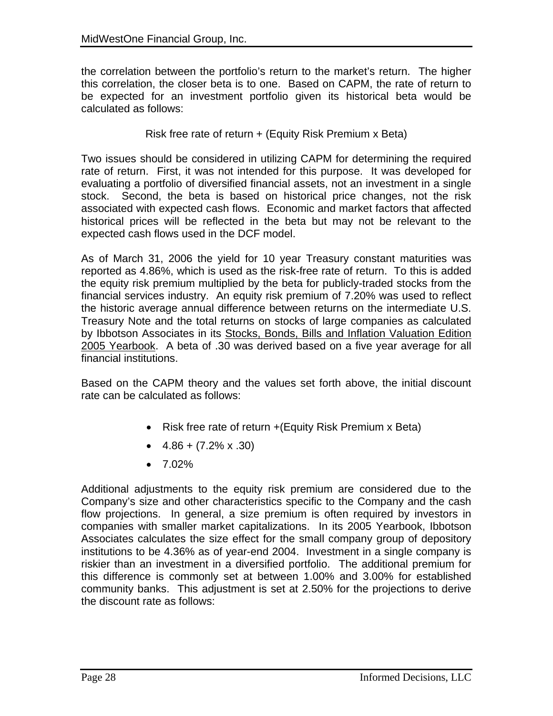the correlation between the portfolio's return to the market's return. The higher this correlation, the closer beta is to one. Based on CAPM, the rate of return to be expected for an investment portfolio given its historical beta would be calculated as follows:

Risk free rate of return + (Equity Risk Premium x Beta)

Two issues should be considered in utilizing CAPM for determining the required rate of return. First, it was not intended for this purpose. It was developed for evaluating a portfolio of diversified financial assets, not an investment in a single stock. Second, the beta is based on historical price changes, not the risk associated with expected cash flows. Economic and market factors that affected historical prices will be reflected in the beta but may not be relevant to the expected cash flows used in the DCF model.

As of March 31, 2006 the yield for 10 year Treasury constant maturities was reported as 4.86%, which is used as the risk-free rate of return. To this is added the equity risk premium multiplied by the beta for publicly-traded stocks from the financial services industry. An equity risk premium of 7.20% was used to reflect the historic average annual difference between returns on the intermediate U.S. Treasury Note and the total returns on stocks of large companies as calculated by Ibbotson Associates in its Stocks, Bonds, Bills and Inflation Valuation Edition 2005 Yearbook. A beta of .30 was derived based on a five year average for all financial institutions.

Based on the CAPM theory and the values set forth above, the initial discount rate can be calculated as follows:

- Risk free rate of return + (Equity Risk Premium x Beta)
- $\bullet$  4.86 + (7.2% x .30)
- $7.02\%$

Additional adjustments to the equity risk premium are considered due to the Company's size and other characteristics specific to the Company and the cash flow projections. In general, a size premium is often required by investors in companies with smaller market capitalizations. In its 2005 Yearbook, Ibbotson Associates calculates the size effect for the small company group of depository institutions to be 4.36% as of year-end 2004. Investment in a single company is riskier than an investment in a diversified portfolio. The additional premium for this difference is commonly set at between 1.00% and 3.00% for established community banks. This adjustment is set at 2.50% for the projections to derive the discount rate as follows: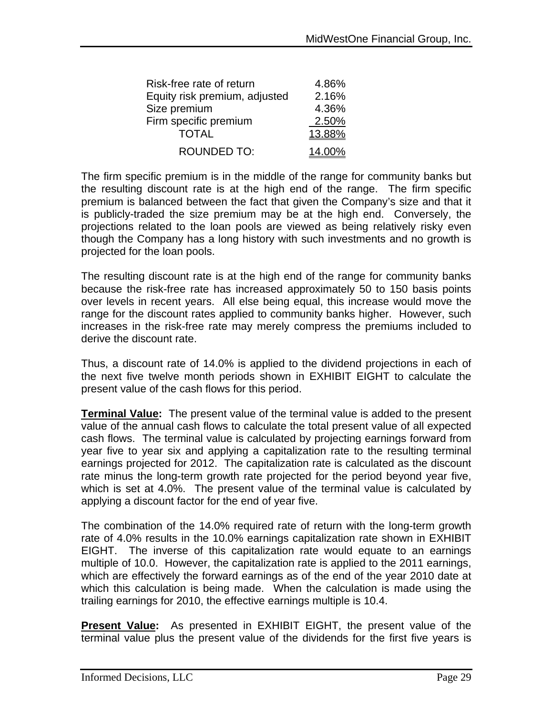| Risk-free rate of return      | 4.86%  |
|-------------------------------|--------|
| Equity risk premium, adjusted | 2.16%  |
| Size premium                  | 4.36%  |
| Firm specific premium         | 2.50%  |
| <b>TOTAL</b>                  | 13.88% |
| <b>ROUNDED TO:</b>            | 14.00% |

The firm specific premium is in the middle of the range for community banks but the resulting discount rate is at the high end of the range. The firm specific premium is balanced between the fact that given the Company's size and that it is publicly-traded the size premium may be at the high end. Conversely, the projections related to the loan pools are viewed as being relatively risky even though the Company has a long history with such investments and no growth is projected for the loan pools.

The resulting discount rate is at the high end of the range for community banks because the risk-free rate has increased approximately 50 to 150 basis points over levels in recent years. All else being equal, this increase would move the range for the discount rates applied to community banks higher. However, such increases in the risk-free rate may merely compress the premiums included to derive the discount rate.

Thus, a discount rate of 14.0% is applied to the dividend projections in each of the next five twelve month periods shown in EXHIBIT EIGHT to calculate the present value of the cash flows for this period.

**Terminal Value:** The present value of the terminal value is added to the present value of the annual cash flows to calculate the total present value of all expected cash flows. The terminal value is calculated by projecting earnings forward from year five to year six and applying a capitalization rate to the resulting terminal earnings projected for 2012. The capitalization rate is calculated as the discount rate minus the long-term growth rate projected for the period beyond year five, which is set at 4.0%. The present value of the terminal value is calculated by applying a discount factor for the end of year five.

The combination of the 14.0% required rate of return with the long-term growth rate of 4.0% results in the 10.0% earnings capitalization rate shown in EXHIBIT EIGHT. The inverse of this capitalization rate would equate to an earnings multiple of 10.0. However, the capitalization rate is applied to the 2011 earnings, which are effectively the forward earnings as of the end of the year 2010 date at which this calculation is being made. When the calculation is made using the trailing earnings for 2010, the effective earnings multiple is 10.4.

**Present Value:** As presented in EXHIBIT EIGHT, the present value of the terminal value plus the present value of the dividends for the first five years is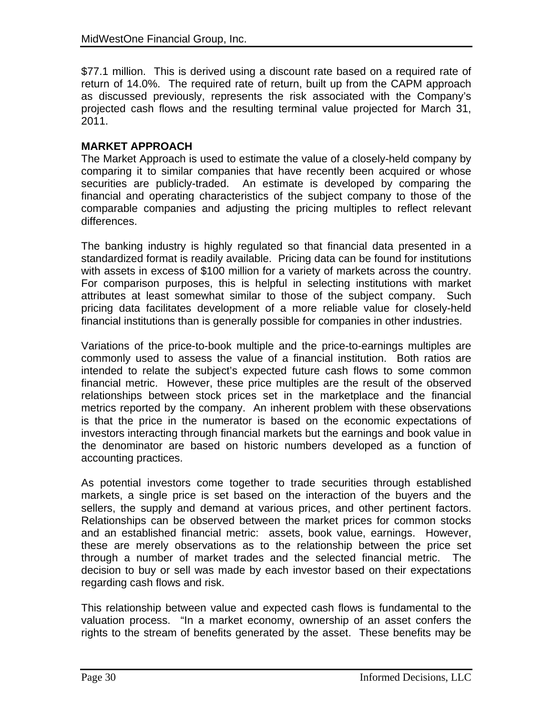\$77.1 million. This is derived using a discount rate based on a required rate of return of 14.0%. The required rate of return, built up from the CAPM approach as discussed previously, represents the risk associated with the Company's projected cash flows and the resulting terminal value projected for March 31, 2011.

## **MARKET APPROACH**

The Market Approach is used to estimate the value of a closely-held company by comparing it to similar companies that have recently been acquired or whose securities are publicly-traded. An estimate is developed by comparing the financial and operating characteristics of the subject company to those of the comparable companies and adjusting the pricing multiples to reflect relevant differences.

The banking industry is highly regulated so that financial data presented in a standardized format is readily available. Pricing data can be found for institutions with assets in excess of \$100 million for a variety of markets across the country. For comparison purposes, this is helpful in selecting institutions with market attributes at least somewhat similar to those of the subject company. Such pricing data facilitates development of a more reliable value for closely-held financial institutions than is generally possible for companies in other industries.

Variations of the price-to-book multiple and the price-to-earnings multiples are commonly used to assess the value of a financial institution. Both ratios are intended to relate the subject's expected future cash flows to some common financial metric. However, these price multiples are the result of the observed relationships between stock prices set in the marketplace and the financial metrics reported by the company. An inherent problem with these observations is that the price in the numerator is based on the economic expectations of investors interacting through financial markets but the earnings and book value in the denominator are based on historic numbers developed as a function of accounting practices.

As potential investors come together to trade securities through established markets, a single price is set based on the interaction of the buyers and the sellers, the supply and demand at various prices, and other pertinent factors. Relationships can be observed between the market prices for common stocks and an established financial metric: assets, book value, earnings. However, these are merely observations as to the relationship between the price set through a number of market trades and the selected financial metric. The decision to buy or sell was made by each investor based on their expectations regarding cash flows and risk.

This relationship between value and expected cash flows is fundamental to the valuation process. "In a market economy, ownership of an asset confers the rights to the stream of benefits generated by the asset. These benefits may be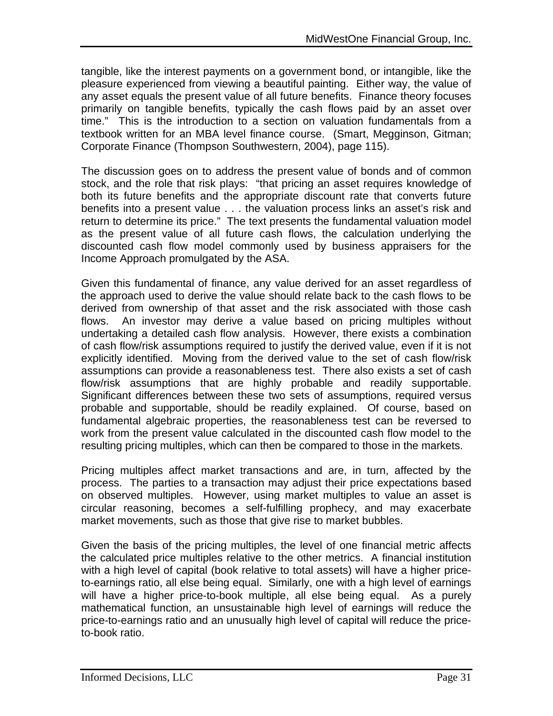tangible, like the interest payments on a government bond, or intangible, like the pleasure experienced from viewing a beautiful painting. Either way, the value of any asset equals the present value of all future benefits. Finance theory focuses primarily on tangible benefits, typically the cash flows paid by an asset over time." This is the introduction to a section on valuation fundamentals from a textbook written for an MBA level finance course. (Smart, Megginson, Gitman; Corporate Finance (Thompson Southwestern, 2004), page 115).

The discussion goes on to address the present value of bonds and of common stock, and the role that risk plays: "that pricing an asset requires knowledge of both its future benefits and the appropriate discount rate that converts future benefits into a present value . . . the valuation process links an asset's risk and return to determine its price." The text presents the fundamental valuation model as the present value of all future cash flows, the calculation underlying the discounted cash flow model commonly used by business appraisers for the Income Approach promulgated by the ASA.

Given this fundamental of finance, any value derived for an asset regardless of the approach used to derive the value should relate back to the cash flows to be derived from ownership of that asset and the risk associated with those cash flows. An investor may derive a value based on pricing multiples without undertaking a detailed cash flow analysis. However, there exists a combination of cash flow/risk assumptions required to justify the derived value, even if it is not explicitly identified. Moving from the derived value to the set of cash flow/risk assumptions can provide a reasonableness test. There also exists a set of cash flow/risk assumptions that are highly probable and readily supportable. Significant differences between these two sets of assumptions, required versus probable and supportable, should be readily explained. Of course, based on fundamental algebraic properties, the reasonableness test can be reversed to work from the present value calculated in the discounted cash flow model to the resulting pricing multiples, which can then be compared to those in the markets.

Pricing multiples affect market transactions and are, in turn, affected by the process. The parties to a transaction may adjust their price expectations based on observed multiples. However, using market multiples to value an asset is circular reasoning, becomes a self-fulfilling prophecy, and may exacerbate market movements, such as those that give rise to market bubbles.

Given the basis of the pricing multiples, the level of one financial metric affects the calculated price multiples relative to the other metrics. A financial institution with a high level of capital (book relative to total assets) will have a higher priceto-earnings ratio, all else being equal. Similarly, one with a high level of earnings will have a higher price-to-book multiple, all else being equal. As a purely mathematical function, an unsustainable high level of earnings will reduce the price-to-earnings ratio and an unusually high level of capital will reduce the priceto-book ratio.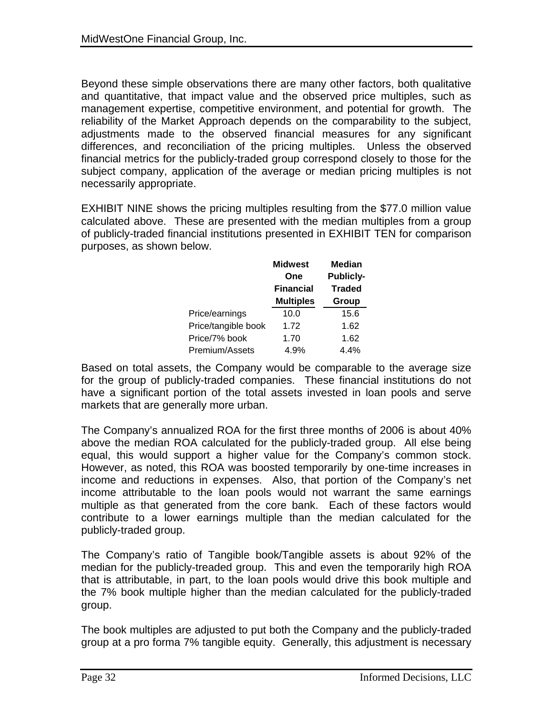Beyond these simple observations there are many other factors, both qualitative and quantitative, that impact value and the observed price multiples, such as management expertise, competitive environment, and potential for growth. The reliability of the Market Approach depends on the comparability to the subject, adjustments made to the observed financial measures for any significant differences, and reconciliation of the pricing multiples. Unless the observed financial metrics for the publicly-traded group correspond closely to those for the subject company, application of the average or median pricing multiples is not necessarily appropriate.

EXHIBIT NINE shows the pricing multiples resulting from the \$77.0 million value calculated above. These are presented with the median multiples from a group of publicly-traded financial institutions presented in EXHIBIT TEN for comparison purposes, as shown below.

|                     | <b>Midwest</b><br>One<br><b>Financial</b> | <b>Median</b><br><b>Publicly-</b><br><b>Traded</b><br>Group |  |  |
|---------------------|-------------------------------------------|-------------------------------------------------------------|--|--|
|                     | <b>Multiples</b>                          |                                                             |  |  |
| Price/earnings      | 10.0                                      | 15.6                                                        |  |  |
| Price/tangible book | 1.72                                      | 1.62                                                        |  |  |
| Price/7% book       | 1.70                                      | 1.62                                                        |  |  |
| Premium/Assets      | 4.9%                                      | 4.4%                                                        |  |  |

Based on total assets, the Company would be comparable to the average size for the group of publicly-traded companies. These financial institutions do not have a significant portion of the total assets invested in loan pools and serve markets that are generally more urban.

The Company's annualized ROA for the first three months of 2006 is about 40% above the median ROA calculated for the publicly-traded group. All else being equal, this would support a higher value for the Company's common stock. However, as noted, this ROA was boosted temporarily by one-time increases in income and reductions in expenses. Also, that portion of the Company's net income attributable to the loan pools would not warrant the same earnings multiple as that generated from the core bank. Each of these factors would contribute to a lower earnings multiple than the median calculated for the publicly-traded group.

The Company's ratio of Tangible book/Tangible assets is about 92% of the median for the publicly-treaded group. This and even the temporarily high ROA that is attributable, in part, to the loan pools would drive this book multiple and the 7% book multiple higher than the median calculated for the publicly-traded group.

The book multiples are adjusted to put both the Company and the publicly-traded group at a pro forma 7% tangible equity. Generally, this adjustment is necessary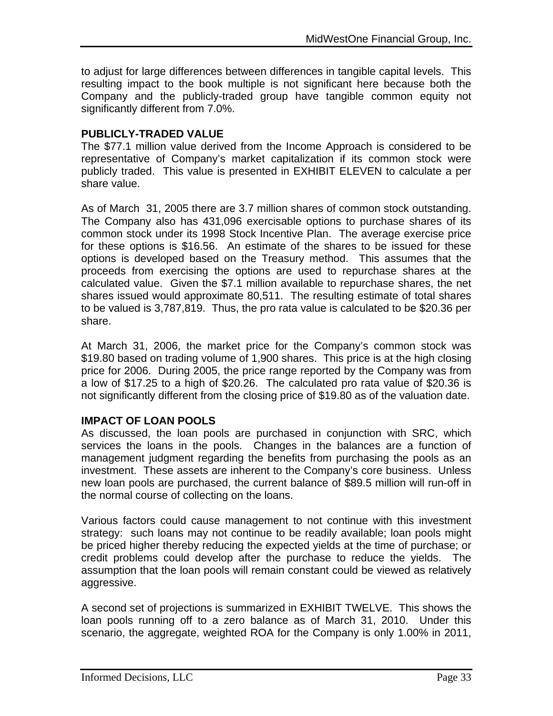to adjust for large differences between differences in tangible capital levels. This resulting impact to the book multiple is not significant here because both the Company and the publicly-traded group have tangible common equity not significantly different from 7.0%.

#### **PUBLICLY-TRADED VALUE**

The \$77.1 million value derived from the Income Approach is considered to be representative of Company's market capitalization if its common stock were publicly traded. This value is presented in EXHIBIT ELEVEN to calculate a per share value.

As of March 31, 2005 there are 3.7 million shares of common stock outstanding. The Company also has 431,096 exercisable options to purchase shares of its common stock under its 1998 Stock Incentive Plan. The average exercise price for these options is \$16.56. An estimate of the shares to be issued for these options is developed based on the Treasury method. This assumes that the proceeds from exercising the options are used to repurchase shares at the calculated value. Given the \$7.1 million available to repurchase shares, the net shares issued would approximate 80,511. The resulting estimate of total shares to be valued is 3,787,819. Thus, the pro rata value is calculated to be \$20.36 per share.

At March 31, 2006, the market price for the Company's common stock was \$19.80 based on trading volume of 1,900 shares. This price is at the high closing price for 2006. During 2005, the price range reported by the Company was from a low of \$17.25 to a high of \$20.26. The calculated pro rata value of \$20.36 is not significantly different from the closing price of \$19.80 as of the valuation date.

#### **IMPACT OF LOAN POOLS**

As discussed, the loan pools are purchased in conjunction with SRC, which services the loans in the pools. Changes in the balances are a function of management judgment regarding the benefits from purchasing the pools as an investment. These assets are inherent to the Company's core business. Unless new loan pools are purchased, the current balance of \$89.5 million will run-off in the normal course of collecting on the loans.

Various factors could cause management to not continue with this investment strategy: such loans may not continue to be readily available; loan pools might be priced higher thereby reducing the expected yields at the time of purchase; or credit problems could develop after the purchase to reduce the yields. The assumption that the loan pools will remain constant could be viewed as relatively aggressive.

A second set of projections is summarized in EXHIBIT TWELVE. This shows the loan pools running off to a zero balance as of March 31, 2010. Under this scenario, the aggregate, weighted ROA for the Company is only 1.00% in 2011,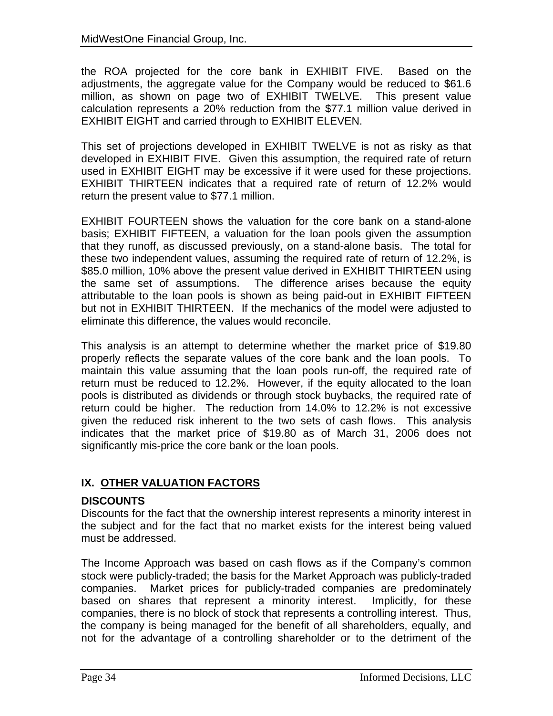the ROA projected for the core bank in EXHIBIT FIVE. Based on the adjustments, the aggregate value for the Company would be reduced to \$61.6 million, as shown on page two of EXHIBIT TWELVE. This present value calculation represents a 20% reduction from the \$77.1 million value derived in EXHIBIT EIGHT and carried through to EXHIBIT ELEVEN.

This set of projections developed in EXHIBIT TWELVE is not as risky as that developed in EXHIBIT FIVE. Given this assumption, the required rate of return used in EXHIBIT EIGHT may be excessive if it were used for these projections. EXHIBIT THIRTEEN indicates that a required rate of return of 12.2% would return the present value to \$77.1 million.

EXHIBIT FOURTEEN shows the valuation for the core bank on a stand-alone basis; EXHIBIT FIFTEEN, a valuation for the loan pools given the assumption that they runoff, as discussed previously, on a stand-alone basis. The total for these two independent values, assuming the required rate of return of 12.2%, is \$85.0 million, 10% above the present value derived in EXHIBIT THIRTEEN using the same set of assumptions. The difference arises because the equity attributable to the loan pools is shown as being paid-out in EXHIBIT FIFTEEN but not in EXHIBIT THIRTEEN. If the mechanics of the model were adjusted to eliminate this difference, the values would reconcile.

This analysis is an attempt to determine whether the market price of \$19.80 properly reflects the separate values of the core bank and the loan pools. To maintain this value assuming that the loan pools run-off, the required rate of return must be reduced to 12.2%. However, if the equity allocated to the loan pools is distributed as dividends or through stock buybacks, the required rate of return could be higher. The reduction from 14.0% to 12.2% is not excessive given the reduced risk inherent to the two sets of cash flows. This analysis indicates that the market price of \$19.80 as of March 31, 2006 does not significantly mis-price the core bank or the loan pools.

### **IX. OTHER VALUATION FACTORS**

### **DISCOUNTS**

Discounts for the fact that the ownership interest represents a minority interest in the subject and for the fact that no market exists for the interest being valued must be addressed.

The Income Approach was based on cash flows as if the Company's common stock were publicly-traded; the basis for the Market Approach was publicly-traded companies. Market prices for publicly-traded companies are predominately based on shares that represent a minority interest. Implicitly, for these companies, there is no block of stock that represents a controlling interest. Thus, the company is being managed for the benefit of all shareholders, equally, and not for the advantage of a controlling shareholder or to the detriment of the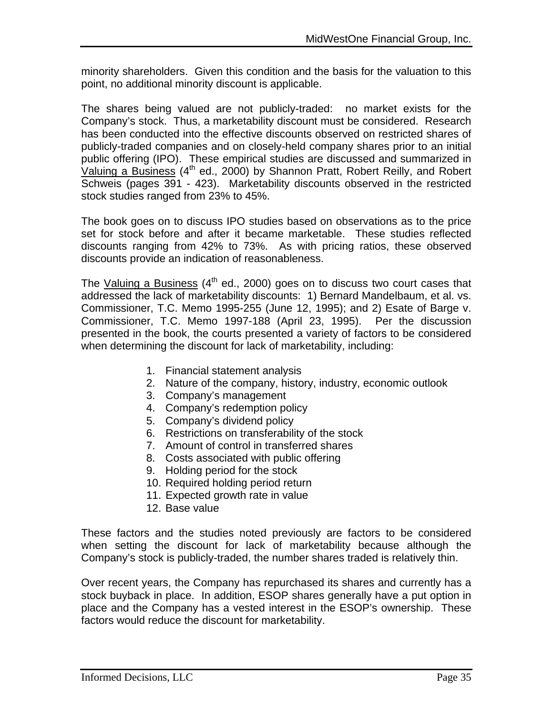minority shareholders. Given this condition and the basis for the valuation to this point, no additional minority discount is applicable.

The shares being valued are not publicly-traded: no market exists for the Company's stock. Thus, a marketability discount must be considered. Research has been conducted into the effective discounts observed on restricted shares of publicly-traded companies and on closely-held company shares prior to an initial public offering (IPO). These empirical studies are discussed and summarized in Valuing a Business  $(4^{th}$  ed., 2000) by Shannon Pratt, Robert Reilly, and Robert Schweis (pages 391 - 423). Marketability discounts observed in the restricted stock studies ranged from 23% to 45%.

The book goes on to discuss IPO studies based on observations as to the price set for stock before and after it became marketable. These studies reflected discounts ranging from 42% to 73%. As with pricing ratios, these observed discounts provide an indication of reasonableness.

The Valuing a Business  $(4<sup>th</sup>$  ed., 2000) goes on to discuss two court cases that addressed the lack of marketability discounts: 1) Bernard Mandelbaum, et al. vs. Commissioner, T.C. Memo 1995-255 (June 12, 1995); and 2) Esate of Barge v. Commissioner, T.C. Memo 1997-188 (April 23, 1995). Per the discussion presented in the book, the courts presented a variety of factors to be considered when determining the discount for lack of marketability, including:

- 1. Financial statement analysis
- 2. Nature of the company, history, industry, economic outlook
- 3. Company's management
- 4. Company's redemption policy
- 5. Company's dividend policy
- 6. Restrictions on transferability of the stock
- 7. Amount of control in transferred shares
- 8. Costs associated with public offering
- 9. Holding period for the stock
- 10. Required holding period return
- 11. Expected growth rate in value
- 12. Base value

These factors and the studies noted previously are factors to be considered when setting the discount for lack of marketability because although the Company's stock is publicly-traded, the number shares traded is relatively thin.

Over recent years, the Company has repurchased its shares and currently has a stock buyback in place. In addition, ESOP shares generally have a put option in place and the Company has a vested interest in the ESOP's ownership. These factors would reduce the discount for marketability.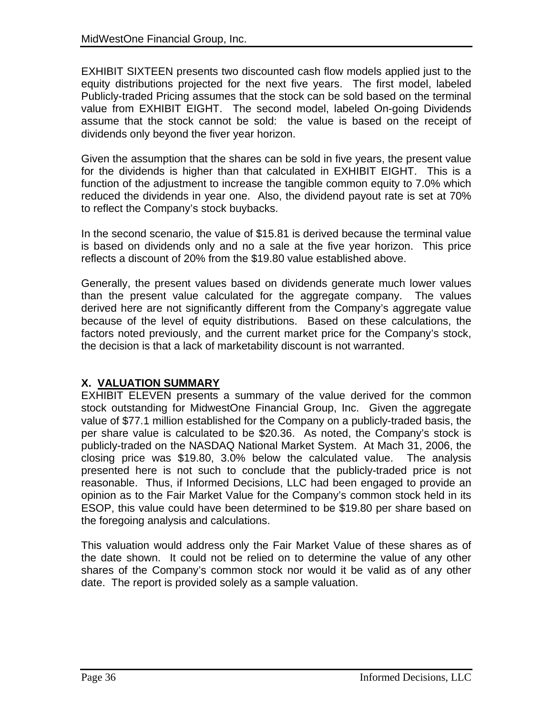EXHIBIT SIXTEEN presents two discounted cash flow models applied just to the equity distributions projected for the next five years. The first model, labeled Publicly-traded Pricing assumes that the stock can be sold based on the terminal value from EXHIBIT EIGHT. The second model, labeled On-going Dividends assume that the stock cannot be sold: the value is based on the receipt of dividends only beyond the fiver year horizon.

Given the assumption that the shares can be sold in five years, the present value for the dividends is higher than that calculated in EXHIBIT EIGHT. This is a function of the adjustment to increase the tangible common equity to 7.0% which reduced the dividends in year one. Also, the dividend payout rate is set at 70% to reflect the Company's stock buybacks.

In the second scenario, the value of \$15.81 is derived because the terminal value is based on dividends only and no a sale at the five year horizon. This price reflects a discount of 20% from the \$19.80 value established above.

Generally, the present values based on dividends generate much lower values than the present value calculated for the aggregate company. The values derived here are not significantly different from the Company's aggregate value because of the level of equity distributions. Based on these calculations, the factors noted previously, and the current market price for the Company's stock, the decision is that a lack of marketability discount is not warranted.

### **X. VALUATION SUMMARY**

EXHIBIT ELEVEN presents a summary of the value derived for the common stock outstanding for MidwestOne Financial Group, Inc. Given the aggregate value of \$77.1 million established for the Company on a publicly-traded basis, the per share value is calculated to be \$20.36. As noted, the Company's stock is publicly-traded on the NASDAQ National Market System. At Mach 31, 2006, the closing price was \$19.80, 3.0% below the calculated value. The analysis presented here is not such to conclude that the publicly-traded price is not reasonable. Thus, if Informed Decisions, LLC had been engaged to provide an opinion as to the Fair Market Value for the Company's common stock held in its ESOP, this value could have been determined to be \$19.80 per share based on the foregoing analysis and calculations.

This valuation would address only the Fair Market Value of these shares as of the date shown. It could not be relied on to determine the value of any other shares of the Company's common stock nor would it be valid as of any other date. The report is provided solely as a sample valuation.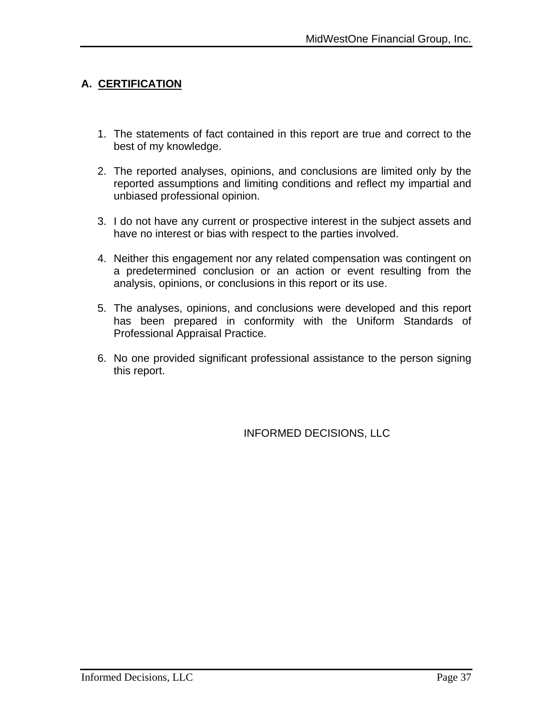### **A. CERTIFICATION**

- 1. The statements of fact contained in this report are true and correct to the best of my knowledge.
- 2. The reported analyses, opinions, and conclusions are limited only by the reported assumptions and limiting conditions and reflect my impartial and unbiased professional opinion.
- 3. I do not have any current or prospective interest in the subject assets and have no interest or bias with respect to the parties involved.
- 4. Neither this engagement nor any related compensation was contingent on a predetermined conclusion or an action or event resulting from the analysis, opinions, or conclusions in this report or its use.
- 5. The analyses, opinions, and conclusions were developed and this report has been prepared in conformity with the Uniform Standards of Professional Appraisal Practice.
- 6. No one provided significant professional assistance to the person signing this report.

INFORMED DECISIONS, LLC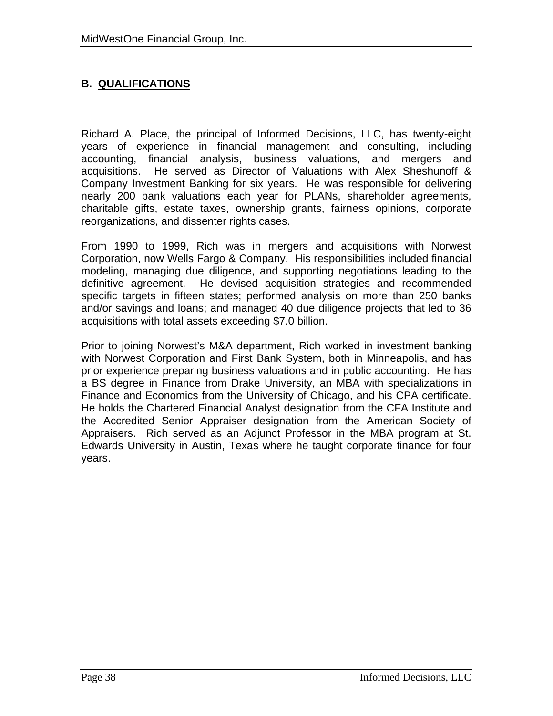### **B. QUALIFICATIONS**

Richard A. Place, the principal of Informed Decisions, LLC, has twenty-eight years of experience in financial management and consulting, including accounting, financial analysis, business valuations, and mergers and acquisitions. He served as Director of Valuations with Alex Sheshunoff & Company Investment Banking for six years. He was responsible for delivering nearly 200 bank valuations each year for PLANs, shareholder agreements, charitable gifts, estate taxes, ownership grants, fairness opinions, corporate reorganizations, and dissenter rights cases.

From 1990 to 1999, Rich was in mergers and acquisitions with Norwest Corporation, now Wells Fargo & Company. His responsibilities included financial modeling, managing due diligence, and supporting negotiations leading to the definitive agreement. He devised acquisition strategies and recommended specific targets in fifteen states; performed analysis on more than 250 banks and/or savings and loans; and managed 40 due diligence projects that led to 36 acquisitions with total assets exceeding \$7.0 billion.

Prior to joining Norwest's M&A department, Rich worked in investment banking with Norwest Corporation and First Bank System, both in Minneapolis, and has prior experience preparing business valuations and in public accounting. He has a BS degree in Finance from Drake University, an MBA with specializations in Finance and Economics from the University of Chicago, and his CPA certificate. He holds the Chartered Financial Analyst designation from the CFA Institute and the Accredited Senior Appraiser designation from the American Society of Appraisers. Rich served as an Adjunct Professor in the MBA program at St. Edwards University in Austin, Texas where he taught corporate finance for four years.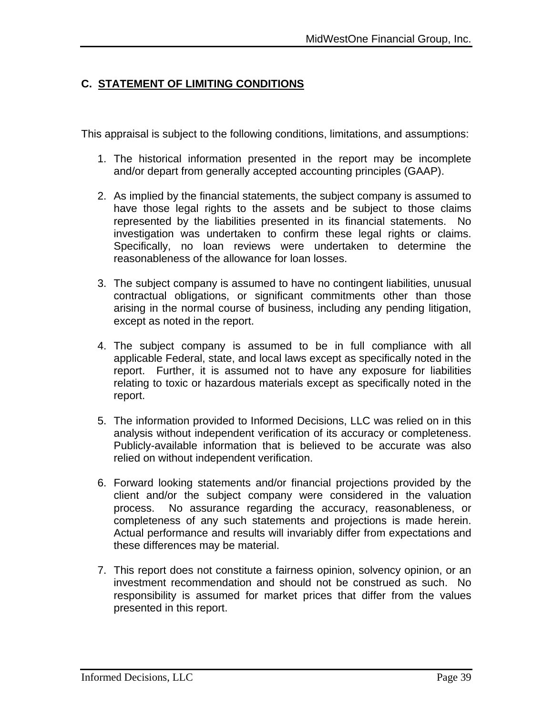### **C. STATEMENT OF LIMITING CONDITIONS**

This appraisal is subject to the following conditions, limitations, and assumptions:

- 1. The historical information presented in the report may be incomplete and/or depart from generally accepted accounting principles (GAAP).
- 2. As implied by the financial statements, the subject company is assumed to have those legal rights to the assets and be subject to those claims represented by the liabilities presented in its financial statements. No investigation was undertaken to confirm these legal rights or claims. Specifically, no loan reviews were undertaken to determine the reasonableness of the allowance for loan losses.
- 3. The subject company is assumed to have no contingent liabilities, unusual contractual obligations, or significant commitments other than those arising in the normal course of business, including any pending litigation, except as noted in the report.
- 4. The subject company is assumed to be in full compliance with all applicable Federal, state, and local laws except as specifically noted in the report. Further, it is assumed not to have any exposure for liabilities relating to toxic or hazardous materials except as specifically noted in the report.
- 5. The information provided to Informed Decisions, LLC was relied on in this analysis without independent verification of its accuracy or completeness. Publicly-available information that is believed to be accurate was also relied on without independent verification.
- 6. Forward looking statements and/or financial projections provided by the client and/or the subject company were considered in the valuation process. No assurance regarding the accuracy, reasonableness, or completeness of any such statements and projections is made herein. Actual performance and results will invariably differ from expectations and these differences may be material.
- 7. This report does not constitute a fairness opinion, solvency opinion, or an investment recommendation and should not be construed as such. No responsibility is assumed for market prices that differ from the values presented in this report.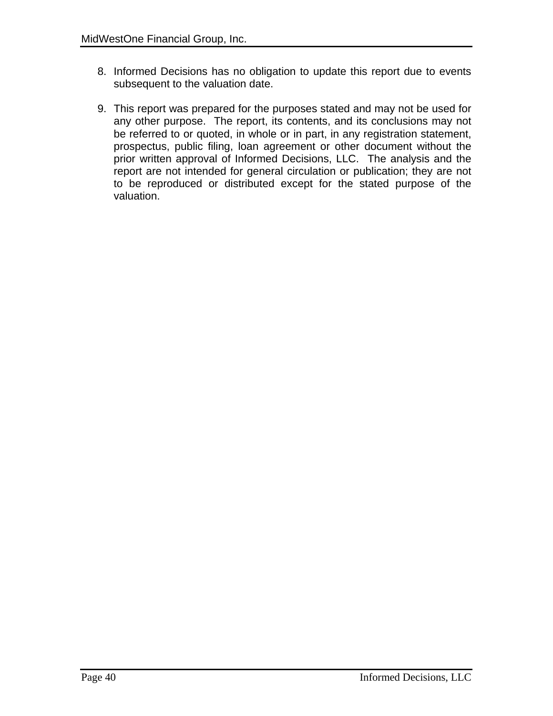- 8. Informed Decisions has no obligation to update this report due to events subsequent to the valuation date.
- 9. This report was prepared for the purposes stated and may not be used for any other purpose. The report, its contents, and its conclusions may not be referred to or quoted, in whole or in part, in any registration statement, prospectus, public filing, loan agreement or other document without the prior written approval of Informed Decisions, LLC. The analysis and the report are not intended for general circulation or publication; they are not to be reproduced or distributed except for the stated purpose of the valuation.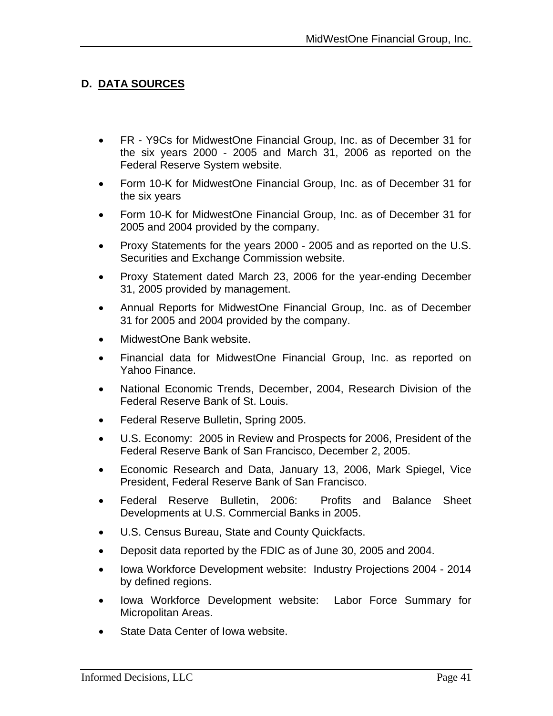### **D. DATA SOURCES**

- FR Y9Cs for MidwestOne Financial Group, Inc. as of December 31 for the six years 2000 - 2005 and March 31, 2006 as reported on the Federal Reserve System website.
- Form 10-K for MidwestOne Financial Group, Inc. as of December 31 for the six years
- Form 10-K for MidwestOne Financial Group, Inc. as of December 31 for 2005 and 2004 provided by the company.
- Proxy Statements for the years 2000 2005 and as reported on the U.S. Securities and Exchange Commission website.
- Proxy Statement dated March 23, 2006 for the year-ending December 31, 2005 provided by management.
- Annual Reports for MidwestOne Financial Group, Inc. as of December 31 for 2005 and 2004 provided by the company.
- MidwestOne Bank website.
- Financial data for MidwestOne Financial Group, Inc. as reported on Yahoo Finance.
- National Economic Trends, December, 2004, Research Division of the Federal Reserve Bank of St. Louis.
- Federal Reserve Bulletin, Spring 2005.
- U.S. Economy: 2005 in Review and Prospects for 2006, President of the Federal Reserve Bank of San Francisco, December 2, 2005.
- Economic Research and Data, January 13, 2006, Mark Spiegel, Vice President, Federal Reserve Bank of San Francisco.
- Federal Reserve Bulletin, 2006: Profits and Balance Sheet Developments at U.S. Commercial Banks in 2005.
- U.S. Census Bureau, State and County Quickfacts.
- Deposit data reported by the FDIC as of June 30, 2005 and 2004.
- Iowa Workforce Development website: Industry Projections 2004 2014 by defined regions.
- Iowa Workforce Development website: Labor Force Summary for Micropolitan Areas.
- State Data Center of Iowa website.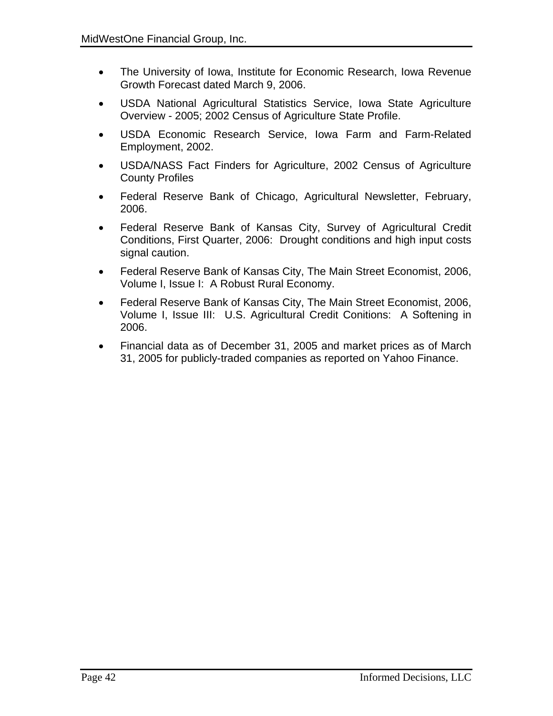- The University of Iowa, Institute for Economic Research, Iowa Revenue Growth Forecast dated March 9, 2006.
- USDA National Agricultural Statistics Service, Iowa State Agriculture Overview - 2005; 2002 Census of Agriculture State Profile.
- USDA Economic Research Service, Iowa Farm and Farm-Related Employment, 2002.
- USDA/NASS Fact Finders for Agriculture, 2002 Census of Agriculture County Profiles
- Federal Reserve Bank of Chicago, Agricultural Newsletter, February, 2006.
- Federal Reserve Bank of Kansas City, Survey of Agricultural Credit Conditions, First Quarter, 2006: Drought conditions and high input costs signal caution.
- Federal Reserve Bank of Kansas City, The Main Street Economist, 2006, Volume I, Issue I: A Robust Rural Economy.
- Federal Reserve Bank of Kansas City, The Main Street Economist, 2006, Volume I, Issue III: U.S. Agricultural Credit Conitions: A Softening in 2006.
- Financial data as of December 31, 2005 and market prices as of March 31, 2005 for publicly-traded companies as reported on Yahoo Finance.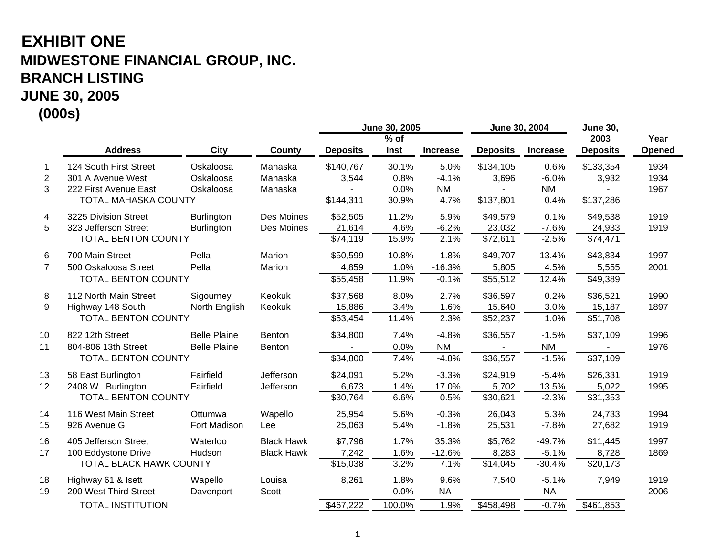# **EXHIBIT ONE MIDWESTONE FINANCIAL GROUP, INC. BRANCH LISTING JUNE 30, 2005 (000s)**

|                |                                |                     |                   |                 | June 30, 2005 |                 | June 30, 2004   |                 | <b>June 30,</b> |        |
|----------------|--------------------------------|---------------------|-------------------|-----------------|---------------|-----------------|-----------------|-----------------|-----------------|--------|
|                |                                |                     |                   |                 | $%$ of        |                 |                 |                 | 2003            | Year   |
|                | <b>Address</b>                 | <b>City</b>         | County            | <b>Deposits</b> | Inst          | <b>Increase</b> | <b>Deposits</b> | <b>Increase</b> | <b>Deposits</b> | Opened |
| 1              | 124 South First Street         | Oskaloosa           | Mahaska           | \$140,767       | 30.1%         | 5.0%            | \$134,105       | 0.6%            | \$133,354       | 1934   |
| $\overline{2}$ | 301 A Avenue West              | Oskaloosa           | Mahaska           | 3,544           | 0.8%          | $-4.1%$         | 3,696           | $-6.0%$         | 3,932           | 1934   |
| 3              | 222 First Avenue East          | Oskaloosa           | Mahaska           |                 | 0.0%          | <b>NM</b>       |                 | <b>NM</b>       |                 | 1967   |
|                | <b>TOTAL MAHASKA COUNTY</b>    |                     |                   | \$144,311       | 30.9%         | 4.7%            | \$137,801       | 0.4%            | \$137,286       |        |
| 4              | 3225 Division Street           | <b>Burlington</b>   | Des Moines        | \$52,505        | 11.2%         | 5.9%            | \$49,579        | 0.1%            | \$49,538        | 1919   |
| 5              | 323 Jefferson Street           | <b>Burlington</b>   | Des Moines        | 21,614          | 4.6%          | $-6.2%$         | 23,032          | $-7.6%$         | 24,933          | 1919   |
|                | TOTAL BENTON COUNTY            |                     |                   | \$74,119        | 15.9%         | 2.1%            | \$72,611        | $-2.5%$         | \$74,471        |        |
| 6              | 700 Main Street                | Pella               | Marion            | \$50,599        | 10.8%         | 1.8%            | \$49,707        | 13.4%           | \$43,834        | 1997   |
| $\overline{7}$ | 500 Oskaloosa Street           | Pella               | Marion            | 4,859           | 1.0%          | $-16.3%$        | 5,805           | 4.5%            | 5,555           | 2001   |
|                | <b>TOTAL BENTON COUNTY</b>     |                     |                   | \$55,458        | 11.9%         | $-0.1%$         | \$55,512        | 12.4%           | \$49,389        |        |
| 8              | 112 North Main Street          | Sigourney           | Keokuk            | \$37,568        | 8.0%          | 2.7%            | \$36,597        | 0.2%            | \$36,521        | 1990   |
| 9              | Highway 148 South              | North English       | Keokuk            | 15,886          | 3.4%          | 1.6%            | 15,640          | 3.0%            | 15,187          | 1897   |
|                | <b>TOTAL BENTON COUNTY</b>     |                     |                   | \$53,454        | 11.4%         | 2.3%            | \$52,237        | 1.0%            | \$51,708        |        |
| 10             | 822 12th Street                | <b>Belle Plaine</b> | <b>Benton</b>     | \$34,800        | 7.4%          | $-4.8%$         | \$36,557        | $-1.5%$         | \$37,109        | 1996   |
| 11             | 804-806 13th Street            | <b>Belle Plaine</b> | <b>Benton</b>     |                 | 0.0%          | <b>NM</b>       |                 | <b>NM</b>       |                 | 1976   |
|                | TOTAL BENTON COUNTY            |                     |                   | \$34,800        | 7.4%          | $-4.8%$         | \$36,557        | $-1.5%$         | \$37,109        |        |
| 13             | 58 East Burlington             | Fairfield           | Jefferson         | \$24,091        | 5.2%          | $-3.3%$         | \$24,919        | $-5.4%$         | \$26,331        | 1919   |
| 12             | 2408 W. Burlington             | Fairfield           | Jefferson         | 6,673           | 1.4%          | 17.0%           | 5,702           | 13.5%           | 5,022           | 1995   |
|                | <b>TOTAL BENTON COUNTY</b>     |                     |                   | \$30,764        | 6.6%          | 0.5%            | \$30,621        | $-2.3%$         | \$31,353        |        |
| 14             | 116 West Main Street           | Ottumwa             | Wapello           | 25,954          | 5.6%          | $-0.3%$         | 26,043          | 5.3%            | 24,733          | 1994   |
| 15             | 926 Avenue G                   | Fort Madison        | Lee               | 25,063          | 5.4%          | $-1.8%$         | 25,531          | $-7.8%$         | 27,682          | 1919   |
| 16             | 405 Jefferson Street           | Waterloo            | <b>Black Hawk</b> | \$7,796         | 1.7%          | 35.3%           | \$5,762         | $-49.7%$        | \$11,445        | 1997   |
| 17             | 100 Eddystone Drive            | Hudson              | <b>Black Hawk</b> | 7,242           | 1.6%          | $-12.6%$        | 8,283           | $-5.1%$         | 8,728           | 1869   |
|                | <b>TOTAL BLACK HAWK COUNTY</b> |                     |                   | \$15,038        | 3.2%          | 7.1%            | \$14,045        | $-30.4%$        | \$20,173        |        |
| 18             | Highway 61 & Isett             | Wapello             | Louisa            | 8,261           | 1.8%          | 9.6%            | 7,540           | $-5.1%$         | 7,949           | 1919   |
| 19             | 200 West Third Street          | Davenport           | Scott             |                 | 0.0%          | <b>NA</b>       |                 | <b>NA</b>       |                 | 2006   |
|                | <b>TOTAL INSTITUTION</b>       |                     |                   | \$467,222       | 100.0%        | 1.9%            | \$458,498       | $-0.7%$         | \$461,853       |        |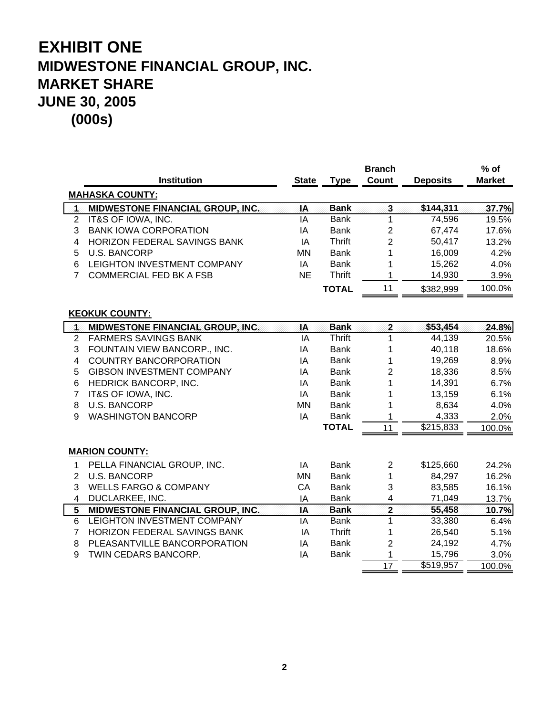|                |                                  |              |               | <b>Branch</b>           |                       | $%$ of        |
|----------------|----------------------------------|--------------|---------------|-------------------------|-----------------------|---------------|
|                | <b>Institution</b>               | <b>State</b> | <b>Type</b>   | Count                   | <b>Deposits</b>       | <b>Market</b> |
|                | <b>MAHASKA COUNTY:</b>           |              |               |                         |                       |               |
| $\overline{1}$ | MIDWESTONE FINANCIAL GROUP, INC. | IA           | <b>Bank</b>   | $\overline{\mathbf{3}}$ | \$144,311             | 37.7%         |
| $\overline{2}$ | IT&S OF IOWA, INC.               | IA           | <b>Bank</b>   | 1                       | 74,596                | 19.5%         |
| 3              | <b>BANK IOWA CORPORATION</b>     | IA           | <b>Bank</b>   | $\overline{c}$          | 67,474                | 17.6%         |
| 4              | HORIZON FEDERAL SAVINGS BANK     | IA           | <b>Thrift</b> | $\overline{2}$          | 50,417                | 13.2%         |
| 5              | <b>U.S. BANCORP</b>              | <b>MN</b>    | <b>Bank</b>   | 1                       | 16,009                | 4.2%          |
| 6              | LEIGHTON INVESTMENT COMPANY      | IA           | <b>Bank</b>   |                         | 15,262                | 4.0%          |
| 7              | <b>COMMERCIAL FED BK A FSB</b>   | <b>NE</b>    | <b>Thrift</b> | 1                       | 14,930                | 3.9%          |
|                |                                  |              | <b>TOTAL</b>  | 11                      | \$382,999             | 100.0%        |
|                | <b>KEOKUK COUNTY:</b>            |              |               |                         |                       |               |
| 1              | MIDWESTONE FINANCIAL GROUP, INC. | IA           | <b>Bank</b>   | $\overline{\mathbf{2}}$ | \$53,454              | 24.8%         |
| $\overline{2}$ | <b>FARMERS SAVINGS BANK</b>      | IA           | <b>Thrift</b> | 1                       | 44,139                | 20.5%         |
| 3              | FOUNTAIN VIEW BANCORP., INC.     | IA           | <b>Bank</b>   | 1                       | 40,118                | 18.6%         |
| 4              | <b>COUNTRY BANCORPORATION</b>    | IA           | <b>Bank</b>   | 1                       | 19,269                | 8.9%          |
| 5              | <b>GIBSON INVESTMENT COMPANY</b> | IA           | <b>Bank</b>   | 2                       | 18,336                | 8.5%          |
| 6              | HEDRICK BANCORP, INC.            | IA           | <b>Bank</b>   |                         | 14,391                | 6.7%          |
| $\overline{7}$ | IT&S OF IOWA, INC.               | IA           | <b>Bank</b>   |                         | 13,159                | 6.1%          |
| 8              | <b>U.S. BANCORP</b>              | <b>MN</b>    | <b>Bank</b>   |                         | 8,634                 | 4.0%          |
| 9              | <b>WASHINGTON BANCORP</b>        | IA           | <b>Bank</b>   | 1                       | 4,333                 | 2.0%          |
|                |                                  |              | <b>TOTAL</b>  | 11                      | $\overline{$}215,833$ | 100.0%        |
|                | <b>MARION COUNTY:</b>            |              |               |                         |                       |               |
| $\mathbf 1$    | PELLA FINANCIAL GROUP, INC.      | IA           | <b>Bank</b>   | $\overline{2}$          | \$125,660             | 24.2%         |
| $\overline{2}$ | <b>U.S. BANCORP</b>              | MN           | <b>Bank</b>   | 1                       | 84,297                | 16.2%         |
| 3              | <b>WELLS FARGO &amp; COMPANY</b> | CA           | <b>Bank</b>   | 3                       | 83,585                | 16.1%         |
| $\overline{4}$ | DUCLARKEE, INC.                  | IA           | <b>Bank</b>   | $\overline{\mathbf{4}}$ | 71,049                | 13.7%         |
| 5              | MIDWESTONE FINANCIAL GROUP, INC. | IA           | <b>Bank</b>   | $\overline{2}$          | 55,458                | 10.7%         |
| 6              | LEIGHTON INVESTMENT COMPANY      | IA           | <b>Bank</b>   | 1                       | 33,380                | 6.4%          |
| $\overline{7}$ | HORIZON FEDERAL SAVINGS BANK     | ΙA           | <b>Thrift</b> | 1                       | 26,540                | 5.1%          |
| 8              | PLEASANTVILLE BANCORPORATION     | IA           | <b>Bank</b>   | 2                       | 24,192                | 4.7%          |
| 9              | TWIN CEDARS BANCORP.             | IA           | <b>Bank</b>   | 1                       | 15,796                | 3.0%          |
|                |                                  |              |               | $\overline{17}$         | \$519,957             | 100.0%        |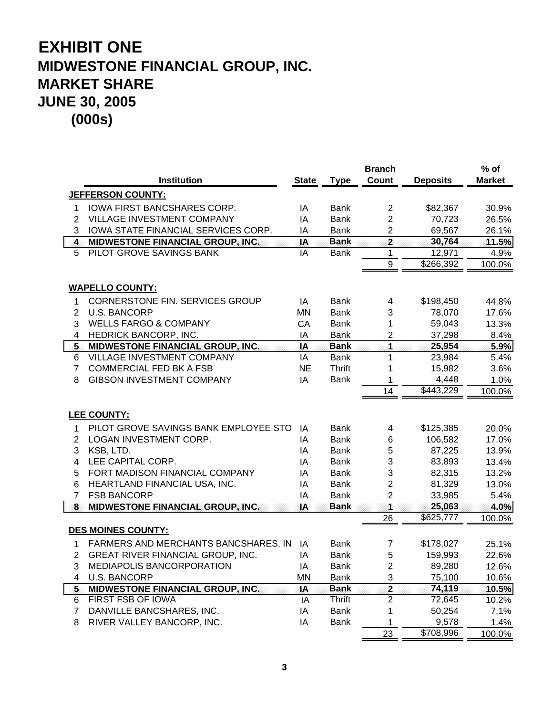|                         |                                       |              |               | <b>Branch</b>                |                    | $%$ of        |
|-------------------------|---------------------------------------|--------------|---------------|------------------------------|--------------------|---------------|
|                         | <b>Institution</b>                    | <b>State</b> | <b>Type</b>   | Count                        | <b>Deposits</b>    | <b>Market</b> |
|                         | <b>JEFFERSON COUNTY:</b>              |              |               |                              |                    |               |
| 1                       | IOWA FIRST BANCSHARES CORP.           | ΙA           | <b>Bank</b>   | $\overline{2}$               | \$82,367           | 30.9%         |
| 2                       | VILLAGE INVESTMENT COMPANY            | ΙA           | <b>Bank</b>   | $\overline{c}$               | 70,723             | 26.5%         |
| 3                       | IOWA STATE FINANCIAL SERVICES CORP.   | IA           | <b>Bank</b>   | 2                            | 69,567             | 26.1%         |
| $\overline{\mathbf{4}}$ | MIDWESTONE FINANCIAL GROUP, INC.      | IA           | <b>Bank</b>   | $\overline{2}$               | 30,764             | 11.5%         |
| 5                       | PILOT GROVE SAVINGS BANK              | IA           | <b>Bank</b>   | 1                            | 12,971             | 4.9%          |
|                         |                                       |              |               | 9                            | \$266,392          | 100.0%        |
|                         |                                       |              |               |                              |                    |               |
|                         | <b>WAPELLO COUNTY:</b>                |              |               |                              |                    |               |
| 1.                      | CORNERSTONE FIN. SERVICES GROUP       | IA           | <b>Bank</b>   | 4                            | \$198,450          | 44.8%         |
| $\overline{2}$          | <b>U.S. BANCORP</b>                   | <b>MN</b>    | <b>Bank</b>   | 3                            | 78,070             | 17.6%         |
| 3                       | <b>WELLS FARGO &amp; COMPANY</b>      | CA           | <b>Bank</b>   | 1                            | 59,043             | 13.3%         |
| $\overline{4}$          | HEDRICK BANCORP, INC.                 | IA           | <b>Bank</b>   | 2                            | 37,298             | 8.4%          |
| $\overline{\mathbf{5}}$ | MIDWESTONE FINANCIAL GROUP, INC.      | IA           | <b>Bank</b>   | 1                            | 25,954             | 5.9%          |
| 6                       | VILLAGE INVESTMENT COMPANY            | IA           | <b>Bank</b>   | 1                            | 23,984             | 5.4%          |
| $\overline{7}$          | <b>COMMERCIAL FED BK A FSB</b>        | <b>NE</b>    | <b>Thrift</b> | 1                            | 15,982             | 3.6%          |
| 8                       | <b>GIBSON INVESTMENT COMPANY</b>      | IA           | <b>Bank</b>   | 1                            | 4,448              | 1.0%          |
|                         |                                       |              |               | 14                           | \$443,229          | 100.0%        |
|                         | <b>LEE COUNTY:</b>                    |              |               |                              |                    |               |
| 1                       | PILOT GROVE SAVINGS BANK EMPLOYEE STO | IA           | <b>Bank</b>   | 4                            | \$125,385          | 20.0%         |
| 2                       | LOGAN INVESTMENT CORP.                | IA           | <b>Bank</b>   | 6                            | 106,582            | 17.0%         |
| 3                       | KSB, LTD.                             | IA           | <b>Bank</b>   | 5                            | 87,225             | 13.9%         |
| $\overline{4}$          | LEE CAPITAL CORP.                     | IA           | <b>Bank</b>   | 3                            | 83,893             | 13.4%         |
| 5                       | FORT MADISON FINANCIAL COMPANY        | IA           | <b>Bank</b>   | 3                            | 82,315             | 13.2%         |
|                         | HEARTLAND FINANCIAL USA, INC.         |              | <b>Bank</b>   | $\overline{c}$               | 81,329             | 13.0%         |
| 6<br>$\overline{7}$     | <b>FSB BANCORP</b>                    | IA           | <b>Bank</b>   |                              |                    |               |
| $\bf{8}$                | MIDWESTONE FINANCIAL GROUP, INC.      | ΙA<br>IA     | <b>Bank</b>   | $\overline{\mathbf{c}}$<br>1 | 33,985<br>25,063   | 5.4%<br>4.0%  |
|                         |                                       |              |               | 26                           | \$625,777          | 100.0%        |
|                         | <b>DES MOINES COUNTY:</b>             |              |               |                              |                    |               |
|                         |                                       |              |               |                              |                    |               |
| 1                       | FARMERS AND MERCHANTS BANCSHARES, IN  | IA           | Bank          | $\overline{7}$               | \$178,027          | 25.1%         |
| $\overline{2}$          | GREAT RIVER FINANCIAL GROUP, INC.     | IA           | <b>Bank</b>   | 5                            | 159,993            | 22.6%         |
| 3                       | MEDIAPOLIS BANCORPORATION             | IA           | Bank          | $\overline{2}$               | 89,280             | 12.6%         |
| 4                       | <b>U.S. BANCORP</b>                   | <b>MN</b>    | <b>Bank</b>   | 3                            | 75,100             | 10.6%         |
| 5 <sub>5</sub>          | MIDWESTONE FINANCIAL GROUP, INC.      | IA           | <b>Bank</b>   | $\overline{\mathbf{2}}$      | 74,119             | 10.5%         |
| 6                       | FIRST FSB OF IOWA                     | IA           | Thrift        | $\overline{c}$               | 72,645             | 10.2%         |
| 7                       | DANVILLE BANCSHARES, INC.             | ΙA           | <b>Bank</b>   | 1                            | 50,254             | 7.1%          |
| 8                       | RIVER VALLEY BANCORP, INC.            | IA           | <b>Bank</b>   | 1                            | 9,578<br>\$708,996 | 1.4%          |
|                         |                                       |              |               | 23                           |                    | 100.0%        |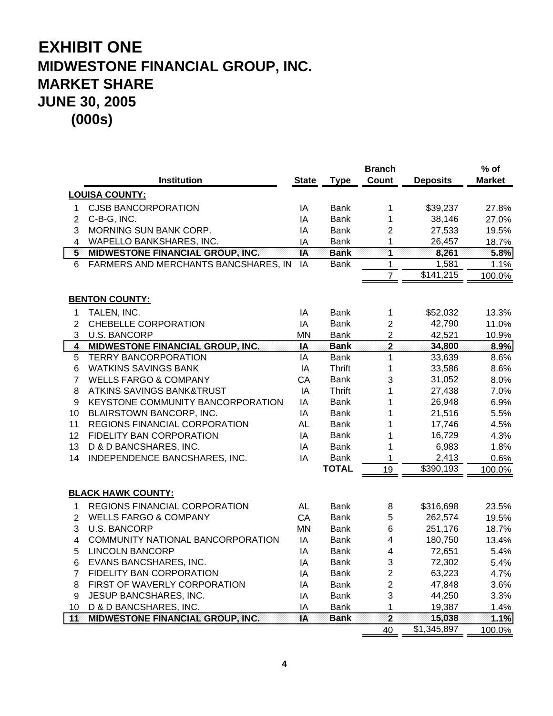|                |                                      |                 |               | <b>Branch</b>           |                 | % of   |
|----------------|--------------------------------------|-----------------|---------------|-------------------------|-----------------|--------|
|                | <b>Institution</b>                   | <b>State</b>    | <b>Type</b>   | <b>Count</b>            | <b>Deposits</b> | Market |
|                | <b>LOUISA COUNTY:</b>                |                 |               |                         |                 |        |
| 1.             | <b>CJSB BANCORPORATION</b>           | IA              | Bank          | 1                       | \$39,237        | 27.8%  |
| $\overline{2}$ | C-B-G, INC.                          | IA              | Bank          | 1                       | 38,146          | 27.0%  |
| 3              | MORNING SUN BANK CORP.               | IA              | <b>Bank</b>   | $\overline{c}$          | 27,533          | 19.5%  |
| 4              | WAPELLO BANKSHARES, INC.             | IA              | <b>Bank</b>   | 1                       | 26,457          | 18.7%  |
| 5 <sup>1</sup> | MIDWESTONE FINANCIAL GROUP, INC.     | $\overline{IA}$ | <b>Bank</b>   | $\overline{\mathbf{1}}$ | 8,261           | 5.8%   |
| 6              | FARMERS AND MERCHANTS BANCSHARES, IN | IA              | <b>Bank</b>   | $\mathbf 1$             | 1,581           | 1.1%   |
|                |                                      |                 |               | $\overline{7}$          | \$141,215       | 100.0% |
|                |                                      |                 |               |                         |                 |        |
|                | <b>BENTON COUNTY:</b>                |                 |               |                         |                 |        |
| 1              | TALEN, INC.                          | IA              | <b>Bank</b>   | $\mathbf 1$             | \$52,032        | 13.3%  |
| 2              | <b>CHEBELLE CORPORATION</b>          | IA              | <b>Bank</b>   | $\overline{2}$          | 42,790          | 11.0%  |
| 3              | <b>U.S. BANCORP</b>                  | <b>MN</b>       | <b>Bank</b>   | $\overline{2}$          | 42,521          | 10.9%  |
| 4              | MIDWESTONE FINANCIAL GROUP, INC.     | IA              | <b>Bank</b>   | $\overline{\mathbf{2}}$ | 34,800          | 8.9%   |
| 5              | <b>TERRY BANCORPORATION</b>          | IA              | <b>Bank</b>   | $\mathbf{1}$            | 33,639          | 8.6%   |
| 6              | <b>WATKINS SAVINGS BANK</b>          | IA              | <b>Thrift</b> | 1                       | 33,586          | 8.6%   |
| $\overline{7}$ | <b>WELLS FARGO &amp; COMPANY</b>     | CA              | <b>Bank</b>   | 3                       | 31,052          | 8.0%   |
| 8              | <b>ATKINS SAVINGS BANK&amp;TRUST</b> | IA              | <b>Thrift</b> | 1                       | 27,438          | 7.0%   |
| 9              | KEYSTONE COMMUNITY BANCORPORATION    | IA              | <b>Bank</b>   | 1                       | 26,948          | 6.9%   |
| 10             | BLAIRSTOWN BANCORP, INC.             | IA              | <b>Bank</b>   | 1                       | 21,516          | 5.5%   |
| 11             | REGIONS FINANCIAL CORPORATION        | <b>AL</b>       | <b>Bank</b>   | 1                       | 17,746          | 4.5%   |
| 12             | FIDELITY BAN CORPORATION             | IA              | Bank          | 1                       | 16,729          | 4.3%   |
| 13             | D & D BANCSHARES, INC.               | IA              | Bank          | 1                       | 6,983           | 1.8%   |
| 14             | INDEPENDENCE BANCSHARES, INC.        | IA              | <b>Bank</b>   | 1                       | 2,413           | 0.6%   |
|                |                                      |                 | <b>TOTAL</b>  | 19                      | 3390,193        | 100.0% |
|                |                                      |                 |               |                         |                 |        |
|                | <b>BLACK HAWK COUNTY:</b>            |                 |               |                         |                 |        |
| 1              | REGIONS FINANCIAL CORPORATION        | <b>AL</b>       | Bank          | 8                       | \$316,698       | 23.5%  |
| $\overline{2}$ | <b>WELLS FARGO &amp; COMPANY</b>     | CA              | Bank          | 5                       | 262,574         | 19.5%  |
| 3              | U.S. BANCORP                         | <b>MN</b>       | Bank          | $6\phantom{1}6$         | 251,176         | 18.7%  |
| 4              | COMMUNITY NATIONAL BANCORPORATION    | IA              | Bank          | 4                       | 180,750         | 13.4%  |
| 5              | <b>LINCOLN BANCORP</b>               | IA              | Bank          | 4                       | 72,651          | 5.4%   |
| 6              | EVANS BANCSHARES, INC.               | IA              | <b>Bank</b>   | 3                       | 72,302          | 5.4%   |
| $\overline{7}$ | FIDELITY BAN CORPORATION             | IA              | <b>Bank</b>   | $\overline{c}$          | 63,223          | 4.7%   |
| 8              | FIRST OF WAVERLY CORPORATION         | IA              | <b>Bank</b>   | $\overline{2}$          | 47,848          | 3.6%   |
| 9              | JESUP BANCSHARES, INC.               | IA              | <b>Bank</b>   | 3                       | 44,250          | 3.3%   |
| 10             | D & D BANCSHARES, INC.               | IA              | <b>Bank</b>   | $\mathbf{1}$            | 19,387          | 1.4%   |
| 11             | MIDWESTONE FINANCIAL GROUP, INC.     | IA              | <b>Bank</b>   | $\overline{\mathbf{2}}$ | 15,038          | 1.1%   |
|                |                                      |                 |               | 40                      | \$1,345,897     | 100.0% |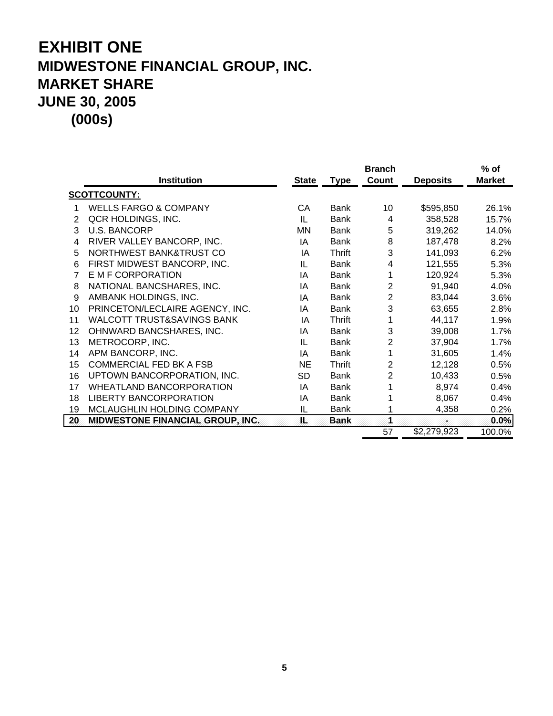|                |                                         | <b>Branch</b> |             |                |                 | $%$ of        |
|----------------|-----------------------------------------|---------------|-------------|----------------|-----------------|---------------|
|                | <b>Institution</b>                      | <b>State</b>  | <b>Type</b> | Count          | <b>Deposits</b> | <b>Market</b> |
|                | <b>SCOTTCOUNTY:</b>                     |               |             |                |                 |               |
| 1              | <b>WELLS FARGO &amp; COMPANY</b>        | CA            | Bank        | 10             | \$595,850       | 26.1%         |
| 2              | QCR HOLDINGS, INC.                      | IL            | <b>Bank</b> | 4              | 358,528         | 15.7%         |
| 3              | <b>U.S. BANCORP</b>                     | <b>MN</b>     | Bank        | 5              | 319,262         | 14.0%         |
| 4              | RIVER VALLEY BANCORP, INC.              | ΙA            | <b>Bank</b> | 8              | 187,478         | 8.2%          |
| 5              | NORTHWEST BANK&TRUST CO                 | IA            | Thrift      | 3              | 141,093         | 6.2%          |
| 6              | FIRST MIDWEST BANCORP, INC.             | IL            | <b>Bank</b> | 4              | 121,555         | 5.3%          |
| $\overline{7}$ | E M F CORPORATION                       | ΙA            | Bank        | 1              | 120,924         | 5.3%          |
| 8              | NATIONAL BANCSHARES, INC.               | ΙA            | <b>Bank</b> | $\overline{2}$ | 91,940          | 4.0%          |
| 9              | AMBANK HOLDINGS, INC.                   | ΙA            | Bank        | 2              | 83,044          | 3.6%          |
| 10             | PRINCETON/LECLAIRE AGENCY, INC.         | IA            | Bank        | 3              | 63,655          | 2.8%          |
| 11             | <b>WALCOTT TRUST&amp;SAVINGS BANK</b>   | ΙA            | Thrift      | 1              | 44,117          | 1.9%          |
| 12             | OHNWARD BANCSHARES, INC.                | ΙA            | <b>Bank</b> | 3              | 39,008          | 1.7%          |
| 13             | METROCORP, INC.                         | IL            | Bank        | $\overline{2}$ | 37,904          | 1.7%          |
| 14             | APM BANCORP, INC.                       | ΙA            | <b>Bank</b> | 1              | 31,605          | 1.4%          |
| 15             | <b>COMMERCIAL FED BK A FSB</b>          | <b>NE</b>     | Thrift      | $\overline{2}$ | 12,128          | 0.5%          |
| 16             | UPTOWN BANCORPORATION, INC.             | <b>SD</b>     | Bank        | $\overline{2}$ | 10,433          | 0.5%          |
| 17             | <b>WHEATLAND BANCORPORATION</b>         | ΙA            | <b>Bank</b> |                | 8,974           | 0.4%          |
| 18             | <b>LIBERTY BANCORPORATION</b>           | ΙA            | <b>Bank</b> |                | 8,067           | 0.4%          |
| 19             | MCLAUGHLIN HOLDING COMPANY              | IL            | Bank        |                | 4,358           | 0.2%          |
| 20             | <b>MIDWESTONE FINANCIAL GROUP, INC.</b> | ÏĽ.           | <b>Bank</b> |                |                 | 0.0%          |
|                |                                         |               |             | 57             | \$2,279,923     | 100.0%        |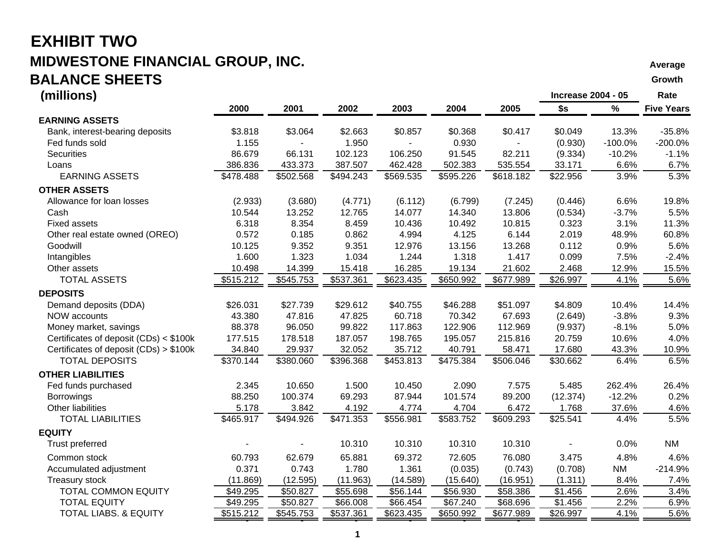#### **EXHIBIT TWOMIDWESTONE FINANCIAL GROUP, INC.**  $\blacksquare$ **BALANCE SHEETSS** Growth the contract of the contract of the contract of the contract of the contract of the contract of the contract of the contract of the contract of the contract of the contract of the contract of the contract of the

#### **(millions) Increase 2004 - 05 Rate 2000 2001 2002 2003 2004 2005 \$s % Five Years EARNING ASSETS**Bank, interest-bearing deposits  $$3.818$   $$3.064$   $$2.663$   $$0.857$   $$0.368$   $$0.417$   $$0.049$   $13.3\%$  -35.8% Fed funds sold 1.155 - 1.950 - 0.930 - (0.930) -100.0% -200.0% Securities 86.679 66.131 102.123 106.250 91.545 82.211 (9.334) -10.2% -1.1% Loans 386.836 433.373 387.507 462.428 502.383 535.554 33.171 6.6% 6.7% EARNING ASSETS \$478.488 \$502.568 \$494.243 \$569.535 \$595.226 \$618.182 \$22.956 3.9% 5.3% **OTHER ASSETS**Allowance for loan losses (2.933) (3.680) (4.771) (6.112) (6.799) (7.245) (0.446) 6.6% 19.8% Cash 10.544 13.252 12.765 14.077 14.340 13.806 (0.534) -3.7% 5.5% Fixed assets 6.318 8.354 8.459 10.436 10.492 10.815 0.323 3.1% 11.3%Other real estate owned (OREO) 0.572 0.185 0.862 4.994 4.125 6.144 2.019 48.9% 60.8% Goodwill 10.125 9.352 9.351 12.976 13.156 13.268 0.112 0.9% 5.6%Intangibles 1.600 1.323 1.034 1.244 1.318 1.417 0.099 7.5% -2.4% Other assets 10.498 14.399 15.418 16.285 19.134 21.602 2.468 12.9% 15.5% TOTAL ASSETS \$515.212 \$545.753 \$537.361 \$623.435 \$650.992 \$677.989 \$26.997 4.1% 5.6% **DEPOSITS**Demand deposits (DDA) \$26.031 \$27.739 \$29.612 \$40.755 \$46.288 \$51.097 \$4.809 10.4% 14.4% NOW accounts 43.380 47.816 47.825 60.718 70.342 67.693 (2.649) -3.8% 9.3% Money market, savings 88.378 96.050 99.822 117.863 122.906 112.969 (9.937) -8.1% 5.0% Certificates of deposit (CDs) < \$100k 177.515 178.518 187.057 198.765 195.057 215.816 20.759 10.6% 4.0% Certificates of deposit (CDs) > \$100k 34.840 29.937 32.052 35.712 40.791 58.471 17.680 43.3% 10.9% TOTAL DEPOSITS \$370.144 \$380.060 \$396.368 \$453.813 \$475.384 \$506.046 \$30.662 6.4% 6.5% **OTHER LIABILITIES**Fed funds purchased 2.345 10.650 1.500 10.450 2.090 7.575 5.485 262.4% 26.4% Borrowings 88.250 100.374 69.293 87.944 101.574 89.200 (12.374) -12.2% 0.2% Other liabilities 5.178 3.842 4.192 4.774 4.704 6.472 1.768 37.6% 4.6% TOTAL LIABILITIES \$465.917 \$494.926 \$471.353 \$556.981 \$583.752 \$609.293 \$25.541 4.4% 5.5% **EQUITY**Trust preferred - - 10.310 10.310 10.310 10.310 - 0.0% NM Common stock 60.793 62.679 65.881 69.372 72.605 76.080 3.475 4.8% 4.6%Accumulated adjustment  $0.371$   $0.743$   $1.780$   $1.361$   $(0.035)$   $(0.743)$   $(0.708)$  NM  $-214.9\%$ Treasury stock (11.869) (12.595) (11.963) (14.589) (15.640) (16.951) (1.311) 8.4% 7.4% TOTAL COMMON EQUITY \$49.295 \$50.827 \$55.698 \$56.144 \$56.930 \$58.386 \$1.456 2.6% 3.4% TOTAL EQUITY \$49.295 \$50.827 \$66.008 \$66.454 \$67.240 \$68.696 \$1.456 2.2% 6.9% TOTAL LIABS. & EQUITY **5515.212**  $\overline{3545.753}$   $\overline{3537.361}$   $\overline{3623.435}$   $\overline{3650.992}$   $\overline{3677.989}$   $\overline{3678.997}$   $\overline{4.1\%}$  5.6%

- - - - -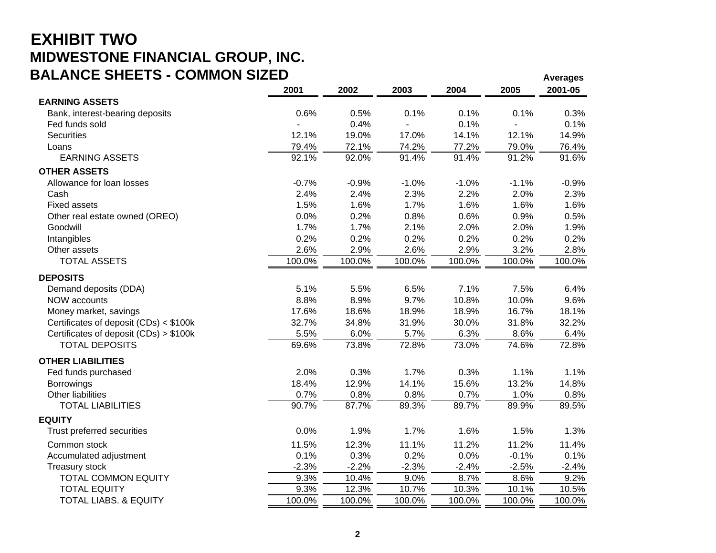### **EXHIBIT TWO MIDWESTONE FINANCIAL GROUP, INC. BALANCE SHEETS - COMMON SIZED**

| DALANUE SHEETS - UUIWIWUN SIZED        |         |         |         |         |         | <b>Averages</b> |
|----------------------------------------|---------|---------|---------|---------|---------|-----------------|
|                                        | 2001    | 2002    | 2003    | 2004    | 2005    | 2001-05         |
| <b>EARNING ASSETS</b>                  |         |         |         |         |         |                 |
| Bank, interest-bearing deposits        | 0.6%    | 0.5%    | 0.1%    | 0.1%    | 0.1%    | 0.3%            |
| Fed funds sold                         |         | 0.4%    |         | 0.1%    |         | 0.1%            |
| <b>Securities</b>                      | 12.1%   | 19.0%   | 17.0%   | 14.1%   | 12.1%   | 14.9%           |
| Loans                                  | 79.4%   | 72.1%   | 74.2%   | 77.2%   | 79.0%   | 76.4%           |
| <b>EARNING ASSETS</b>                  | 92.1%   | 92.0%   | 91.4%   | 91.4%   | 91.2%   | 91.6%           |
| <b>OTHER ASSETS</b>                    |         |         |         |         |         |                 |
| Allowance for loan losses              | $-0.7%$ | $-0.9%$ | $-1.0%$ | $-1.0%$ | $-1.1%$ | $-0.9%$         |
| Cash                                   | 2.4%    | 2.4%    | 2.3%    | 2.2%    | 2.0%    | 2.3%            |
| <b>Fixed assets</b>                    | 1.5%    | 1.6%    | 1.7%    | 1.6%    | 1.6%    | 1.6%            |
| Other real estate owned (OREO)         | 0.0%    | 0.2%    | 0.8%    | 0.6%    | 0.9%    | 0.5%            |
| Goodwill                               | 1.7%    | 1.7%    | 2.1%    | 2.0%    | 2.0%    | 1.9%            |
| Intangibles                            | 0.2%    | 0.2%    | 0.2%    | 0.2%    | 0.2%    | 0.2%            |
| Other assets                           | 2.6%    | 2.9%    | 2.6%    | 2.9%    | 3.2%    | 2.8%            |
| <b>TOTAL ASSETS</b>                    | 100.0%  | 100.0%  | 100.0%  | 100.0%  | 100.0%  | 100.0%          |
| <b>DEPOSITS</b>                        |         |         |         |         |         |                 |
| Demand deposits (DDA)                  | 5.1%    | 5.5%    | 6.5%    | 7.1%    | 7.5%    | 6.4%            |
| NOW accounts                           | 8.8%    | 8.9%    | 9.7%    | 10.8%   | 10.0%   | 9.6%            |
| Money market, savings                  | 17.6%   | 18.6%   | 18.9%   | 18.9%   | 16.7%   | 18.1%           |
| Certificates of deposit (CDs) < \$100k | 32.7%   | 34.8%   | 31.9%   | 30.0%   | 31.8%   | 32.2%           |
| Certificates of deposit (CDs) > \$100k | 5.5%    | 6.0%    | 5.7%    | 6.3%    | 8.6%    | 6.4%            |
| <b>TOTAL DEPOSITS</b>                  | 69.6%   | 73.8%   | 72.8%   | 73.0%   | 74.6%   | 72.8%           |
| <b>OTHER LIABILITIES</b>               |         |         |         |         |         |                 |
| Fed funds purchased                    | 2.0%    | 0.3%    | 1.7%    | 0.3%    | 1.1%    | 1.1%            |
| <b>Borrowings</b>                      | 18.4%   | 12.9%   | 14.1%   | 15.6%   | 13.2%   | 14.8%           |
| Other liabilities                      | 0.7%    | 0.8%    | 0.8%    | 0.7%    | 1.0%    | 0.8%            |
| <b>TOTAL LIABILITIES</b>               | 90.7%   | 87.7%   | 89.3%   | 89.7%   | 89.9%   | 89.5%           |
| <b>EQUITY</b>                          |         |         |         |         |         |                 |
| Trust preferred securities             | 0.0%    | 1.9%    | 1.7%    | 1.6%    | 1.5%    | 1.3%            |
| Common stock                           | 11.5%   | 12.3%   | 11.1%   | 11.2%   | 11.2%   | 11.4%           |
| Accumulated adjustment                 | 0.1%    | 0.3%    | 0.2%    | 0.0%    | $-0.1%$ | 0.1%            |
| Treasury stock                         | $-2.3%$ | $-2.2%$ | $-2.3%$ | $-2.4%$ | $-2.5%$ | $-2.4%$         |
| <b>TOTAL COMMON EQUITY</b>             | 9.3%    | 10.4%   | 9.0%    | 8.7%    | 8.6%    | 9.2%            |
| <b>TOTAL EQUITY</b>                    | 9.3%    | 12.3%   | 10.7%   | 10.3%   | 10.1%   | 10.5%           |
| <b>TOTAL LIABS. &amp; EQUITY</b>       | 100.0%  | 100.0%  | 100.0%  | 100.0%  | 100.0%  | 100.0%          |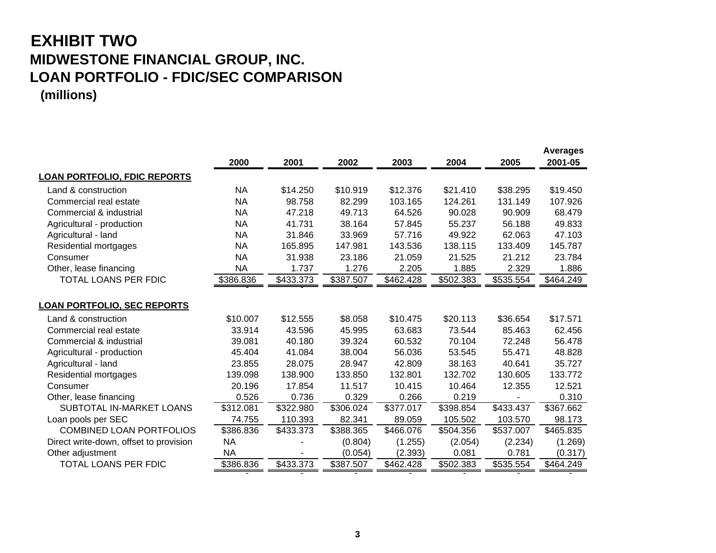### **EXHIBIT TWO MIDWESTONE FINANCIAL GROUP, INC. LOAN PORTFOLIO - FDIC/SEC COMPARISON (millions)**

|                                        | 2000      | 2001      | 2002      | 2003      | 2004      | 2005      | <b>Averages</b><br>2001-05 |
|----------------------------------------|-----------|-----------|-----------|-----------|-----------|-----------|----------------------------|
| <b>LOAN PORTFOLIO, FDIC REPORTS</b>    |           |           |           |           |           |           |                            |
| Land & construction                    | <b>NA</b> | \$14.250  | \$10.919  | \$12.376  | \$21.410  | \$38.295  | \$19.450                   |
| Commercial real estate                 | <b>NA</b> | 98.758    | 82.299    | 103.165   | 124.261   | 131.149   | 107.926                    |
| Commercial & industrial                | <b>NA</b> | 47.218    | 49.713    | 64.526    | 90.028    | 90.909    | 68.479                     |
| Agricultural - production              | <b>NA</b> | 41.731    | 38.164    | 57.845    | 55.237    | 56.188    | 49.833                     |
| Agricultural - land                    | <b>NA</b> | 31.846    | 33.969    | 57.716    | 49.922    | 62.063    | 47.103                     |
| Residential mortgages                  | <b>NA</b> | 165.895   | 147.981   | 143.536   | 138.115   | 133.409   | 145.787                    |
| Consumer                               | <b>NA</b> | 31.938    | 23.186    | 21.059    | 21.525    | 21.212    | 23.784                     |
| Other, lease financing                 | <b>NA</b> | 1.737     | 1.276     | 2.205     | 1.885     | 2.329     | 1.886                      |
| TOTAL LOANS PER FDIC                   | \$386.836 | \$433.373 | \$387.507 | \$462.428 | \$502.383 | \$535.554 | \$464.249                  |
|                                        |           |           |           |           |           |           |                            |
| <u> LOAN PORTFOLIO, SEC REPORTS</u>    |           |           |           |           |           |           |                            |
| Land & construction                    | \$10.007  | \$12.555  | \$8.058   | \$10.475  | \$20.113  | \$36.654  | \$17.571                   |
| Commercial real estate                 | 33.914    | 43.596    | 45.995    | 63.683    | 73.544    | 85.463    | 62.456                     |
| Commercial & industrial                | 39.081    | 40.180    | 39.324    | 60.532    | 70.104    | 72.248    | 56.478                     |
| Agricultural - production              | 45.404    | 41.084    | 38.004    | 56.036    | 53.545    | 55.471    | 48.828                     |
| Agricultural - land                    | 23.855    | 28.075    | 28.947    | 42.809    | 38.163    | 40.641    | 35.727                     |
| Residential mortgages                  | 139.098   | 138.900   | 133.850   | 132.801   | 132.702   | 130.605   | 133.772                    |
| Consumer                               | 20.196    | 17.854    | 11.517    | 10.415    | 10.464    | 12.355    | 12.521                     |
| Other, lease financing                 | 0.526     | 0.736     | 0.329     | 0.266     | 0.219     |           | 0.310                      |
| <b>SUBTOTAL IN-MARKET LOANS</b>        | \$312.081 | \$322.980 | \$306.024 | \$377.017 | \$398.854 | \$433.437 | \$367.662                  |
| Loan pools per SEC                     | 74.755    | 110.393   | 82.341    | 89.059    | 105.502   | 103.570   | 98.173                     |
| <b>COMBINED LOAN PORTFOLIOS</b>        | \$386.836 | \$433.373 | \$388.365 | \$466.076 | \$504.356 | \$537.007 | \$465.835                  |
| Direct write-down, offset to provision | <b>NA</b> |           | (0.804)   | (1.255)   | (2.054)   | (2.234)   | (1.269)                    |
| Other adjustment                       | NA        |           | (0.054)   | (2.393)   | 0.081     | 0.781     | (0.317)                    |
| <b>TOTAL LOANS PER FDIC</b>            | \$386.836 | \$433.373 | \$387.507 | \$462.428 | \$502.383 | \$535.554 | \$464.249                  |
|                                        |           |           |           |           |           |           |                            |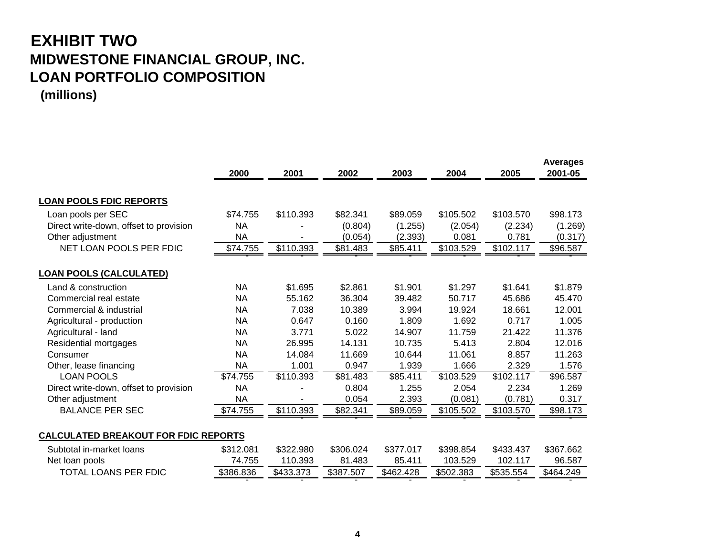### **EXHIBIT TWO MIDWESTONE FINANCIAL GROUP, INC. LOAN PORTFOLIO COMPOSITION (millions)**

|                                             | 2000      | 2001      | 2002      | 2003      | 2004      | 2005      | <b>Averages</b><br>2001-05 |
|---------------------------------------------|-----------|-----------|-----------|-----------|-----------|-----------|----------------------------|
| <u>LOAN POOLS FDIC REPORTS</u>              |           |           |           |           |           |           |                            |
| Loan pools per SEC                          | \$74.755  | \$110.393 | \$82.341  | \$89.059  | \$105.502 | \$103.570 | \$98.173                   |
| Direct write-down, offset to provision      | <b>NA</b> |           | (0.804)   | (1.255)   | (2.054)   | (2.234)   | (1.269)                    |
| Other adjustment                            | <b>NA</b> |           | (0.054)   | (2.393)   | 0.081     | 0.781     | (0.317)                    |
| NET LOAN POOLS PER FDIC                     | \$74.755  | \$110.393 | \$81.483  | \$85.411  | \$103.529 | \$102.117 | \$96.587                   |
| <u>LOAN POOLS (CALCULATED)</u>              |           |           |           |           |           |           |                            |
|                                             |           |           |           |           |           |           |                            |
| Land & construction                         | <b>NA</b> | \$1.695   | \$2.861   | \$1.901   | \$1.297   | \$1.641   | \$1.879                    |
| Commercial real estate                      | <b>NA</b> | 55.162    | 36.304    | 39.482    | 50.717    | 45.686    | 45.470                     |
| Commercial & industrial                     | <b>NA</b> | 7.038     | 10.389    | 3.994     | 19.924    | 18.661    | 12.001                     |
| Agricultural - production                   | <b>NA</b> | 0.647     | 0.160     | 1.809     | 1.692     | 0.717     | 1.005                      |
| Agricultural - land                         | <b>NA</b> | 3.771     | 5.022     | 14.907    | 11.759    | 21.422    | 11.376                     |
| Residential mortgages                       | <b>NA</b> | 26.995    | 14.131    | 10.735    | 5.413     | 2.804     | 12.016                     |
| Consumer                                    | <b>NA</b> | 14.084    | 11.669    | 10.644    | 11.061    | 8.857     | 11.263                     |
| Other, lease financing                      | <b>NA</b> | 1.001     | 0.947     | 1.939     | 1.666     | 2.329     | 1.576                      |
| <b>LOAN POOLS</b>                           | \$74.755  | \$110.393 | \$81.483  | \$85.411  | \$103.529 | \$102.117 | \$96.587                   |
| Direct write-down, offset to provision      | <b>NA</b> |           | 0.804     | 1.255     | 2.054     | 2.234     | 1.269                      |
| Other adjustment                            | <b>NA</b> |           | 0.054     | 2.393     | (0.081)   | (0.781)   | 0.317                      |
| <b>BALANCE PER SEC</b>                      | \$74.755  | \$110.393 | \$82.341  | \$89.059  | \$105.502 | \$103.570 | \$98.173                   |
| <b>CALCULATED BREAKOUT FOR FDIC REPORTS</b> |           |           |           |           |           |           |                            |
| Subtotal in-market loans                    | \$312.081 | \$322.980 | \$306.024 | \$377.017 | \$398.854 | \$433.437 | \$367.662                  |
| Net loan pools                              | 74.755    | 110.393   | 81.483    | 85.411    | 103.529   | 102.117   | 96.587                     |

TOTAL LOANS PER FDIC \$386.836 \$433.373 \$387.507 \$462.428 \$502.383 \$535.554 \$464.249

- - - - - -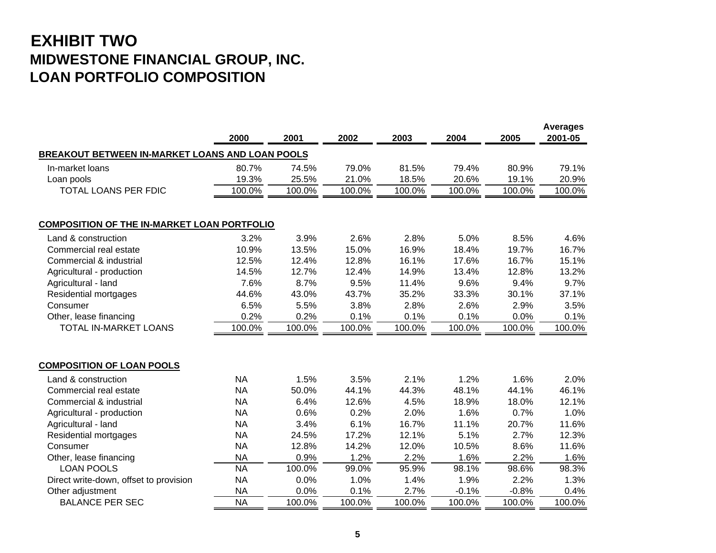### **EXHIBIT TWO MIDWESTONE FINANCIAL GROUP, INC. LOAN PORTFOLIO COMPOSITION**

|                                                    | 2000      | 2001   | 2002   | 2003   | 2004    | 2005    | <b>Averages</b><br>2001-05 |
|----------------------------------------------------|-----------|--------|--------|--------|---------|---------|----------------------------|
| BREAKOUT BETWEEN IN-MARKET LOANS AND LOAN POOLS    |           |        |        |        |         |         |                            |
| In-market loans                                    | 80.7%     | 74.5%  | 79.0%  | 81.5%  | 79.4%   | 80.9%   | 79.1%                      |
| Loan pools                                         | 19.3%     | 25.5%  | 21.0%  | 18.5%  | 20.6%   | 19.1%   | 20.9%                      |
| TOTAL LOANS PER FDIC                               | 100.0%    | 100.0% | 100.0% | 100.0% | 100.0%  | 100.0%  | 100.0%                     |
| <b>COMPOSITION OF THE IN-MARKET LOAN PORTFOLIO</b> |           |        |        |        |         |         |                            |
| Land & construction                                | 3.2%      | 3.9%   | 2.6%   | 2.8%   | 5.0%    | 8.5%    | 4.6%                       |
| Commercial real estate                             | 10.9%     | 13.5%  | 15.0%  | 16.9%  | 18.4%   | 19.7%   | 16.7%                      |
| Commercial & industrial                            | 12.5%     | 12.4%  | 12.8%  | 16.1%  | 17.6%   | 16.7%   | 15.1%                      |
| Agricultural - production                          | 14.5%     | 12.7%  | 12.4%  | 14.9%  | 13.4%   | 12.8%   | 13.2%                      |
| Agricultural - land                                | 7.6%      | 8.7%   | 9.5%   | 11.4%  | 9.6%    | 9.4%    | 9.7%                       |
| Residential mortgages                              | 44.6%     | 43.0%  | 43.7%  | 35.2%  | 33.3%   | 30.1%   | 37.1%                      |
| Consumer                                           | 6.5%      | 5.5%   | 3.8%   | 2.8%   | 2.6%    | 2.9%    | 3.5%                       |
| Other, lease financing                             | 0.2%      | 0.2%   | 0.1%   | 0.1%   | 0.1%    | 0.0%    | 0.1%                       |
| TOTAL IN-MARKET LOANS                              | 100.0%    | 100.0% | 100.0% | 100.0% | 100.0%  | 100.0%  | 100.0%                     |
| <b>COMPOSITION OF LOAN POOLS</b>                   |           |        |        |        |         |         |                            |
| Land & construction                                | <b>NA</b> | 1.5%   | 3.5%   | 2.1%   | 1.2%    | 1.6%    | 2.0%                       |
| Commercial real estate                             | <b>NA</b> | 50.0%  | 44.1%  | 44.3%  | 48.1%   | 44.1%   | 46.1%                      |
| Commercial & industrial                            | <b>NA</b> | 6.4%   | 12.6%  | 4.5%   | 18.9%   | 18.0%   | 12.1%                      |
| Agricultural - production                          | <b>NA</b> | 0.6%   | 0.2%   | 2.0%   | 1.6%    | 0.7%    | 1.0%                       |
| Agricultural - land                                | <b>NA</b> | 3.4%   | 6.1%   | 16.7%  | 11.1%   | 20.7%   | 11.6%                      |
| Residential mortgages                              | <b>NA</b> | 24.5%  | 17.2%  | 12.1%  | 5.1%    | 2.7%    | 12.3%                      |
| Consumer                                           | <b>NA</b> | 12.8%  | 14.2%  | 12.0%  | 10.5%   | 8.6%    | 11.6%                      |
| Other, lease financing                             | <b>NA</b> | 0.9%   | 1.2%   | 2.2%   | 1.6%    | 2.2%    | 1.6%                       |
| <b>LOAN POOLS</b>                                  | <b>NA</b> | 100.0% | 99.0%  | 95.9%  | 98.1%   | 98.6%   | 98.3%                      |
| Direct write-down, offset to provision             | <b>NA</b> | 0.0%   | 1.0%   | 1.4%   | 1.9%    | 2.2%    | 1.3%                       |
| Other adjustment                                   | <b>NA</b> | 0.0%   | 0.1%   | 2.7%   | $-0.1%$ | $-0.8%$ | 0.4%                       |
| <b>BALANCE PER SEC</b>                             | <b>NA</b> | 100.0% | 100.0% | 100.0% | 100.0%  | 100.0%  | 100.0%                     |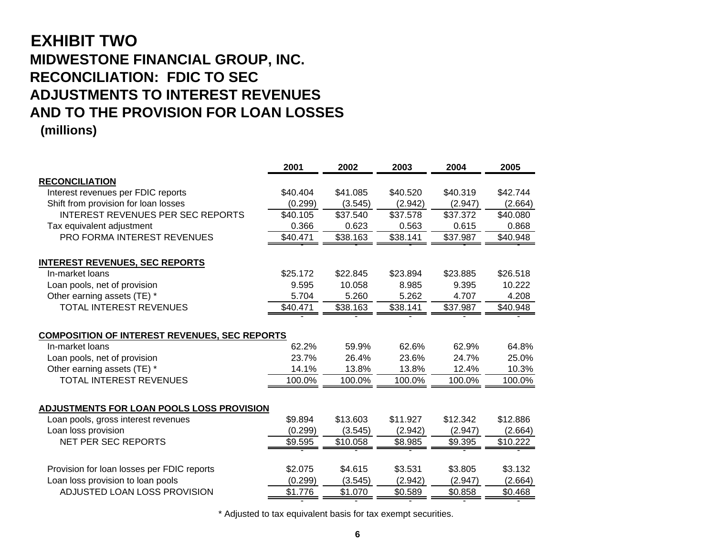# **EXHIBIT TWO MIDWESTONE FINANCIAL GROUP, INC. RECONCILIATION: FDIC TO SEC ADJUSTMENTS TO INTEREST REVENUESAND TO THE PROVISION FOR LOAN LOSSES**

**(millions)**

|                                                      | 2001     | 2002     | 2003     | 2004     | 2005     |
|------------------------------------------------------|----------|----------|----------|----------|----------|
| <b>RECONCILIATION</b>                                |          |          |          |          |          |
| Interest revenues per FDIC reports                   | \$40.404 | \$41.085 | \$40.520 | \$40.319 | \$42.744 |
| Shift from provision for loan losses                 | (0.299)  | (3.545)  | (2.942)  | (2.947)  | (2.664)  |
| <b>INTEREST REVENUES PER SEC REPORTS</b>             | \$40.105 | \$37.540 | \$37.578 | \$37.372 | \$40.080 |
| Tax equivalent adjustment                            | 0.366    | 0.623    | 0.563    | 0.615    | 0.868    |
| PRO FORMA INTEREST REVENUES                          | \$40.471 | \$38.163 | \$38.141 | \$37.987 | \$40.948 |
| <b>INTEREST REVENUES, SEC REPORTS</b>                |          |          |          |          |          |
| In-market loans                                      | \$25.172 | \$22.845 | \$23.894 | \$23.885 | \$26.518 |
| Loan pools, net of provision                         | 9.595    | 10.058   | 8.985    | 9.395    | 10.222   |
| Other earning assets (TE) *                          | 5.704    | 5.260    | 5.262    | 4.707    | 4.208    |
| TOTAL INTEREST REVENUES                              | \$40.471 | \$38.163 | \$38.141 | \$37.987 | \$40.948 |
|                                                      |          |          |          |          |          |
| <b>COMPOSITION OF INTEREST REVENUES, SEC REPORTS</b> |          |          |          |          |          |
| In-market loans                                      | 62.2%    | 59.9%    | 62.6%    | 62.9%    | 64.8%    |
| Loan pools, net of provision                         | 23.7%    | 26.4%    | 23.6%    | 24.7%    | 25.0%    |
| Other earning assets (TE) *                          | 14.1%    | 13.8%    | 13.8%    | 12.4%    | 10.3%    |
| <b>TOTAL INTEREST REVENUES</b>                       | 100.0%   | 100.0%   | 100.0%   | 100.0%   | 100.0%   |
|                                                      |          |          |          |          |          |
| ADJUSTMENTS FOR LOAN POOLS LOSS PROVISION            |          |          |          |          |          |
| Loan pools, gross interest revenues                  | \$9.894  | \$13.603 | \$11.927 | \$12.342 | \$12.886 |
| Loan loss provision                                  | (0.299)  | (3.545)  | (2.942)  | (2.947)  | (2.664)  |
| <b>NET PER SEC REPORTS</b>                           | \$9.595  | \$10.058 | \$8.985  | \$9.395  | \$10.222 |
|                                                      |          |          |          |          |          |
| Provision for loan losses per FDIC reports           | \$2.075  | \$4.615  | \$3.531  | \$3.805  | \$3.132  |
| Loan loss provision to loan pools                    | (0.299)  | (3.545)  | (2.942)  | (2.947)  | (2.664)  |
| ADJUSTED LOAN LOSS PROVISION                         | \$1.776  | \$1.070  | \$0.589  | \$0.858  | \$0.468  |
|                                                      |          |          |          |          |          |

\* Adjusted to tax equivalent basis for tax exempt securities.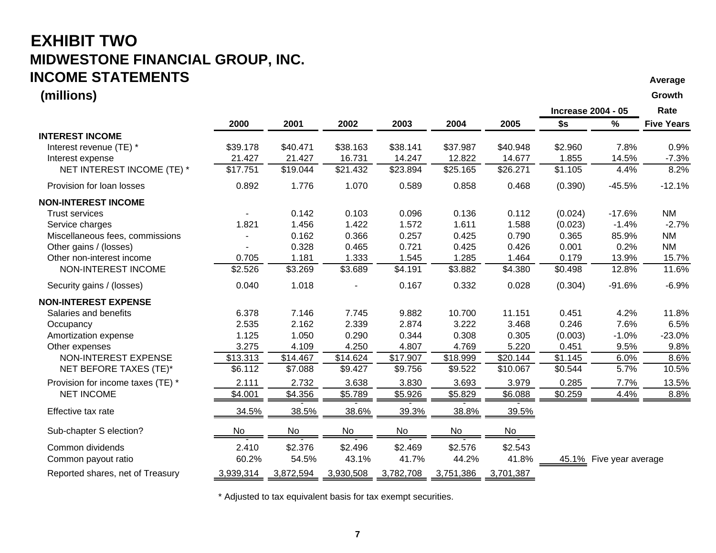#### **EXHIBIT TWO MIDWESTONE FINANCIAL GROUP, INC. INCOME STATEMENTSスプレイン しょうしょう しょうしょう しょうしょう しょうしょう しょうしょう しょうしょう しょうしょう しょうしょう しょうしょう しょうしょう しょうしょうしょう しょうしょうしょう しょうしょうしょう しょうしょうしょう**

#### **(millions) Growth**

|                                   |           |           |           |           |           |           | <b>Increase 2004 - 05</b> |                         | Rate              |
|-----------------------------------|-----------|-----------|-----------|-----------|-----------|-----------|---------------------------|-------------------------|-------------------|
|                                   | 2000      | 2001      | 2002      | 2003      | 2004      | 2005      | \$s                       | $\%$                    | <b>Five Years</b> |
| <b>INTEREST INCOME</b>            |           |           |           |           |           |           |                           |                         |                   |
| Interest revenue (TE) *           | \$39.178  | \$40.471  | \$38.163  | \$38.141  | \$37.987  | \$40.948  | \$2.960                   | 7.8%                    | 0.9%              |
| Interest expense                  | 21.427    | 21.427    | 16.731    | 14.247    | 12.822    | 14.677    | 1.855                     | 14.5%                   | $-7.3%$           |
| NET INTEREST INCOME (TE) *        | \$17.751  | \$19.044  | \$21.432  | \$23.894  | \$25.165  | \$26.271  | \$1.105                   | 4.4%                    | 8.2%              |
| Provision for loan losses         | 0.892     | 1.776     | 1.070     | 0.589     | 0.858     | 0.468     | (0.390)                   | $-45.5%$                | $-12.1%$          |
| <b>NON-INTEREST INCOME</b>        |           |           |           |           |           |           |                           |                         |                   |
| <b>Trust services</b>             |           | 0.142     | 0.103     | 0.096     | 0.136     | 0.112     | (0.024)                   | $-17.6%$                | <b>NM</b>         |
| Service charges                   | 1.821     | 1.456     | 1.422     | 1.572     | 1.611     | 1.588     | (0.023)                   | $-1.4%$                 | $-2.7%$           |
| Miscellaneous fees, commissions   |           | 0.162     | 0.366     | 0.257     | 0.425     | 0.790     | 0.365                     | 85.9%                   | <b>NM</b>         |
| Other gains / (losses)            |           | 0.328     | 0.465     | 0.721     | 0.425     | 0.426     | 0.001                     | 0.2%                    | <b>NM</b>         |
| Other non-interest income         | 0.705     | 1.181     | 1.333     | 1.545     | 1.285     | 1.464     | 0.179                     | 13.9%                   | 15.7%             |
| NON-INTEREST INCOME               | \$2.526   | \$3.269   | \$3.689   | \$4.191   | \$3.882   | \$4.380   | \$0.498                   | 12.8%                   | 11.6%             |
| Security gains / (losses)         | 0.040     | 1.018     |           | 0.167     | 0.332     | 0.028     | (0.304)                   | $-91.6%$                | $-6.9%$           |
| <b>NON-INTEREST EXPENSE</b>       |           |           |           |           |           |           |                           |                         |                   |
| Salaries and benefits             | 6.378     | 7.146     | 7.745     | 9.882     | 10.700    | 11.151    | 0.451                     | 4.2%                    | 11.8%             |
| Occupancy                         | 2.535     | 2.162     | 2.339     | 2.874     | 3.222     | 3.468     | 0.246                     | 7.6%                    | 6.5%              |
| Amortization expense              | 1.125     | 1.050     | 0.290     | 0.344     | 0.308     | 0.305     | (0.003)                   | $-1.0%$                 | $-23.0%$          |
| Other expenses                    | 3.275     | 4.109     | 4.250     | 4.807     | 4.769     | 5.220     | 0.451                     | 9.5%                    | 9.8%              |
| NON-INTEREST EXPENSE              | \$13.313  | \$14.467  | \$14.624  | \$17.907  | \$18.999  | \$20.144  | \$1.145                   | 6.0%                    | 8.6%              |
| NET BEFORE TAXES (TE)*            | \$6.112   | \$7.088   | \$9.427   | \$9.756   | \$9.522   | \$10.067  | \$0.544                   | 5.7%                    | 10.5%             |
| Provision for income taxes (TE) * | 2.111     | 2.732     | 3.638     | 3.830     | 3.693     | 3.979     | 0.285                     | 7.7%                    | 13.5%             |
| <b>NET INCOME</b>                 | \$4.001   | \$4.356   | \$5.789   | \$5.926   | \$5.829   | \$6.088   | \$0.259                   | 4.4%                    | 8.8%              |
| Effective tax rate                | 34.5%     | 38.5%     | 38.6%     | 39.3%     | 38.8%     | 39.5%     |                           |                         |                   |
| Sub-chapter S election?           | No        | No        | No        | No        | No        | No        |                           |                         |                   |
| Common dividends                  | 2.410     | \$2.376   | \$2.496   | \$2.469   | \$2.576   | \$2.543   |                           |                         |                   |
| Common payout ratio               | 60.2%     | 54.5%     | 43.1%     | 41.7%     | 44.2%     | 41.8%     |                           | 45.1% Five year average |                   |
| Reported shares, net of Treasury  | 3,939,314 | 3,872,594 | 3,930,508 | 3,782,708 | 3,751,386 | 3,701,387 |                           |                         |                   |

\* Adjusted to tax equivalent basis for tax exempt securities.

**7**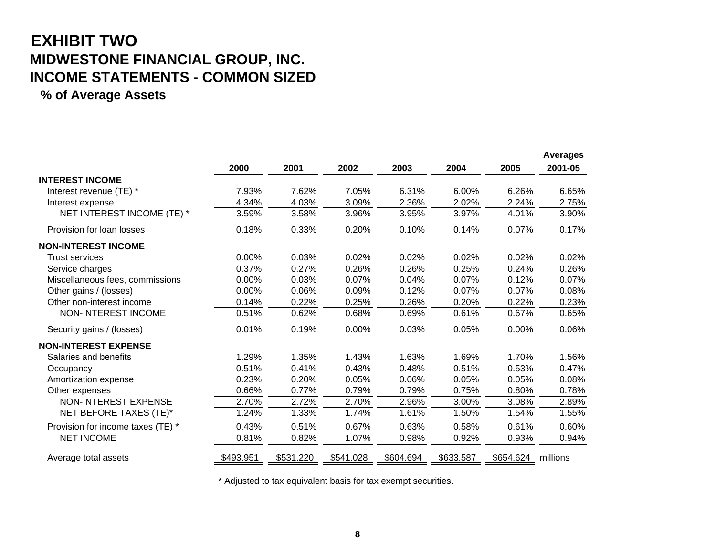# **EXHIBIT TWO MIDWESTONE FINANCIAL GROUP, INC. INCOME STATEMENTS - COMMON SIZED**

**% of Average Assets**

|                                   |           |           |           |           |           |           | <b>Averages</b> |
|-----------------------------------|-----------|-----------|-----------|-----------|-----------|-----------|-----------------|
|                                   | 2000      | 2001      | 2002      | 2003      | 2004      | 2005      | 2001-05         |
| <b>INTEREST INCOME</b>            |           |           |           |           |           |           |                 |
| Interest revenue (TE) *           | 7.93%     | 7.62%     | 7.05%     | 6.31%     | 6.00%     | 6.26%     | 6.65%           |
| Interest expense                  | 4.34%     | 4.03%     | 3.09%     | 2.36%     | 2.02%     | 2.24%     | 2.75%           |
| NET INTEREST INCOME (TE) *        | 3.59%     | 3.58%     | 3.96%     | 3.95%     | 3.97%     | 4.01%     | 3.90%           |
| Provision for loan losses         | 0.18%     | 0.33%     | 0.20%     | 0.10%     | 0.14%     | 0.07%     | 0.17%           |
| <b>NON-INTEREST INCOME</b>        |           |           |           |           |           |           |                 |
| <b>Trust services</b>             | 0.00%     | 0.03%     | 0.02%     | 0.02%     | 0.02%     | 0.02%     | 0.02%           |
| Service charges                   | 0.37%     | 0.27%     | 0.26%     | 0.26%     | 0.25%     | 0.24%     | 0.26%           |
| Miscellaneous fees, commissions   | 0.00%     | 0.03%     | 0.07%     | 0.04%     | 0.07%     | 0.12%     | 0.07%           |
| Other gains / (losses)            | 0.00%     | 0.06%     | 0.09%     | 0.12%     | 0.07%     | 0.07%     | 0.08%           |
| Other non-interest income         | 0.14%     | 0.22%     | 0.25%     | 0.26%     | 0.20%     | 0.22%     | 0.23%           |
| NON-INTEREST INCOME               | 0.51%     | 0.62%     | 0.68%     | 0.69%     | 0.61%     | 0.67%     | 0.65%           |
| Security gains / (losses)         | 0.01%     | 0.19%     | 0.00%     | 0.03%     | 0.05%     | 0.00%     | 0.06%           |
| <b>NON-INTEREST EXPENSE</b>       |           |           |           |           |           |           |                 |
| Salaries and benefits             | 1.29%     | 1.35%     | 1.43%     | 1.63%     | 1.69%     | 1.70%     | 1.56%           |
| Occupancy                         | 0.51%     | 0.41%     | 0.43%     | 0.48%     | 0.51%     | 0.53%     | 0.47%           |
| Amortization expense              | 0.23%     | 0.20%     | 0.05%     | 0.06%     | 0.05%     | 0.05%     | 0.08%           |
| Other expenses                    | 0.66%     | 0.77%     | 0.79%     | 0.79%     | 0.75%     | 0.80%     | 0.78%           |
| NON-INTEREST EXPENSE              | 2.70%     | 2.72%     | 2.70%     | 2.96%     | 3.00%     | 3.08%     | 2.89%           |
| NET BEFORE TAXES (TE)*            | 1.24%     | 1.33%     | 1.74%     | 1.61%     | 1.50%     | 1.54%     | 1.55%           |
| Provision for income taxes (TE) * | 0.43%     | 0.51%     | 0.67%     | 0.63%     | 0.58%     | 0.61%     | 0.60%           |
| <b>NET INCOME</b>                 | 0.81%     | 0.82%     | 1.07%     | 0.98%     | 0.92%     | 0.93%     | 0.94%           |
| Average total assets              | \$493.951 | \$531.220 | \$541.028 | \$604.694 | \$633.587 | \$654.624 | millions        |

\* Adjusted to tax equivalent basis for tax exempt securities.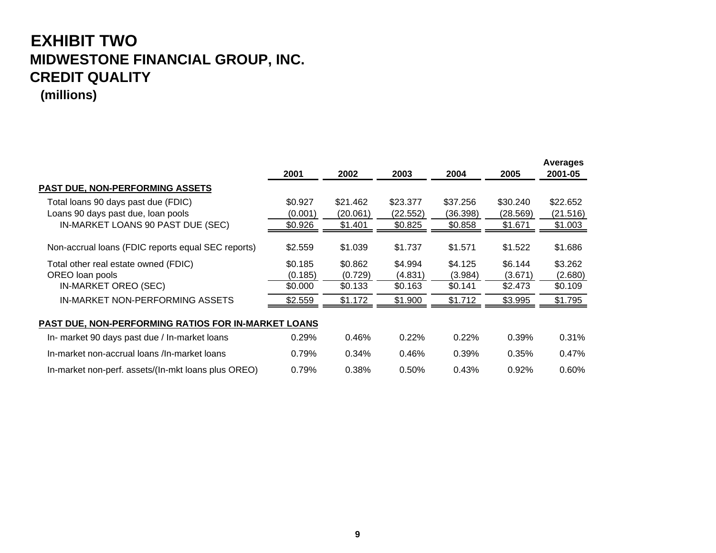# **EXHIBIT TWO MIDWESTONE FINANCIAL GROUP, INC. CREDIT QUALITY**

**(millions)**

|                                                                           | 2001               | 2002                 | 2003                 | 2004                 | 2005                 | <b>Averages</b><br>2001-05 |
|---------------------------------------------------------------------------|--------------------|----------------------|----------------------|----------------------|----------------------|----------------------------|
| <b>PAST DUE, NON-PERFORMING ASSETS</b>                                    |                    |                      |                      |                      |                      |                            |
| Total loans 90 days past due (FDIC)<br>Loans 90 days past due, loan pools | \$0.927<br>(0.001) | \$21.462<br>(20.061) | \$23.377<br>(22.552) | \$37.256<br>(36.398) | \$30.240<br>(28.569) | \$22.652<br>(21.516)       |
| IN-MARKET LOANS 90 PAST DUE (SEC)                                         | \$0.926            | \$1.401              | \$0.825              | \$0.858              | \$1.671              | \$1.003                    |
| Non-accrual loans (FDIC reports equal SEC reports)                        | \$2.559            | \$1.039              | \$1.737              | \$1.571              | \$1.522              | \$1.686                    |
| Total other real estate owned (FDIC)                                      | \$0.185            | \$0.862              | \$4.994              | \$4.125              | \$6.144              | \$3.262                    |
| OREO loan pools                                                           | (0.185)            | (0.729)              | (4.831)              | (3.984)              | (3.671)              | (2.680)                    |
| IN-MARKET OREO (SEC)                                                      | \$0.000            | \$0.133              | \$0.163              | \$0.141              | \$2.473              | \$0.109                    |
| IN-MARKET NON-PERFORMING ASSETS                                           | \$2.559            | \$1.172              | \$1.900              | \$1.712              | \$3.995              | \$1.795                    |
| PAST DUE, NON-PERFORMING RATIOS FOR IN-MARKET LOANS                       |                    |                      |                      |                      |                      |                            |
| In- market 90 days past due / In-market loans                             | 0.29%              | 0.46%                | 0.22%                | 0.22%                | 0.39%                | 0.31%                      |
| In-market non-accrual loans /In-market loans                              | 0.79%              | 0.34%                | 0.46%                | 0.39%                | 0.35%                | 0.47%                      |
| In-market non-perf. assets/(In-mkt loans plus OREO)                       | 0.79%              | 0.38%                | 0.50%                | 0.43%                | 0.92%                | 0.60%                      |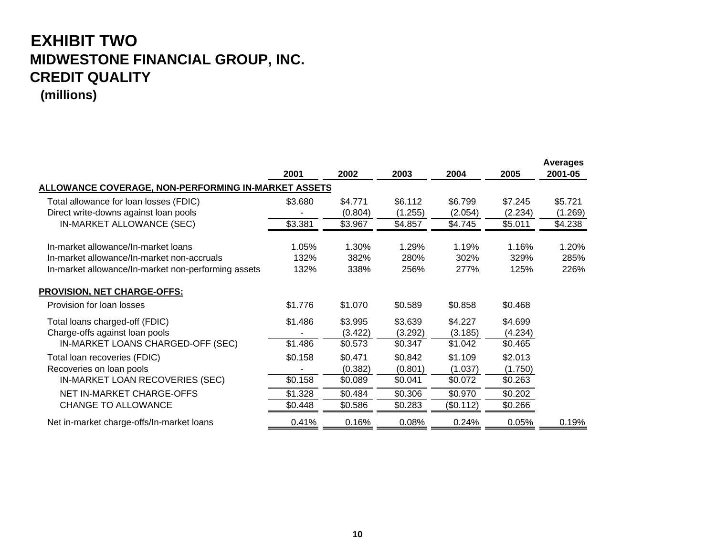# **EXHIBIT TWO MIDWESTONE FINANCIAL GROUP, INC. CREDIT QUALITY**

**(millions)**

|                                                     | 2001    | 2002    | 2003    | 2004      | 2005    | <b>Averages</b><br>2001-05 |
|-----------------------------------------------------|---------|---------|---------|-----------|---------|----------------------------|
| ALLOWANCE COVERAGE, NON-PERFORMING IN-MARKET ASSETS |         |         |         |           |         |                            |
| Total allowance for loan losses (FDIC)              | \$3.680 | \$4.771 | \$6.112 | \$6.799   | \$7.245 | \$5.721                    |
| Direct write-downs against loan pools               |         | (0.804) | (1.255) | (2.054)   | (2.234) | (1.269)                    |
| IN-MARKET ALLOWANCE (SEC)                           | \$3.381 | \$3.967 | \$4.857 | \$4.745   | \$5.011 | \$4.238                    |
| In-market allowance/In-market loans                 | 1.05%   | 1.30%   | 1.29%   | 1.19%     | 1.16%   | 1.20%                      |
| In-market allowance/In-market non-accruals          | 132%    | 382%    | 280%    | 302%      | 329%    | 285%                       |
| In-market allowance/In-market non-performing assets | 132%    | 338%    | 256%    | 277%      | 125%    | 226%                       |
| <b>PROVISION, NET CHARGE-OFFS:</b>                  |         |         |         |           |         |                            |
| Provision for loan losses                           | \$1.776 | \$1.070 | \$0.589 | \$0.858   | \$0.468 |                            |
| Total loans charged-off (FDIC)                      | \$1.486 | \$3.995 | \$3.639 | \$4.227   | \$4.699 |                            |
| Charge-offs against loan pools                      |         | (3.422) | (3.292) | (3.185)   | (4.234) |                            |
| IN-MARKET LOANS CHARGED-OFF (SEC)                   | \$1.486 | \$0.573 | \$0.347 | \$1.042   | \$0.465 |                            |
| Total loan recoveries (FDIC)                        | \$0.158 | \$0.471 | \$0.842 | \$1.109   | \$2.013 |                            |
| Recoveries on loan pools                            |         | (0.382) | (0.801) | (1.037)   | (1.750) |                            |
| IN-MARKET LOAN RECOVERIES (SEC)                     | \$0.158 | \$0.089 | \$0.041 | \$0.072   | \$0.263 |                            |
| NET IN-MARKET CHARGE-OFFS                           | \$1.328 | \$0.484 | \$0.306 | \$0.970   | \$0.202 |                            |
| <b>CHANGE TO ALLOWANCE</b>                          | \$0.448 | \$0.586 | \$0.283 | (\$0.112) | \$0.266 |                            |
| Net in-market charge-offs/In-market loans           | 0.41%   | 0.16%   | 0.08%   | 0.24%     | 0.05%   | 0.19%                      |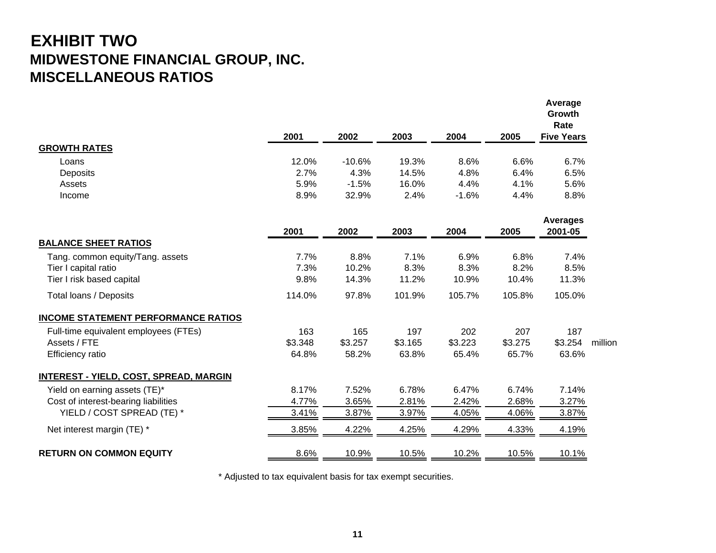## **EXHIBIT TWO MIDWESTONE FINANCIAL GROUP, INC. MISCELLANEOUS RATIOS**

| 2002<br>2001<br>2003<br>2004<br>2005                                              | <b>Five Years</b>          |         |
|-----------------------------------------------------------------------------------|----------------------------|---------|
| <b>GROWTH RATES</b>                                                               |                            |         |
| 12.0%<br>$-10.6%$<br>19.3%<br>8.6%<br>6.6%<br>Loans                               | 6.7%                       |         |
| 2.7%<br>4.3%<br>14.5%<br>4.8%<br>6.4%<br>Deposits                                 | 6.5%                       |         |
| 5.9%<br>16.0%<br>4.4%<br>$-1.5%$<br>4.1%<br>Assets                                | 5.6%                       |         |
| 8.9%<br>32.9%<br>2.4%<br>$-1.6%$<br>4.4%<br>Income                                | 8.8%                       |         |
| 2003<br>2005<br>2001<br>2002<br>2004                                              | <b>Averages</b><br>2001-05 |         |
| <b>BALANCE SHEET RATIOS</b>                                                       |                            |         |
| 7.7%<br>8.8%<br>7.1%<br>6.9%<br>6.8%<br>Tang. common equity/Tang. assets          | 7.4%                       |         |
| 8.3%<br>8.2%<br>Tier I capital ratio<br>7.3%<br>10.2%<br>8.3%                     | 8.5%                       |         |
| Tier I risk based capital<br>9.8%<br>14.3%<br>11.2%<br>10.9%<br>10.4%             | 11.3%                      |         |
| 114.0%<br>97.8%<br>101.9%<br>105.7%<br>105.8%<br>Total loans / Deposits           | 105.0%                     |         |
| <b>INCOME STATEMENT PERFORMANCE RATIOS</b>                                        |                            |         |
| Full-time equivalent employees (FTEs)<br>163<br>165<br>197<br>202<br>207          | 187                        |         |
| Assets / FTE<br>\$3.348<br>\$3.257<br>\$3.165<br>\$3.223<br>\$3.275               | \$3.254                    | million |
| 58.2%<br>63.8%<br>65.4%<br>65.7%<br>64.8%<br><b>Efficiency ratio</b>              | 63.6%                      |         |
| <b>INTEREST - YIELD, COST, SPREAD, MARGIN</b>                                     |                            |         |
| 8.17%<br>6.78%<br>7.52%<br>6.47%<br>6.74%<br>Yield on earning assets (TE)*        | 7.14%                      |         |
| 3.65%<br>2.81%<br>2.68%<br>Cost of interest-bearing liabilities<br>4.77%<br>2.42% | 3.27%                      |         |
| YIELD / COST SPREAD (TE) *<br>3.41%<br>3.87%<br>3.97%<br>4.05%<br>4.06%           | 3.87%                      |         |
| 3.85%<br>4.22%<br>4.25%<br>4.29%<br>4.33%<br>Net interest margin (TE) *           | 4.19%                      |         |
| <b>RETURN ON COMMON EQUITY</b><br>8.6%<br>10.9%<br>10.5%<br>10.2%<br>10.5%        | 10.1%                      |         |

\* Adjusted to tax equivalent basis for tax exempt securities.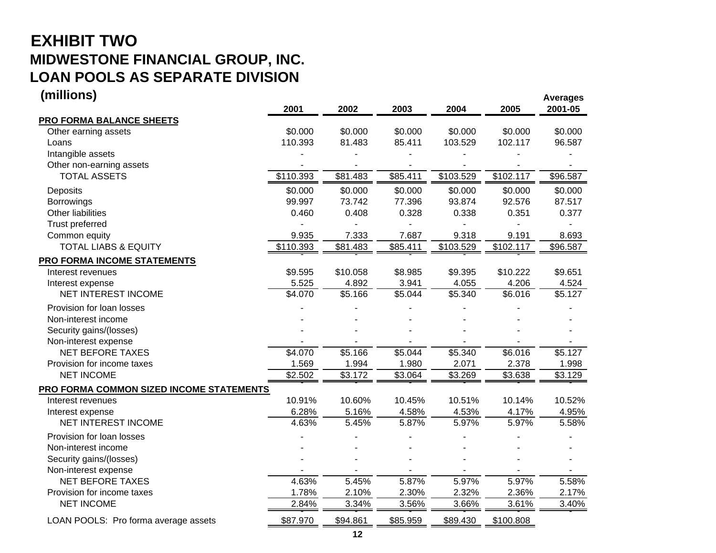# **EXHIBIT TWO MIDWESTONE FINANCIAL GROUP, INC. LOAN POOLS AS SEPARATE DIVISION**

| (millions)                                      |                    |                   |                     |                    |                    | <b>Averages</b>   |
|-------------------------------------------------|--------------------|-------------------|---------------------|--------------------|--------------------|-------------------|
|                                                 | 2001               | 2002              | 2003                | 2004               | 2005               | 2001-05           |
| <b>PRO FORMA BALANCE SHEETS</b>                 |                    |                   |                     |                    |                    |                   |
| Other earning assets                            | \$0.000<br>110.393 | \$0.000<br>81.483 | \$0.000<br>85.411   | \$0.000<br>103.529 | \$0.000<br>102.117 | \$0.000<br>96.587 |
| Loans<br>Intangible assets                      |                    |                   |                     |                    |                    |                   |
| Other non-earning assets                        |                    |                   |                     |                    |                    |                   |
| <b>TOTAL ASSETS</b>                             | \$110.393          | \$81.483          | \$85.411            | \$103.529          | \$102.117          | \$96.587          |
| Deposits                                        | \$0.000            | \$0.000           | \$0.000             | \$0.000            | \$0.000            | \$0.000           |
| Borrowings                                      | 99.997             | 73.742            | 77.396              | 93.874             | 92.576             | 87.517            |
| Other liabilities                               | 0.460              | 0.408             | 0.328               | 0.338              | 0.351              | 0.377             |
| <b>Trust preferred</b>                          |                    |                   |                     |                    |                    |                   |
| Common equity                                   | 9.935              | 7.333             | 7.687               | 9.318              | 9.191              | 8.693             |
| <b>TOTAL LIABS &amp; EQUITY</b>                 | \$110.393          | \$81.483          | \$85.411            | \$103.529          | \$102.117          | \$96.587          |
| <b>PRO FORMA INCOME STATEMENTS</b>              |                    |                   |                     |                    |                    |                   |
| Interest revenues                               | \$9.595            | \$10.058          | \$8.985             | \$9.395            | \$10.222           | \$9.651           |
| Interest expense                                | 5.525              | 4.892             | 3.941               | 4.055              | 4.206              | 4.524             |
| NET INTEREST INCOME                             | \$4.070            | \$5.166           | $\overline{$}5.044$ | \$5.340            | \$6.016            | \$5.127           |
| Provision for loan losses                       |                    |                   |                     |                    |                    |                   |
| Non-interest income                             |                    |                   |                     |                    |                    |                   |
| Security gains/(losses)                         |                    |                   |                     |                    |                    |                   |
| Non-interest expense                            |                    |                   |                     |                    |                    |                   |
| <b>NET BEFORE TAXES</b>                         | \$4.070            | \$5.166           | \$5.044             | \$5.340            | \$6.016            | \$5.127           |
| Provision for income taxes                      | 1.569              | 1.994             | 1.980               | 2.071              | 2.378              | 1.998             |
| <b>NET INCOME</b>                               | \$2.502            | \$3.172           | \$3.064             | \$3.269            | \$3.638            | \$3.129           |
| <b>PRO FORMA COMMON SIZED INCOME STATEMENTS</b> |                    |                   |                     |                    |                    |                   |
| Interest revenues                               | 10.91%             | 10.60%            | 10.45%              | 10.51%             | 10.14%             | 10.52%            |
| Interest expense                                | 6.28%              | 5.16%             | 4.58%               | 4.53%              | 4.17%              | 4.95%             |
| <b>NET INTEREST INCOME</b>                      | 4.63%              | 5.45%             | 5.87%               | 5.97%              | 5.97%              | 5.58%             |
| Provision for loan losses                       |                    |                   |                     |                    |                    |                   |
| Non-interest income                             |                    |                   |                     |                    |                    |                   |
| Security gains/(losses)                         |                    |                   |                     |                    |                    |                   |
| Non-interest expense                            |                    |                   |                     |                    |                    |                   |
| <b>NET BEFORE TAXES</b>                         | 4.63%              | 5.45%             | 5.87%               | 5.97%              | 5.97%              | 5.58%             |
| Provision for income taxes                      | 1.78%              | 2.10%             | 2.30%               | 2.32%              | 2.36%              | 2.17%             |
| <b>NET INCOME</b>                               | 2.84%              | 3.34%             | 3.56%               | 3.66%              | 3.61%              | 3.40%             |
| LOAN POOLS: Pro forma average assets            | \$87.970           | \$94.861          | \$85.959            | \$89.430           | \$100.808          |                   |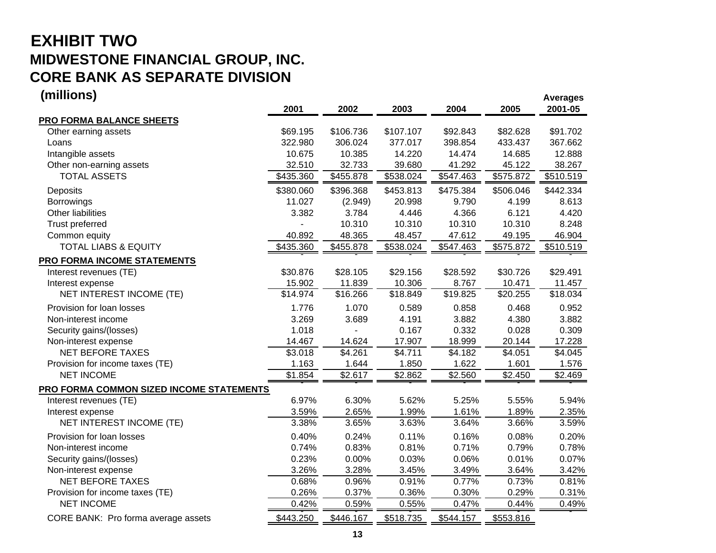# **EXHIBIT TWO MIDWESTONE FINANCIAL GROUP, INC. CORE BANK AS SEPARATE DIVISION**

| (millions)                               |           |           |           |           |           | <b>Averages</b> |
|------------------------------------------|-----------|-----------|-----------|-----------|-----------|-----------------|
|                                          | 2001      | 2002      | 2003      | 2004      | 2005      | 2001-05         |
| PRO FORMA BALANCE SHEETS                 |           |           |           |           |           |                 |
| Other earning assets                     | \$69.195  | \$106.736 | \$107.107 | \$92.843  | \$82.628  | \$91.702        |
| Loans                                    | 322.980   | 306.024   | 377.017   | 398.854   | 433.437   | 367.662         |
| Intangible assets                        | 10.675    | 10.385    | 14.220    | 14.474    | 14.685    | 12.888          |
| Other non-earning assets                 | 32.510    | 32.733    | 39.680    | 41.292    | 45.122    | 38.267          |
| <b>TOTAL ASSETS</b>                      | \$435.360 | \$455.878 | \$538.024 | \$547.463 | \$575.872 | \$510.519       |
| Deposits                                 | \$380.060 | \$396.368 | \$453.813 | \$475.384 | \$506.046 | \$442.334       |
| <b>Borrowings</b>                        | 11.027    | (2.949)   | 20.998    | 9.790     | 4.199     | 8.613           |
| Other liabilities                        | 3.382     | 3.784     | 4.446     | 4.366     | 6.121     | 4.420           |
| Trust preferred                          |           | 10.310    | 10.310    | 10.310    | 10.310    | 8.248           |
| Common equity                            | 40.892    | 48.365    | 48.457    | 47.612    | 49.195    | 46.904          |
| <b>TOTAL LIABS &amp; EQUITY</b>          | \$435.360 | \$455.878 | \$538.024 | \$547.463 | \$575.872 | \$510.519       |
| <b>PRO FORMA INCOME STATEMENTS</b>       |           |           |           |           |           |                 |
| Interest revenues (TE)                   | \$30.876  | \$28.105  | \$29.156  | \$28.592  | \$30.726  | \$29.491        |
| Interest expense                         | 15.902    | 11.839    | 10.306    | 8.767     | 10.471    | 11.457          |
| NET INTEREST INCOME (TE)                 | \$14.974  | \$16.266  | \$18.849  | \$19.825  | \$20.255  | \$18.034        |
| Provision for loan losses                | 1.776     | 1.070     | 0.589     | 0.858     | 0.468     | 0.952           |
| Non-interest income                      | 3.269     | 3.689     | 4.191     | 3.882     | 4.380     | 3.882           |
| Security gains/(losses)                  | 1.018     |           | 0.167     | 0.332     | 0.028     | 0.309           |
| Non-interest expense                     | 14.467    | 14.624    | 17.907    | 18.999    | 20.144    | 17.228          |
| <b>NET BEFORE TAXES</b>                  | \$3.018   | \$4.261   | \$4.711   | \$4.182   | \$4.051   | \$4.045         |
| Provision for income taxes (TE)          | 1.163     | 1.644     | 1.850     | 1.622     | 1.601     | 1.576           |
| <b>NET INCOME</b>                        | \$1.854   | \$2.617   | \$2.862   | \$2.560   | \$2.450   | \$2.469         |
| PRO FORMA COMMON SIZED INCOME STATEMENTS |           |           |           |           |           |                 |
| Interest revenues (TE)                   | 6.97%     | 6.30%     | 5.62%     | 5.25%     | 5.55%     | 5.94%           |
| Interest expense                         | 3.59%     | 2.65%     | 1.99%     | 1.61%     | 1.89%     | 2.35%           |
| NET INTEREST INCOME (TE)                 | 3.38%     | 3.65%     | 3.63%     | 3.64%     | 3.66%     | 3.59%           |
| Provision for loan losses                | 0.40%     | 0.24%     | 0.11%     | 0.16%     | 0.08%     | 0.20%           |
| Non-interest income                      | 0.74%     | 0.83%     | 0.81%     | 0.71%     | 0.79%     | 0.78%           |
| Security gains/(losses)                  | 0.23%     | 0.00%     | 0.03%     | 0.06%     | 0.01%     | 0.07%           |
| Non-interest expense                     | 3.26%     | 3.28%     | 3.45%     | 3.49%     | 3.64%     | 3.42%           |
| <b>NET BEFORE TAXES</b>                  | 0.68%     | 0.96%     | 0.91%     | 0.77%     | 0.73%     | 0.81%           |
| Provision for income taxes (TE)          | 0.26%     | 0.37%     | 0.36%     | 0.30%     | 0.29%     | 0.31%           |
| <b>NET INCOME</b>                        | 0.42%     | 0.59%     | 0.55%     | 0.47%     | 0.44%     | 0.49%           |
| CORE BANK: Pro forma average assets      | \$443.250 | \$446.167 | \$518.735 | \$544.157 | \$553.816 |                 |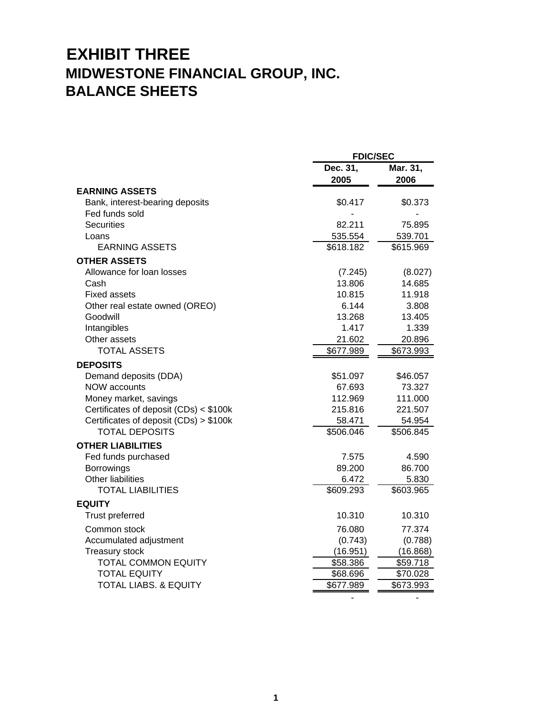# **EXHIBIT THREE MIDWESTONE FINANCIAL GROUP, INC. BALANCE SHEETS**

|                                        | <b>FDIC/SEC</b>  |                  |  |
|----------------------------------------|------------------|------------------|--|
|                                        | Dec. 31,<br>2005 | Mar. 31,<br>2006 |  |
| <b>EARNING ASSETS</b>                  |                  |                  |  |
| Bank, interest-bearing deposits        | \$0.417          | \$0.373          |  |
| Fed funds sold                         |                  |                  |  |
| <b>Securities</b>                      | 82.211           | 75.895           |  |
| Loans                                  | 535.554          | 539.701          |  |
| EARNING ASSETS                         | \$618.182        | \$615.969        |  |
| <b>OTHER ASSETS</b>                    |                  |                  |  |
| Allowance for loan losses              | (7.245)          | (8.027)          |  |
| Cash                                   | 13.806           | 14.685           |  |
| <b>Fixed assets</b>                    | 10.815           | 11.918           |  |
| Other real estate owned (OREO)         | 6.144            | 3.808            |  |
| Goodwill                               | 13.268           | 13.405           |  |
| Intangibles                            | 1.417            | 1.339            |  |
| Other assets                           | 21.602           | 20.896           |  |
| <b>TOTAL ASSETS</b>                    | \$677.989        | \$673.993        |  |
| <b>DEPOSITS</b>                        |                  |                  |  |
| Demand deposits (DDA)                  | \$51.097         | \$46.057         |  |
| <b>NOW accounts</b>                    | 67.693           | 73.327           |  |
| Money market, savings                  | 112.969          | 111.000          |  |
| Certificates of deposit (CDs) < \$100k | 215.816          | 221.507          |  |
| Certificates of deposit (CDs) > \$100k | 58.471           | 54.954           |  |
| <b>TOTAL DEPOSITS</b>                  | \$506.046        | \$506.845        |  |
| <b>OTHER LIABILITIES</b>               |                  |                  |  |
| Fed funds purchased                    | 7.575            | 4.590            |  |
| <b>Borrowings</b>                      | 89.200           | 86.700           |  |
| <b>Other liabilities</b>               | 6.472            | 5.830            |  |
| <b>TOTAL LIABILITIES</b>               | \$609.293        | \$603.965        |  |
| <b>EQUITY</b>                          |                  |                  |  |
| Trust preferred                        | 10.310           | 10.310           |  |
| Common stock                           | 76.080           | 77.374           |  |
| Accumulated adjustment                 | (0.743)          | (0.788)          |  |
| Treasury stock                         | (16.951)         | (16.868)         |  |
| <b>TOTAL COMMON EQUITY</b>             | \$58.386         | \$59.718         |  |
| <b>TOTAL EQUITY</b>                    | \$68.696         | \$70.028         |  |
| <b>TOTAL LIABS. &amp; EQUITY</b>       | \$677.989        | \$673.993        |  |
|                                        |                  |                  |  |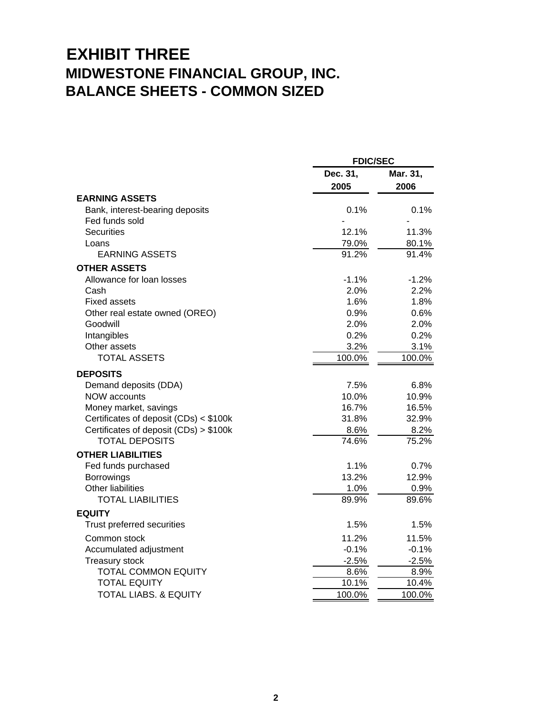# **EXHIBIT THREE MIDWESTONE FINANCIAL GROUP, INC. BALANCE SHEETS - COMMON SIZED**

|                                        | <b>FDIC/SEC</b> |          |
|----------------------------------------|-----------------|----------|
|                                        | Dec. 31,        | Mar. 31, |
|                                        | 2005            | 2006     |
| <b>EARNING ASSETS</b>                  |                 |          |
| Bank, interest-bearing deposits        | 0.1%            | 0.1%     |
| Fed funds sold                         |                 |          |
| <b>Securities</b>                      | 12.1%           | 11.3%    |
| Loans                                  | 79.0%           | 80.1%    |
| <b>EARNING ASSETS</b>                  | 91.2%           | 91.4%    |
| <b>OTHER ASSETS</b>                    |                 |          |
| Allowance for loan losses              | $-1.1%$         | $-1.2%$  |
| Cash                                   | 2.0%            | 2.2%     |
| <b>Fixed assets</b>                    | 1.6%            | 1.8%     |
| Other real estate owned (OREO)         | 0.9%            | 0.6%     |
| Goodwill                               | 2.0%            | 2.0%     |
| Intangibles                            | 0.2%            | 0.2%     |
| Other assets                           | 3.2%            | 3.1%     |
| <b>TOTAL ASSETS</b>                    | 100.0%          | 100.0%   |
| <b>DEPOSITS</b>                        |                 |          |
| Demand deposits (DDA)                  | 7.5%            | 6.8%     |
| <b>NOW accounts</b>                    | 10.0%           | 10.9%    |
| Money market, savings                  | 16.7%           | 16.5%    |
| Certificates of deposit (CDs) < \$100k | 31.8%           | 32.9%    |
| Certificates of deposit (CDs) > \$100k | 8.6%            | 8.2%     |
| <b>TOTAL DEPOSITS</b>                  | 74.6%           | 75.2%    |
| <b>OTHER LIABILITIES</b>               |                 |          |
| Fed funds purchased                    | 1.1%            | 0.7%     |
| <b>Borrowings</b>                      | 13.2%           | 12.9%    |
| <b>Other liabilities</b>               | 1.0%            | 0.9%     |
| <b>TOTAL LIABILITIES</b>               | 89.9%           | 89.6%    |
| <b>EQUITY</b>                          |                 |          |
| Trust preferred securities             | 1.5%            | 1.5%     |
| Common stock                           | 11.2%           | 11.5%    |
| Accumulated adjustment                 | $-0.1%$         | $-0.1%$  |
| Treasury stock                         | $-2.5%$         | $-2.5%$  |
| <b>TOTAL COMMON EQUITY</b>             | 8.6%            | 8.9%     |
| <b>TOTAL EQUITY</b>                    | 10.1%           | 10.4%    |
| <b>TOTAL LIABS, &amp; EQUITY</b>       | 100.0%          | 100.0%   |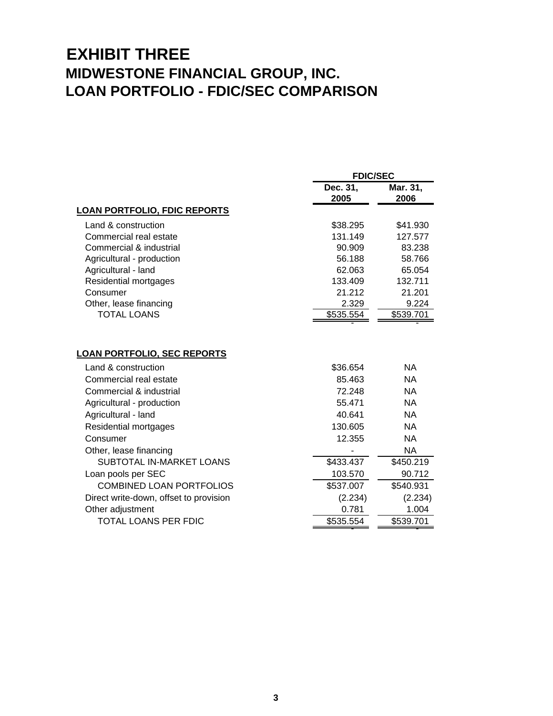## **EXHIBIT THREE MIDWESTONE FINANCIAL GROUP, INC. LOAN PORTFOLIO - FDIC/SEC COMPARISON**

|                                                                                                                                                                                                                                   | <b>FDIC/SEC</b>                                                       |                                                                                                |
|-----------------------------------------------------------------------------------------------------------------------------------------------------------------------------------------------------------------------------------|-----------------------------------------------------------------------|------------------------------------------------------------------------------------------------|
|                                                                                                                                                                                                                                   | Dec. 31,<br>2005                                                      | Mar. 31,<br>2006                                                                               |
| <b>LOAN PORTFOLIO, FDIC REPORTS</b>                                                                                                                                                                                               |                                                                       |                                                                                                |
| Land & construction                                                                                                                                                                                                               | \$38.295                                                              | \$41.930                                                                                       |
| Commercial real estate                                                                                                                                                                                                            | 131.149                                                               | 127.577                                                                                        |
| Commercial & industrial                                                                                                                                                                                                           | 90.909                                                                | 83.238                                                                                         |
| Agricultural - production                                                                                                                                                                                                         | 56.188                                                                | 58.766                                                                                         |
| Agricultural - land                                                                                                                                                                                                               | 62.063                                                                | 65.054                                                                                         |
| Residential mortgages                                                                                                                                                                                                             | 133.409                                                               | 132.711                                                                                        |
| Consumer                                                                                                                                                                                                                          | 21.212                                                                | 21.201                                                                                         |
| Other, lease financing                                                                                                                                                                                                            | 2.329                                                                 | 9.224                                                                                          |
| <b>TOTAL LOANS</b>                                                                                                                                                                                                                | \$535.554                                                             | \$539.701                                                                                      |
| <b>LOAN PORTFOLIO, SEC REPORTS</b><br>Land & construction<br>Commercial real estate<br>Commercial & industrial<br>Agricultural - production<br>Agricultural - land<br>Residential mortgages<br>Consumer<br>Other, lease financing | \$36.654<br>85.463<br>72.248<br>55.471<br>40.641<br>130.605<br>12.355 | NA.<br><b>NA</b><br><b>NA</b><br><b>NA</b><br><b>NA</b><br><b>NA</b><br><b>NA</b><br><b>NA</b> |
| SUBTOTAL IN-MARKET LOANS                                                                                                                                                                                                          | \$433.437                                                             | \$450.219                                                                                      |
| Loan pools per SEC                                                                                                                                                                                                                | 103.570                                                               | 90.712                                                                                         |
| <b>COMBINED LOAN PORTFOLIOS</b>                                                                                                                                                                                                   | \$537.007                                                             | \$540.931                                                                                      |
| Direct write-down, offset to provision                                                                                                                                                                                            | (2.234)                                                               | (2.234)                                                                                        |
| Other adjustment                                                                                                                                                                                                                  | 0.781                                                                 | 1.004                                                                                          |
| TOTAL LOANS PER FDIC                                                                                                                                                                                                              | \$535.554                                                             | \$539.701                                                                                      |
|                                                                                                                                                                                                                                   |                                                                       |                                                                                                |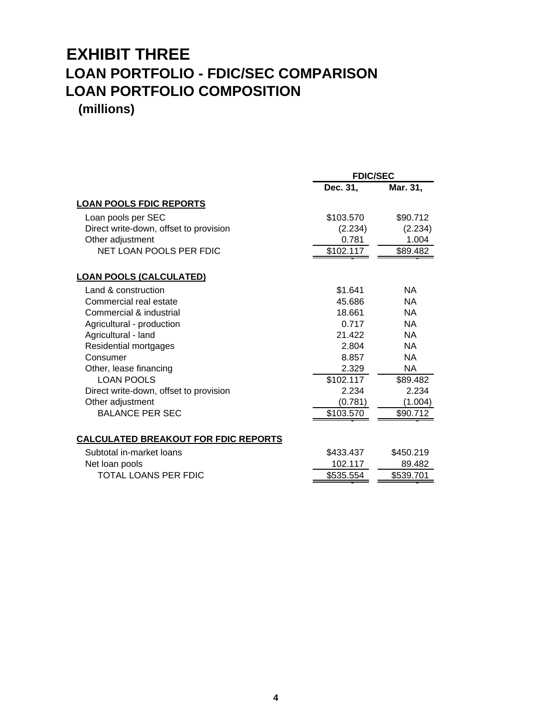## **EXHIBIT THREE LOAN PORTFOLIO - FDIC/SEC COMPARISON LOAN PORTFOLIO COMPOSITION (millions)**

|                                             | <b>FDIC/SEC</b> |           |  |
|---------------------------------------------|-----------------|-----------|--|
|                                             | Dec. 31,        | Mar. 31,  |  |
| <b>LOAN POOLS FDIC REPORTS</b>              |                 |           |  |
| Loan pools per SEC                          | \$103.570       | \$90.712  |  |
| Direct write-down, offset to provision      | (2.234)         | (2.234)   |  |
| Other adjustment                            | 0.781           | 1.004     |  |
| NET LOAN POOLS PER FDIC                     | \$102.117       | \$89.482  |  |
| <b>LOAN POOLS (CALCULATED)</b>              |                 |           |  |
| Land & construction                         | \$1.641         | NA.       |  |
| Commercial real estate                      | 45.686          | <b>NA</b> |  |
| Commercial & industrial                     | 18.661          | NA.       |  |
| Agricultural - production                   | 0.717           | NA.       |  |
| Agricultural - land                         | 21.422          | NA.       |  |
| Residential mortgages                       | 2.804           | NA.       |  |
| Consumer                                    | 8.857           | <b>NA</b> |  |
| Other, lease financing                      | 2.329           | NA.       |  |
| <b>LOAN POOLS</b>                           | \$102.117       | \$89.482  |  |
| Direct write-down, offset to provision      | 2.234           | 2.234     |  |
| Other adjustment                            | (0.781)         | (1.004)   |  |
| <b>BALANCE PER SEC</b>                      | \$103.570       | \$90.712  |  |
| <b>CALCULATED BREAKOUT FOR FDIC REPORTS</b> |                 |           |  |
| Subtotal in-market loans                    | \$433.437       | \$450.219 |  |
| Net loan pools                              | 102.117         | 89.482    |  |
| TOTAL LOANS PER FDIC                        | \$535.554       | \$539.701 |  |
|                                             |                 |           |  |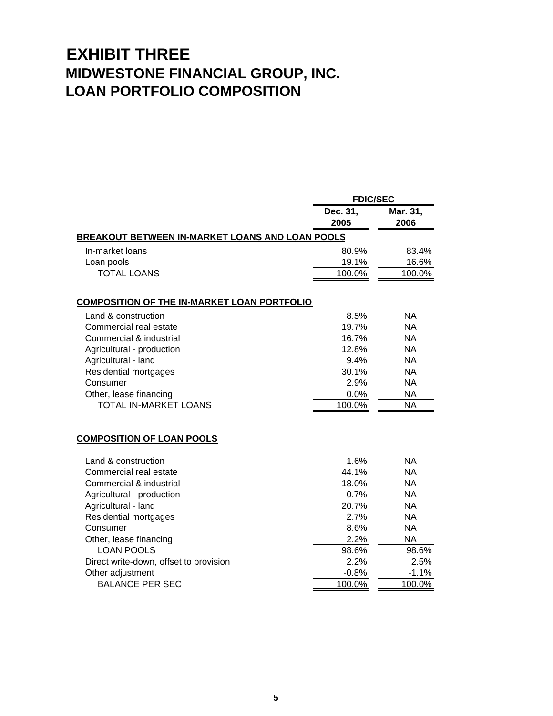# **EXHIBIT THREE MIDWESTONE FINANCIAL GROUP, INC. LOAN PORTFOLIO COMPOSITION**

| Dec. 31,                                               | Mar. 31,                                                                                                                                     |
|--------------------------------------------------------|----------------------------------------------------------------------------------------------------------------------------------------------|
|                                                        | 2006                                                                                                                                         |
| <b>BREAKOUT BETWEEN IN-MARKET LOANS AND LOAN POOLS</b> |                                                                                                                                              |
| 80.9%                                                  | 83.4%                                                                                                                                        |
| 19.1%                                                  | 16.6%                                                                                                                                        |
| 100.0%                                                 | 100.0%                                                                                                                                       |
|                                                        |                                                                                                                                              |
|                                                        | NA.                                                                                                                                          |
|                                                        | <b>NA</b>                                                                                                                                    |
| 16.7%                                                  | <b>NA</b>                                                                                                                                    |
| 12.8%                                                  | <b>NA</b>                                                                                                                                    |
| 9.4%                                                   | <b>NA</b>                                                                                                                                    |
| 30.1%                                                  | <b>NA</b>                                                                                                                                    |
| 2.9%                                                   | <b>NA</b>                                                                                                                                    |
| 0.0%                                                   | <b>NA</b>                                                                                                                                    |
| 100.0%                                                 | <b>NA</b>                                                                                                                                    |
|                                                        |                                                                                                                                              |
| 1.6%                                                   | NA.                                                                                                                                          |
| 44.1%                                                  | <b>NA</b>                                                                                                                                    |
| 18.0%                                                  | <b>NA</b>                                                                                                                                    |
| 0.7%                                                   | <b>NA</b>                                                                                                                                    |
| 20.7%                                                  | <b>NA</b>                                                                                                                                    |
| 2.7%                                                   | <b>NA</b>                                                                                                                                    |
| 8.6%                                                   | <b>NA</b>                                                                                                                                    |
|                                                        | <b>NA</b>                                                                                                                                    |
|                                                        | 98.6%                                                                                                                                        |
|                                                        | 2.5%                                                                                                                                         |
|                                                        | $-1.1%$                                                                                                                                      |
|                                                        | 100.0%                                                                                                                                       |
|                                                        | <b>FDIC/SEC</b><br>2005<br><b>COMPOSITION OF THE IN-MARKET LOAN PORTFOLIO</b><br>8.5%<br>19.7%<br>2.2%<br>98.6%<br>2.2%<br>$-0.8%$<br>100.0% |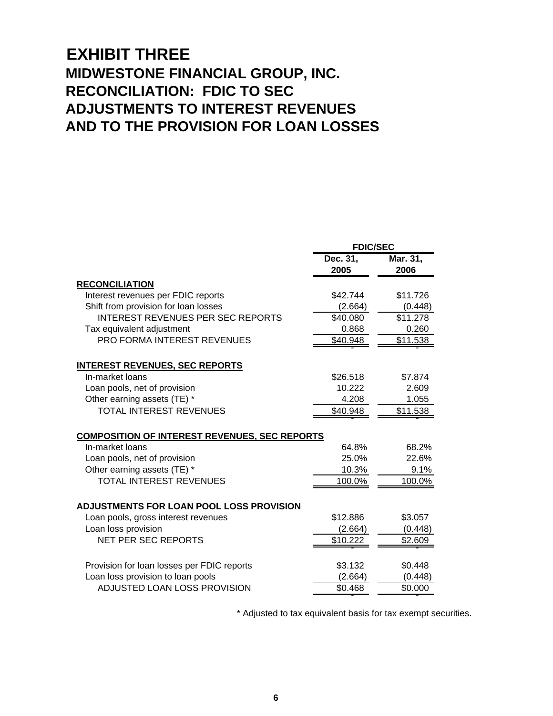### **EXHIBIT THREE MIDWESTONE FINANCIAL GROUP, INC. RECONCILIATION: FDIC TO SEC ADJUSTMENTS TO INTEREST REVENUES AND TO THE PROVISION FOR LOAN LOSSES**

|                                                      | <b>FDIC/SEC</b>  |                  |  |
|------------------------------------------------------|------------------|------------------|--|
|                                                      | Dec. 31,<br>2005 | Mar. 31,<br>2006 |  |
| <b>RECONCILIATION</b>                                |                  |                  |  |
| Interest revenues per FDIC reports                   | \$42.744         | \$11.726         |  |
| Shift from provision for loan losses                 | (2.664)          | (0.448)          |  |
| <b>INTEREST REVENUES PER SEC REPORTS</b>             | \$40.080         | \$11.278         |  |
| Tax equivalent adjustment                            | 0.868            | 0.260            |  |
| <b>PRO FORMA INTEREST REVENUES</b>                   | \$40.948         | \$11.538         |  |
| <b>INTEREST REVENUES, SEC REPORTS</b>                |                  |                  |  |
| In-market loans                                      | \$26.518         | \$7.874          |  |
| Loan pools, net of provision                         | 10.222           | 2.609            |  |
| Other earning assets (TE) *                          | 4.208            | 1.055            |  |
| <b>TOTAL INTEREST REVENUES</b>                       | \$40.948         | \$11.538         |  |
| <b>COMPOSITION OF INTEREST REVENUES, SEC REPORTS</b> |                  |                  |  |
| In-market loans                                      | 64.8%            | 68.2%            |  |
| Loan pools, net of provision                         | 25.0%            | 22.6%            |  |
| Other earning assets (TE) *                          | 10.3%            | 9.1%             |  |
| <b>TOTAL INTEREST REVENUES</b>                       | 100.0%           | 100.0%           |  |
| ADJUSTMENTS FOR LOAN POOL LOSS PROVISION             |                  |                  |  |
| Loan pools, gross interest revenues                  | \$12.886         | \$3.057          |  |
| Loan loss provision                                  | (2.664)          | (0.448)          |  |
| NET PER SEC REPORTS                                  | \$10,222         | \$2.609          |  |
| Provision for loan losses per FDIC reports           | \$3.132          | \$0.448          |  |
| Loan loss provision to loan pools                    | (2.664)          | (0.448)          |  |
| ADJUSTED LOAN LOSS PROVISION                         | \$0.468          | \$0.000          |  |

\* Adjusted to tax equivalent basis for tax exempt securities.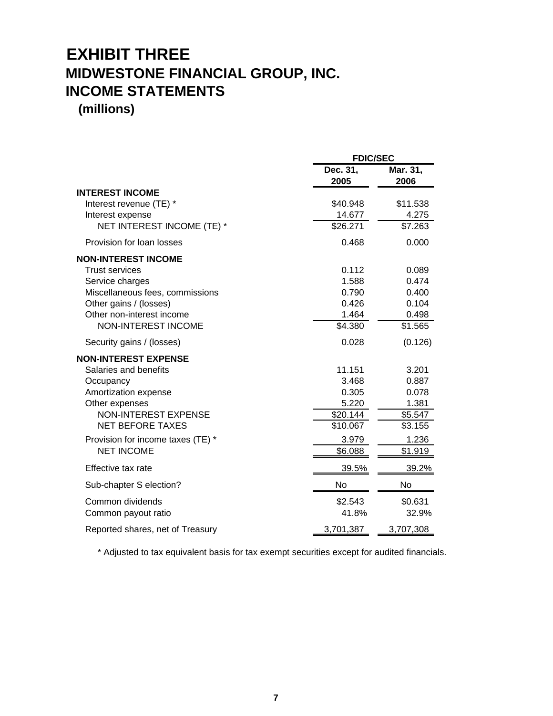# **EXHIBIT THREE MIDWESTONE FINANCIAL GROUP, INC. INCOME STATEMENTS**

**(millions)**

|                                   |                  | <b>FDIC/SEC</b>  |  |
|-----------------------------------|------------------|------------------|--|
|                                   | Dec. 31,<br>2005 | Mar. 31,<br>2006 |  |
| <b>INTEREST INCOME</b>            |                  |                  |  |
| Interest revenue (TE) *           | \$40.948         | \$11.538         |  |
| Interest expense                  | 14.677           | 4.275            |  |
| NET INTEREST INCOME (TE) *        | \$26.271         | \$7.263          |  |
| Provision for loan losses         | 0.468            | 0.000            |  |
| <b>NON-INTEREST INCOME</b>        |                  |                  |  |
| <b>Trust services</b>             | 0.112            | 0.089            |  |
| Service charges                   | 1.588            | 0.474            |  |
| Miscellaneous fees, commissions   | 0.790            | 0.400            |  |
| Other gains / (losses)            | 0.426            | 0.104            |  |
| Other non-interest income         | 1.464            | 0.498            |  |
| <b>NON-INTEREST INCOME</b>        | \$4.380          | \$1.565          |  |
| Security gains / (losses)         | 0.028            | (0.126)          |  |
| <b>NON-INTEREST EXPENSE</b>       |                  |                  |  |
| Salaries and benefits             | 11.151           | 3.201            |  |
| Occupancy                         | 3.468            | 0.887            |  |
| Amortization expense              | 0.305            | 0.078            |  |
| Other expenses                    | 5.220            | 1.381            |  |
| <b>NON-INTEREST EXPENSE</b>       | \$20.144         | \$5.547          |  |
| <b>NET BEFORE TAXES</b>           | \$10.067         | \$3.155          |  |
| Provision for income taxes (TE) * | 3.979            | 1.236            |  |
| <b>NET INCOME</b>                 | \$6.088          | \$1.919          |  |
| Effective tax rate                | 39.5%            | 39.2%            |  |
| Sub-chapter S election?           | No               | No               |  |
| Common dividends                  | \$2.543          | \$0.631          |  |
| Common payout ratio               | 41.8%            | 32.9%            |  |
| Reported shares, net of Treasury  | 3,701,387        | 3,707,308        |  |

\* Adjusted to tax equivalent basis for tax exempt securities except for audited financials.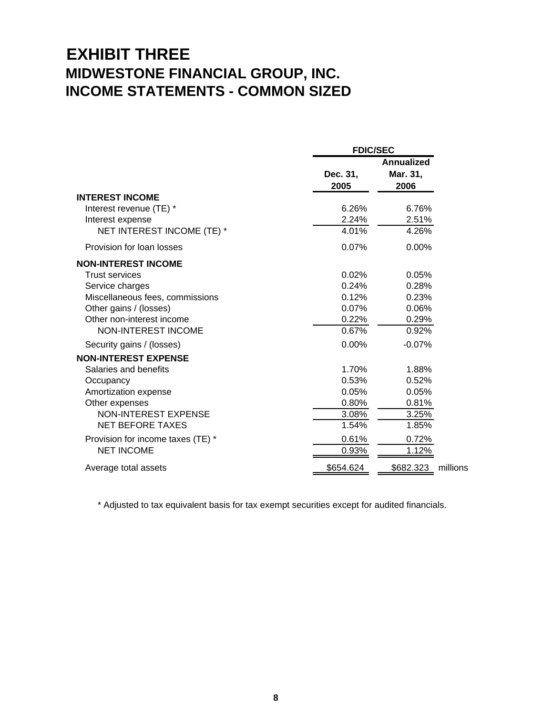## **EXHIBIT THREE MIDWESTONE FINANCIAL GROUP, INC. INCOME STATEMENTS - COMMON SIZED**

|                                   | <b>FDIC/SEC</b>  |                                       |  |
|-----------------------------------|------------------|---------------------------------------|--|
|                                   | Dec. 31,<br>2005 | <b>Annualized</b><br>Mar. 31,<br>2006 |  |
| <b>INTEREST INCOME</b>            |                  |                                       |  |
| Interest revenue (TE) *           | 6.26%            | 6.76%                                 |  |
| Interest expense                  | 2.24%            | 2.51%                                 |  |
| NET INTEREST INCOME (TE) *        | 4.01%            | 4.26%                                 |  |
| Provision for loan losses         | 0.07%            | 0.00%                                 |  |
| <b>NON-INTEREST INCOME</b>        |                  |                                       |  |
| <b>Trust services</b>             | 0.02%            | 0.05%                                 |  |
| Service charges                   | 0.24%            | 0.28%                                 |  |
| Miscellaneous fees, commissions   | 0.12%            | 0.23%                                 |  |
| Other gains / (losses)            | 0.07%            | 0.06%                                 |  |
| Other non-interest income         | 0.22%            | 0.29%                                 |  |
| NON-INTEREST INCOME               | 0.67%            | 0.92%                                 |  |
| Security gains / (losses)         | 0.00%            | $-0.07%$                              |  |
| <b>NON-INTEREST EXPENSE</b>       |                  |                                       |  |
| Salaries and benefits             | 1.70%            | 1.88%                                 |  |
| Occupancy                         | 0.53%            | 0.52%                                 |  |
| Amortization expense              | 0.05%            | 0.05%                                 |  |
| Other expenses                    | 0.80%            | 0.81%                                 |  |
| NON-INTEREST EXPENSE              | 3.08%            | 3.25%                                 |  |
| <b>NET BEFORE TAXES</b>           | 1.54%            | 1.85%                                 |  |
| Provision for income taxes (TE) * | 0.61%            | 0.72%                                 |  |
| <b>NET INCOME</b>                 | 0.93%            | 1.12%                                 |  |
| Average total assets              | \$654.624        | \$682.323<br>millions                 |  |

\* Adjusted to tax equivalent basis for tax exempt securities except for audited financials.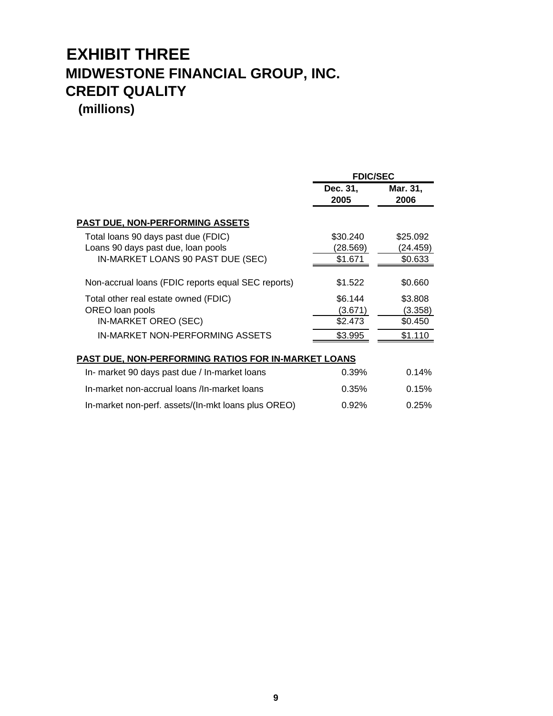# **EXHIBIT THREE MIDWESTONE FINANCIAL GROUP, INC. CREDIT QUALITY**

**(millions)**

|                                                                                                                    | <b>FDIC/SEC</b>                          |                                          |  |
|--------------------------------------------------------------------------------------------------------------------|------------------------------------------|------------------------------------------|--|
|                                                                                                                    | Dec. 31,<br>2005                         | Mar. 31,<br>2006                         |  |
| <b>PAST DUE, NON-PERFORMING ASSETS</b>                                                                             |                                          |                                          |  |
| Total loans 90 days past due (FDIC)<br>Loans 90 days past due, loan pools<br>IN-MARKET LOANS 90 PAST DUE (SEC)     | \$30.240<br>(28.569)<br>\$1.671          | \$25.092<br>(24.459)<br>\$0.633          |  |
| Non-accrual loans (FDIC reports equal SEC reports)                                                                 | \$1.522                                  | \$0.660                                  |  |
| Total other real estate owned (FDIC)<br>OREO loan pools<br>IN-MARKET OREO (SEC)<br>IN-MARKET NON-PERFORMING ASSETS | \$6.144<br>(3.671)<br>\$2.473<br>\$3.995 | \$3.808<br>(3.358)<br>\$0.450<br>\$1.110 |  |
| <b>PAST DUE, NON-PERFORMING RATIOS FOR IN-MARKET LOANS</b>                                                         |                                          |                                          |  |
| In- market 90 days past due / In-market loans                                                                      | 0.39%                                    | 0.14%                                    |  |
| In-market non-accrual loans /In-market loans                                                                       | 0.35%                                    | 0.15%                                    |  |

In-market non-perf. assets/(In-mkt loans plus OREO) 0.92% 0.25%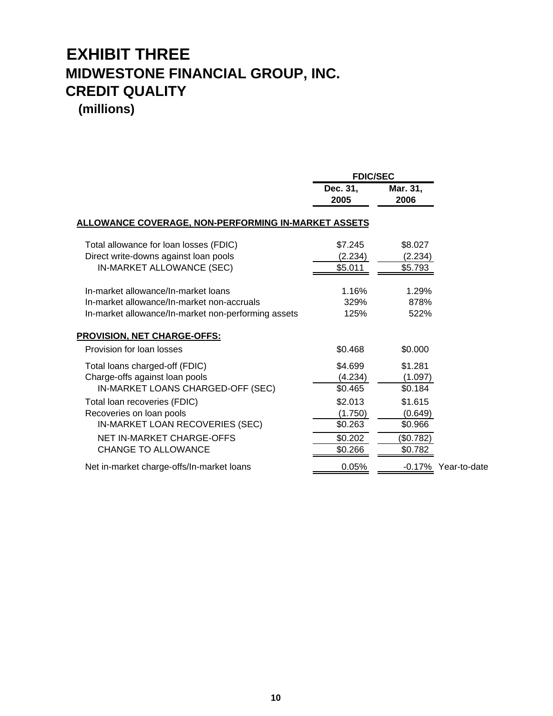# **EXHIBIT THREE MIDWESTONE FINANCIAL GROUP, INC. CREDIT QUALITY**

|                                                            |                  | <b>FDIC/SEC</b>  |                     |  |
|------------------------------------------------------------|------------------|------------------|---------------------|--|
|                                                            | Dec. 31,<br>2005 | Mar. 31,<br>2006 |                     |  |
| <u>ALLOWANCE COVERAGE, NON-PERFORMING IN-MARKET ASSETS</u> |                  |                  |                     |  |
| Total allowance for loan losses (FDIC)                     | \$7.245          | \$8.027          |                     |  |
| Direct write-downs against loan pools                      | (2.234)          | (2.234)          |                     |  |
| IN-MARKET ALLOWANCE (SEC)                                  | \$5.011          | \$5.793          |                     |  |
| In-market allowance/In-market loans                        | 1.16%            | 1.29%            |                     |  |
| In-market allowance/In-market non-accruals                 | 329%             | 878%             |                     |  |
| In-market allowance/In-market non-performing assets        | 125%             | 522%             |                     |  |
| <b>PROVISION, NET CHARGE-OFFS:</b>                         |                  |                  |                     |  |
| Provision for loan losses                                  | \$0.468          | \$0.000          |                     |  |
| Total loans charged-off (FDIC)                             | \$4.699          | \$1.281          |                     |  |
| Charge-offs against loan pools                             | (4.234)          | (1.097)          |                     |  |
| IN-MARKET LOANS CHARGED-OFF (SEC)                          | \$0.465          | \$0.184          |                     |  |
| Total loan recoveries (FDIC)                               | \$2.013          | \$1.615          |                     |  |
| Recoveries on loan pools                                   | (1.750)          | (0.649)          |                     |  |
| IN-MARKET LOAN RECOVERIES (SEC)                            | \$0.263          | \$0.966          |                     |  |
| <b>NET IN-MARKET CHARGE-OFFS</b>                           | \$0.202          | (\$0.782)        |                     |  |
| <b>CHANGE TO ALLOWANCE</b>                                 | \$0.266          | \$0.782          |                     |  |
| Net in-market charge-offs/In-market loans                  | 0.05%            |                  | -0.17% Year-to-date |  |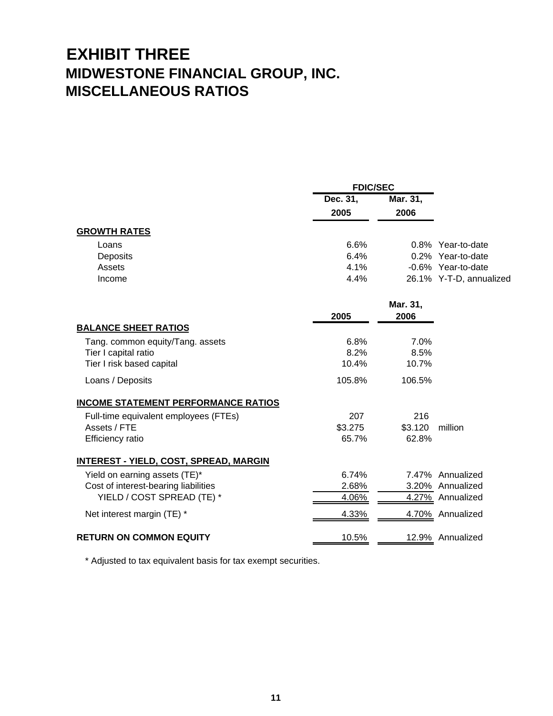## **EXHIBIT THREE MIDWESTONE FINANCIAL GROUP, INC. MISCELLANEOUS RATIOS**

|                     | <b>FDIC/SEC</b>  |                  |                         |
|---------------------|------------------|------------------|-------------------------|
|                     | Dec. 31,<br>2005 | Mar. 31,<br>2006 |                         |
| <b>GROWTH RATES</b> |                  |                  |                         |
| Loans               | 6.6%             |                  | 0.8% Year-to-date       |
| Deposits            | 6.4%             |                  | 0.2% Year-to-date       |
| Assets              | 4.1%             |                  | -0.6% Year-to-date      |
| Income              | 4.4%             |                  | 26.1% Y-T-D, annualized |

|                                                                                       | 2005                  | Mar. 31,<br>2006      |                  |
|---------------------------------------------------------------------------------------|-----------------------|-----------------------|------------------|
| <b>BALANCE SHEET RATIOS</b>                                                           |                       |                       |                  |
| Tang. common equity/Tang. assets<br>Tier I capital ratio<br>Tier I risk based capital | 6.8%<br>8.2%<br>10.4% | 7.0%<br>8.5%<br>10.7% |                  |
| Loans / Deposits                                                                      | 105.8%                | 106.5%                |                  |
| <b>INCOME STATEMENT PERFORMANCE RATIOS</b>                                            |                       |                       |                  |
| Full-time equivalent employees (FTEs)                                                 | 207                   | 216                   |                  |
| Assets / FTE                                                                          | \$3.275               | \$3.120               | million          |
| Efficiency ratio                                                                      | 65.7%                 | 62.8%                 |                  |
| <b>INTEREST - YIELD, COST, SPREAD, MARGIN</b>                                         |                       |                       |                  |
| Yield on earning assets (TE)*                                                         | 6.74%                 |                       | 7.47% Annualized |
| Cost of interest-bearing liabilities                                                  | 2.68%                 |                       | 3.20% Annualized |
| YIELD / COST SPREAD (TE) *                                                            | 4.06%                 | 4.27%                 | Annualized       |
| Net interest margin (TE) *                                                            | 4.33%                 | 4.70%                 | Annualized       |
| <b>RETURN ON COMMON EQUITY</b>                                                        | 10.5%                 | 12.9%                 | Annualized       |

\* Adjusted to tax equivalent basis for tax exempt securities.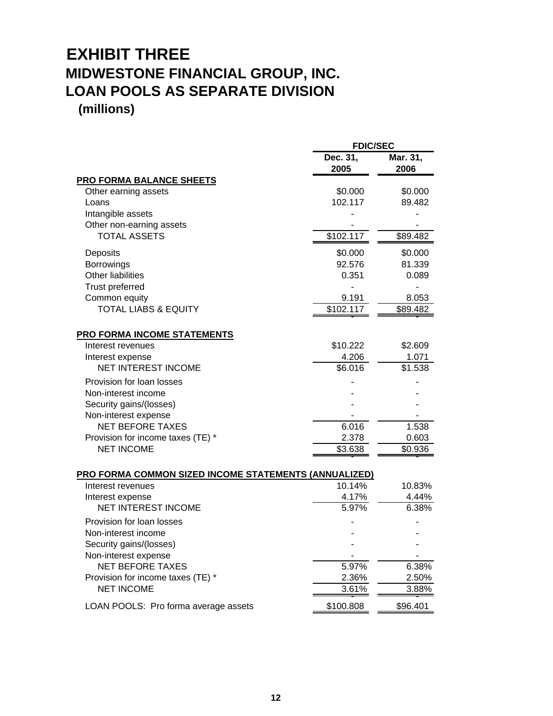### **EXHIBIT THREE MIDWESTONE FINANCIAL GROUP, INC. LOAN POOLS AS SEPARATE DIVISION (millions)**

|                                                       | <b>FDIC/SEC</b>  |                  |  |
|-------------------------------------------------------|------------------|------------------|--|
|                                                       | Dec. 31,<br>2005 | Mar. 31,<br>2006 |  |
| <b>PRO FORMA BALANCE SHEETS</b>                       |                  |                  |  |
| Other earning assets                                  | \$0.000          | \$0.000          |  |
| Loans                                                 | 102.117          | 89.482           |  |
| Intangible assets                                     |                  |                  |  |
| Other non-earning assets                              |                  |                  |  |
| <b>TOTAL ASSETS</b>                                   | \$102.117        | \$89.482         |  |
| Deposits                                              | \$0.000          | \$0.000          |  |
| Borrowings                                            | 92.576           | 81.339           |  |
| Other liabilities                                     | 0.351            | 0.089            |  |
| Trust preferred                                       |                  |                  |  |
| Common equity                                         | 9.191            | 8.053            |  |
| <b>TOTAL LIABS &amp; EQUITY</b>                       | \$102.117        | \$89.482         |  |
|                                                       |                  |                  |  |
| <b>PRO FORMA INCOME STATEMENTS</b>                    |                  |                  |  |
| Interest revenues                                     | \$10.222         | \$2.609          |  |
| Interest expense                                      | 4.206            | 1.071            |  |
| <b>NET INTEREST INCOME</b>                            | \$6.016          | \$1.538          |  |
| Provision for loan losses                             |                  |                  |  |
| Non-interest income                                   |                  |                  |  |
| Security gains/(losses)                               |                  |                  |  |
| Non-interest expense                                  |                  |                  |  |
| <b>NET BEFORE TAXES</b>                               | 6.016            | 1.538            |  |
| Provision for income taxes (TE) *                     | 2.378            | 0.603            |  |
| <b>NET INCOME</b>                                     | \$3.638          | \$0.936          |  |
| PRO FORMA COMMON SIZED INCOME STATEMENTS (ANNUALIZED) |                  |                  |  |
| Interest revenues                                     | 10.14%           | 10.83%           |  |
| Interest expense                                      | 4.17%            | 4.44%            |  |
| <b>NET INTEREST INCOME</b>                            | 5.97%            | 6.38%            |  |
| Provision for loan losses                             |                  |                  |  |
| Non-interest income                                   |                  |                  |  |
| Security gains/(losses)                               |                  |                  |  |
| Non-interest expense                                  |                  |                  |  |
| <b>NET BEFORE TAXES</b>                               | 5.97%            | 6.38%            |  |
| Provision for income taxes (TE) *                     | 2.36%            | 2.50%            |  |
| <b>NET INCOME</b>                                     | 3.61%            | 3.88%            |  |
|                                                       |                  |                  |  |

LOAN POOLS: Pro forma average assets \$100.808 \$96.401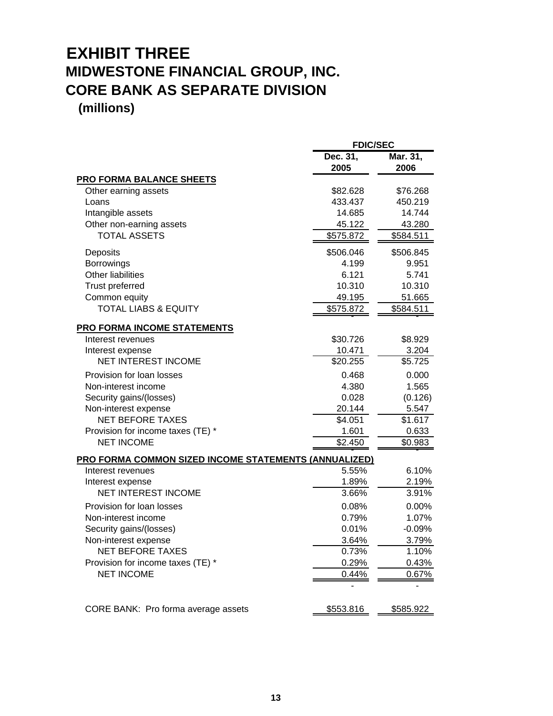# **EXHIBIT THREE MIDWESTONE FINANCIAL GROUP, INC. CORE BANK AS SEPARATE DIVISION**

|                                                       | <b>FDIC/SEC</b> |           |  |
|-------------------------------------------------------|-----------------|-----------|--|
|                                                       | Dec. 31,        | Mar. 31,  |  |
|                                                       | 2005            | 2006      |  |
| <b>PRO FORMA BALANCE SHEETS</b>                       |                 |           |  |
| Other earning assets                                  | \$82.628        | \$76.268  |  |
| Loans                                                 | 433.437         | 450.219   |  |
| Intangible assets                                     | 14.685          | 14.744    |  |
| Other non-earning assets                              | 45.122          | 43.280    |  |
| <b>TOTAL ASSETS</b>                                   | \$575.872       | \$584.511 |  |
| Deposits                                              | \$506.046       | \$506.845 |  |
| Borrowings                                            | 4.199           | 9.951     |  |
| <b>Other liabilities</b>                              | 6.121           | 5.741     |  |
| <b>Trust preferred</b>                                | 10.310          | 10.310    |  |
| Common equity                                         | 49.195          | 51.665    |  |
| <b>TOTAL LIABS &amp; EQUITY</b>                       | \$575.872       | \$584.511 |  |
| PRO FORMA INCOME STATEMENTS                           |                 |           |  |
| Interest revenues                                     | \$30.726        | \$8.929   |  |
| Interest expense                                      | 10.471          | 3.204     |  |
| <b>NET INTEREST INCOME</b>                            | \$20.255        | \$5.725   |  |
| Provision for loan losses                             | 0.468           | 0.000     |  |
| Non-interest income                                   | 4.380           | 1.565     |  |
| Security gains/(losses)                               | 0.028           | (0.126)   |  |
| Non-interest expense                                  | 20.144          | 5.547     |  |
| <b>NET BEFORE TAXES</b>                               | \$4.051         | \$1.617   |  |
| Provision for income taxes (TE) *                     | 1.601           | 0.633     |  |
| <b>NET INCOME</b>                                     | \$2.450         | \$0.983   |  |
| PRO FORMA COMMON SIZED INCOME STATEMENTS (ANNUALIZED) |                 |           |  |
| Interest revenues                                     | 5.55%           | 6.10%     |  |
| Interest expense                                      | 1.89%           | 2.19%     |  |
| <b>NET INTEREST INCOME</b>                            | 3.66%           | 3.91%     |  |
| Provision for loan losses                             | 0.08%           | 0.00%     |  |
| Non-interest income                                   | 0.79%           | 1.07%     |  |
| Security gains/(losses)                               | 0.01%           | $-0.09%$  |  |
| Non-interest expense                                  | 3.64%           | 3.79%     |  |
| <b>NET BEFORE TAXES</b>                               | 0.73%           | 1.10%     |  |
| Provision for income taxes (TE) *                     | 0.29%           | 0.43%     |  |
| <b>NET INCOME</b>                                     | 0.44%           | 0.67%     |  |
|                                                       |                 |           |  |
| CORE BANK: Pro forma average assets                   | \$553.816       | \$585.922 |  |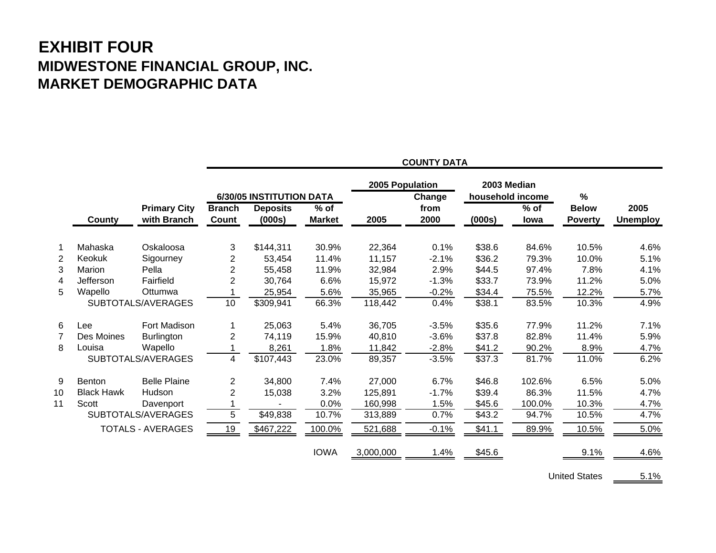### **EXHIBIT FOUR MIDWESTONE FINANCIAL GROUP, INC. MARKET DEMOGRAPHIC DATA**

|    |                   |                                    | <b>COUNTY DATA</b>            |                           |                         |                 |              |             |                       |                                |                         |
|----|-------------------|------------------------------------|-------------------------------|---------------------------|-------------------------|-----------------|--------------|-------------|-----------------------|--------------------------------|-------------------------|
|    |                   |                                    |                               | 6/30/05 INSTITUTION DATA  |                         | 2005 Population | Change       | 2003 Median | household income      | %                              |                         |
|    | County            | <b>Primary City</b><br>with Branch | <b>Branch</b><br><b>Count</b> | <b>Deposits</b><br>(000s) | $%$ of<br><b>Market</b> | 2005            | from<br>2000 | (000s)      | $%$ of<br><b>lowa</b> | <b>Below</b><br><b>Poverty</b> | 2005<br><b>Unemploy</b> |
|    | Mahaska           | Oskaloosa                          | 3                             | \$144,311                 | 30.9%                   | 22,364          | 0.1%         | \$38.6      | 84.6%                 | 10.5%                          | 4.6%                    |
| 2  | Keokuk            | Sigourney                          | $\overline{c}$                | 53,454                    | 11.4%                   | 11,157          | $-2.1%$      | \$36.2      | 79.3%                 | 10.0%                          | 5.1%                    |
| 3  | Marion            | Pella                              | $\overline{2}$                | 55,458                    | 11.9%                   | 32,984          | 2.9%         | \$44.5      | 97.4%                 | 7.8%                           | 4.1%                    |
| 4  | Jefferson         | Fairfield                          | $\overline{2}$                | 30,764                    | 6.6%                    | 15,972          | $-1.3%$      | \$33.7      | 73.9%                 | 11.2%                          | 5.0%                    |
| 5  | Wapello           | Ottumwa                            |                               | 25,954                    | 5.6%                    | 35,965          | $-0.2%$      | \$34.4      | 75.5%                 | 12.2%                          | 5.7%                    |
|    |                   | SUBTOTALS/AVERAGES                 | 10                            | $\overline{$}309,941$     | 66.3%                   | 118,442         | 0.4%         | \$38.1      | 83.5%                 | 10.3%                          | 4.9%                    |
| 6  | Lee               | Fort Madison                       |                               | 25,063                    | 5.4%                    | 36,705          | $-3.5%$      | \$35.6      | 77.9%                 | 11.2%                          | 7.1%                    |
| 7  | Des Moines        | <b>Burlington</b>                  | $\overline{2}$                | 74,119                    | 15.9%                   | 40,810          | $-3.6%$      | \$37.8      | 82.8%                 | 11.4%                          | 5.9%                    |
| 8  | Louisa            | Wapello                            |                               | 8,261                     | 1.8%                    | 11,842          | $-2.8%$      | \$41.2      | 90.2%                 | 8.9%                           | 4.7%                    |
|    |                   | SUBTOTALS/AVERAGES                 | 4                             | \$107,443                 | 23.0%                   | 89,357          | $-3.5%$      | \$37.3      | 81.7%                 | 11.0%                          | 6.2%                    |
| 9  | Benton            | <b>Belle Plaine</b>                | $\overline{2}$                | 34,800                    | 7.4%                    | 27,000          | 6.7%         | \$46.8      | 102.6%                | 6.5%                           | 5.0%                    |
| 10 | <b>Black Hawk</b> | Hudson                             | $\overline{2}$                | 15,038                    | 3.2%                    | 125,891         | $-1.7%$      | \$39.4      | 86.3%                 | 11.5%                          | 4.7%                    |
| 11 | Scott             | Davenport                          |                               |                           | 0.0%                    | 160,998         | 1.5%         | \$45.6      | 100.0%                | 10.3%                          | 4.7%                    |
|    |                   | SUBTOTALS/AVERAGES                 | 5                             | \$49,838                  | 10.7%                   | 313,889         | 0.7%         | \$43.2      | 94.7%                 | 10.5%                          | 4.7%                    |
|    |                   | <b>TOTALS - AVERAGES</b>           | 19                            | \$467,222                 | 100.0%                  | 521,688         | $-0.1%$      | \$41.1      | 89.9%                 | 10.5%                          | 5.0%                    |
|    |                   |                                    |                               |                           | <b>IOWA</b>             | 3,000,000       | 1.4%         | \$45.6      |                       | 9.1%                           | 4.6%                    |

**COUNTY DATA**

United States \_\_\_\_\_\_ 5.1%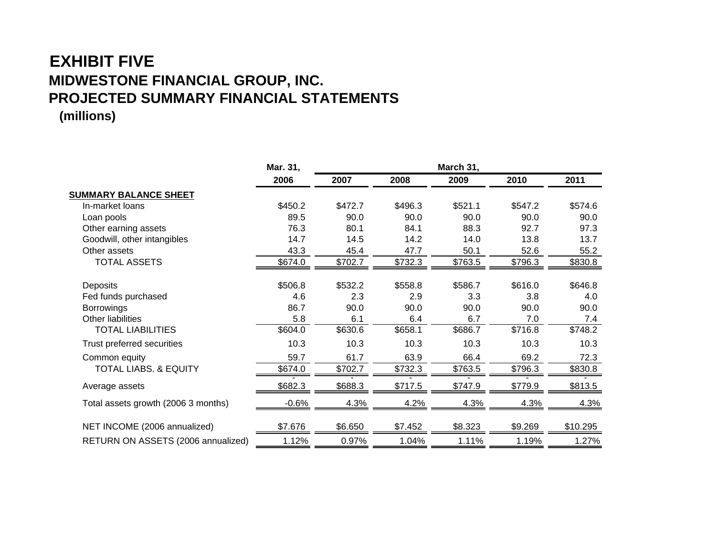### **EXHIBIT FIVEMIDWESTONE FINANCIAL GROUP, INC. PROJECTED SUMMARY FINANCIAL STATEMENTS (millions)**

|                                     | Mar. 31, | March 31, |         |         |         |          |  |
|-------------------------------------|----------|-----------|---------|---------|---------|----------|--|
|                                     | 2006     | 2007      | 2008    | 2009    | 2010    | 2011     |  |
| <b>SUMMARY BALANCE SHEET</b>        |          |           |         |         |         |          |  |
| In-market loans                     | \$450.2  | \$472.7   | \$496.3 | \$521.1 | \$547.2 | \$574.6  |  |
| Loan pools                          | 89.5     | 90.0      | 90.0    | 90.0    | 90.0    | 90.0     |  |
| Other earning assets                | 76.3     | 80.1      | 84.1    | 88.3    | 92.7    | 97.3     |  |
| Goodwill, other intangibles         | 14.7     | 14.5      | 14.2    | 14.0    | 13.8    | 13.7     |  |
| Other assets                        | 43.3     | 45.4      | 47.7    | 50.1    | 52.6    | 55.2     |  |
| <b>TOTAL ASSETS</b>                 | \$674.0  | \$702.7   | \$732.3 | \$763.5 | \$796.3 | \$830.8  |  |
| Deposits                            | \$506.8  | \$532.2   | \$558.8 | \$586.7 | \$616.0 | \$646.8  |  |
| Fed funds purchased                 | 4.6      | 2.3       | 2.9     | 3.3     | 3.8     | 4.0      |  |
| <b>Borrowings</b>                   | 86.7     | 90.0      | 90.0    | 90.0    | 90.0    | 90.0     |  |
| Other liabilities                   | 5.8      | 6.1       | 6.4     | 6.7     | 7.0     | 7.4      |  |
| <b>TOTAL LIABILITIES</b>            | \$604.0  | \$630.6   | \$658.1 | \$686.7 | \$716.8 | \$748.2  |  |
| Trust preferred securities          | 10.3     | 10.3      | 10.3    | 10.3    | 10.3    | 10.3     |  |
| Common equity                       | 59.7     | 61.7      | 63.9    | 66.4    | 69.2    | 72.3     |  |
| <b>TOTAL LIABS. &amp; EQUITY</b>    | \$674.0  | \$702.7   | \$732.3 | \$763.5 | \$796.3 | \$830.8  |  |
| Average assets                      | \$682.3  | \$688.3   | \$717.5 | \$747.9 | \$779.9 | \$813.5  |  |
| Total assets growth (2006 3 months) | $-0.6%$  | 4.3%      | 4.2%    | 4.3%    | 4.3%    | 4.3%     |  |
| NET INCOME (2006 annualized)        | \$7.676  | \$6.650   | \$7.452 | \$8.323 | \$9.269 | \$10.295 |  |
| RETURN ON ASSETS (2006 annualized)  | 1.12%    | 0.97%     | 1.04%   | 1.11%   | 1.19%   | 1.27%    |  |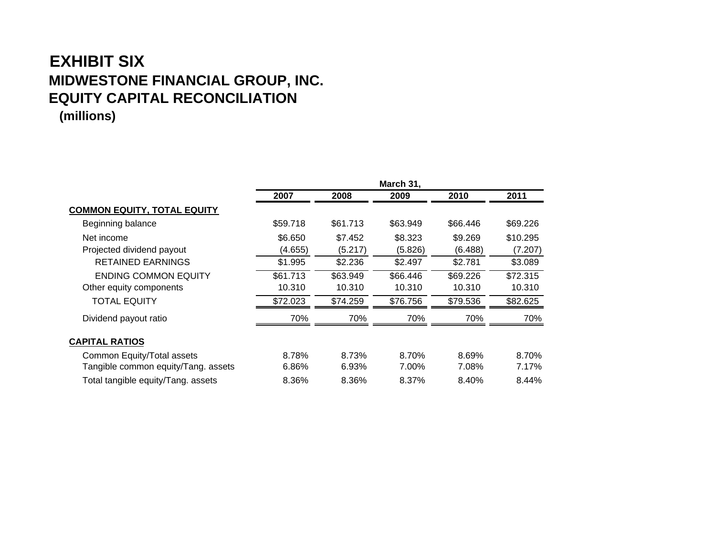### **EXHIBIT SIXMIDWESTONE FINANCIAL GROUP, INC. EQUITY CAPITAL RECONCILIATION (millions)**

|                                     | March 31, |          |          |          |          |
|-------------------------------------|-----------|----------|----------|----------|----------|
|                                     | 2007      | 2008     | 2009     | 2010     | 2011     |
| <b>COMMON EQUITY, TOTAL EQUITY</b>  |           |          |          |          |          |
| Beginning balance                   | \$59.718  | \$61.713 | \$63.949 | \$66.446 | \$69.226 |
| Net income                          | \$6.650   | \$7.452  | \$8.323  | \$9.269  | \$10.295 |
| Projected dividend payout           | (4.655)   | (5.217)  | (5.826)  | (6.488)  | (7.207)  |
| <b>RETAINED EARNINGS</b>            | \$1.995   | \$2.236  | \$2.497  | \$2.781  | \$3.089  |
| <b>ENDING COMMON EQUITY</b>         | \$61.713  | \$63.949 | \$66.446 | \$69.226 | \$72.315 |
| Other equity components             | 10.310    | 10.310   | 10.310   | 10.310   | 10.310   |
| <b>TOTAL EQUITY</b>                 | \$72.023  | \$74.259 | \$76.756 | \$79.536 | \$82.625 |
| Dividend payout ratio               | 70%       | 70%      | 70%      | 70%      | 70%      |
| <b>CAPITAL RATIOS</b>               |           |          |          |          |          |
| Common Equity/Total assets          | 8.78%     | 8.73%    | 8.70%    | 8.69%    | 8.70%    |
| Tangible common equity/Tang. assets | 6.86%     | 6.93%    | 7.00%    | 7.08%    | 7.17%    |
| Total tangible equity/Tang. assets  | 8.36%     | 8.36%    | 8.37%    | 8.40%    | 8.44%    |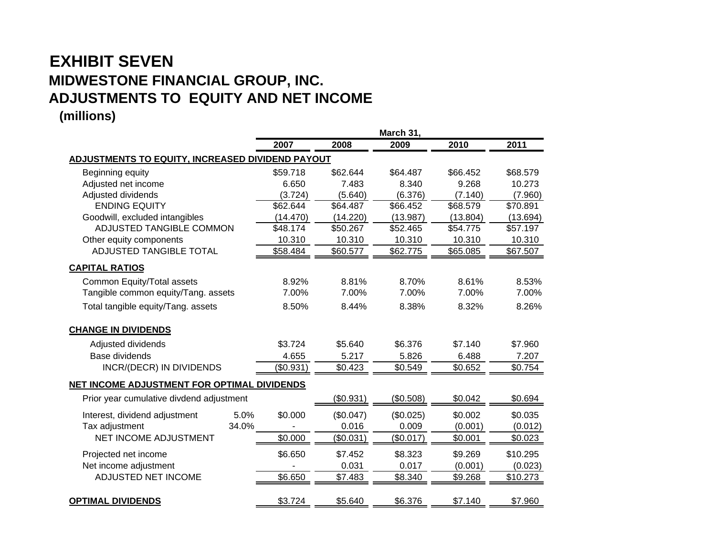### **EXHIBIT SEVEN MIDWESTONE FINANCIAL GROUP, INC. ADJUSTMENTS TO EQUITY AND NET INCOME (millions)**

|                                                         |                 |           | March 31, |          |          |
|---------------------------------------------------------|-----------------|-----------|-----------|----------|----------|
|                                                         | 2007            | 2008      | 2009      | 2010     | 2011     |
| <b>ADJUSTMENTS TO EQUITY, INCREASED DIVIDEND PAYOUT</b> |                 |           |           |          |          |
| Beginning equity                                        | \$59.718        | \$62.644  | \$64.487  | \$66.452 | \$68.579 |
| Adjusted net income                                     | 6.650           | 7.483     | 8.340     | 9.268    | 10.273   |
| Adjusted dividends                                      | (3.724)         | (5.640)   | (6.376)   | (7.140)  | (7.960)  |
| <b>ENDING EQUITY</b>                                    | \$62.644        | \$64.487  | \$66.452  | \$68.579 | \$70.891 |
| Goodwill, excluded intangibles                          | (14.470)        | (14.220)  | (13.987)  | (13.804) | (13.694) |
| <b>ADJUSTED TANGIBLE COMMON</b>                         | \$48.174        | \$50.267  | \$52.465  | \$54.775 | \$57.197 |
| Other equity components                                 | 10.310          | 10.310    | 10.310    | 10.310   | 10.310   |
| <b>ADJUSTED TANGIBLE TOTAL</b>                          | \$58.484        | \$60.577  | \$62.775  | \$65.085 | \$67.507 |
| <b>CAPITAL RATIOS</b>                                   |                 |           |           |          |          |
| Common Equity/Total assets                              | 8.92%           | 8.81%     | 8.70%     | 8.61%    | 8.53%    |
| Tangible common equity/Tang. assets                     | 7.00%           | 7.00%     | 7.00%     | 7.00%    | 7.00%    |
| Total tangible equity/Tang. assets                      | 8.50%           | 8.44%     | 8.38%     | 8.32%    | 8.26%    |
| <b>CHANGE IN DIVIDENDS</b>                              |                 |           |           |          |          |
| Adjusted dividends                                      | \$3.724         | \$5.640   | \$6.376   | \$7.140  | \$7.960  |
| Base dividends                                          | 4.655           | 5.217     | 5.826     | 6.488    | 7.207    |
| <b>INCR/(DECR) IN DIVIDENDS</b>                         | (\$0.931)       | \$0.423   | \$0.549   | \$0.652  | \$0.754  |
| NET INCOME ADJUSTMENT FOR OPTIMAL DIVIDENDS             |                 |           |           |          |          |
| Prior year cumulative divdend adjustment                |                 | (\$0.931) | (\$0.508) | \$0.042  | \$0.694  |
| Interest, dividend adjustment                           | 5.0%<br>\$0.000 | (\$0.047) | (\$0.025) | \$0.002  | \$0.035  |
| Tax adjustment                                          | 34.0%           | 0.016     | 0.009     | (0.001)  | (0.012)  |
| NET INCOME ADJUSTMENT                                   | \$0.000         | (\$0.031) | (\$0.017) | \$0.001  | \$0.023  |
| Projected net income                                    | \$6.650         | \$7.452   | \$8.323   | \$9.269  | \$10.295 |
| Net income adjustment                                   |                 | 0.031     | 0.017     | (0.001)  | (0.023)  |
| ADJUSTED NET INCOME                                     | \$6.650         | \$7.483   | \$8.340   | \$9.268  | \$10.273 |
| <b>OPTIMAL DIVIDENDS</b>                                | \$3.724         | \$5.640   | \$6.376   | \$7.140  | \$7.960  |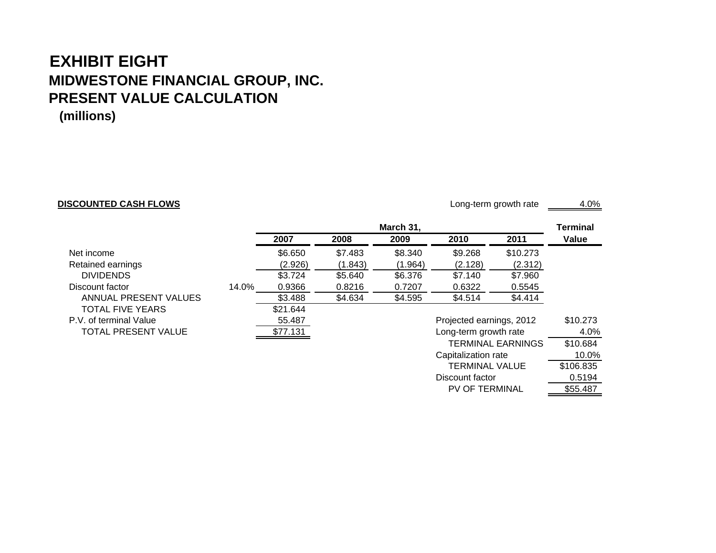#### **EXHIBIT EIGHTMIDWESTONE FINANCIAL GROUP, INC. PRESENT VALUE CALCULATION (millions)**

#### **DISCOUNTED CASH FLOWS**

Long-term growth rate 4.0%

TERMINAL VALUE \$106.835

PV OF TERMINAL \$55.487

Discount factor

 $0.5194$ 

|                            |       | March 31, |         |         |                          | Terminal                 |          |
|----------------------------|-------|-----------|---------|---------|--------------------------|--------------------------|----------|
|                            |       | 2007      | 2008    | 2009    | 2010                     | 2011                     | Value    |
| Net income                 |       | \$6.650   | \$7.483 | \$8.340 | \$9.268                  | \$10.273                 |          |
| Retained earnings          |       | (2.926)   | (1.843) | (1.964) | (2.128)                  | (2.312)                  |          |
| <b>DIVIDENDS</b>           |       | \$3.724   | \$5.640 | \$6.376 | \$7.140                  | \$7.960                  |          |
| Discount factor            | 14.0% | 0.9366    | 0.8216  | 0.7207  | 0.6322                   | 0.5545                   |          |
| ANNUAL PRESENT VALUES      |       | \$3.488   | \$4.634 | \$4.595 | \$4.514                  | \$4.414                  |          |
| <b>TOTAL FIVE YEARS</b>    |       | \$21.644  |         |         |                          |                          |          |
| P.V. of terminal Value     |       | 55.487    |         |         | Projected earnings, 2012 |                          | \$10.273 |
| <b>TOTAL PRESENT VALUE</b> |       | \$77.131  |         |         | Long-term growth rate    |                          | 4.0%     |
|                            |       |           |         |         |                          | <b>TERMINAL EARNINGS</b> | \$10.684 |
|                            |       |           |         |         | Capitalization rate      |                          | 10.0%    |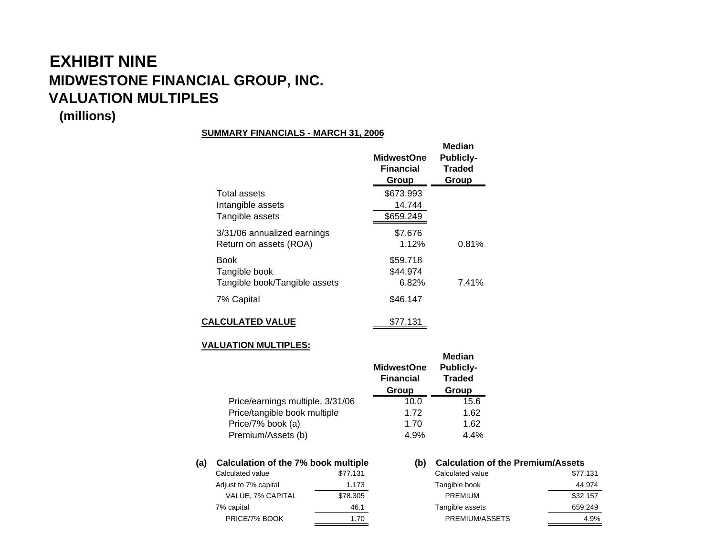# **EXHIBIT NINEMIDWESTONE FINANCIAL GROUP, INC. VALUATION MULTIPLES**

#### **(millions)**

#### **SUMMARY FINANCIALS - MARCH 31, 2006**

|                               | <b>MidwestOne</b><br>Financial<br>Group | Median<br><b>Publicly-</b><br><b>Traded</b><br>Group |
|-------------------------------|-----------------------------------------|------------------------------------------------------|
| Total assets                  | \$673.993                               |                                                      |
| Intangible assets             | 14.744                                  |                                                      |
| Tangible assets               | \$659.249                               |                                                      |
| 3/31/06 annualized earnings   | \$7.676                                 |                                                      |
| Return on assets (ROA)        | 1.12%                                   | 0.81%                                                |
| <b>Book</b>                   | \$59.718                                |                                                      |
| Tangible book                 | \$44.974                                |                                                      |
| Tangible book/Tangible assets | 6.82%                                   | 7.41%                                                |
| 7% Capital                    | \$46.147                                |                                                      |
| <b>CALCULATED VALUE</b>       | \$77.131                                |                                                      |

#### **VALUATION MULTIPLES:**

|                                  | <b>MidwestOne</b><br><b>Financial</b><br>Group | Median<br><b>Publicly-</b><br><b>Traded</b><br>Group |
|----------------------------------|------------------------------------------------|------------------------------------------------------|
| Price/earnings multiple, 3/31/06 | 10.0                                           | 15.6                                                 |
| Price/tangible book multiple     | 1.72                                           | 1.62                                                 |
| Price/7% book (a)                | 1.70                                           | 1.62                                                 |
| Premium/Assets (b)               | 4.9%                                           | 4.4%                                                 |

#### **(a) Calculation of the 7% book multiple (b) Calculation of the Premium/Assets** Calculated value \$77.131 Calculated value \$77.131

| .        |
|----------|
| \$78.305 |
| 46.1     |
| 1.70     |
|          |

| Calculated value     | \$77.131 | Calculated value | \$77.131 |
|----------------------|----------|------------------|----------|
| Adjust to 7% capital | 1.173    | Tangible book    | 44.974   |
| VALUE, 7% CAPITAL    | \$78,305 | <b>PREMIUM</b>   | \$32,157 |
| 7% capital           | 46.1     | Tangible assets  | 659.249  |
| PRICE/7% BOOK        | 1.70     | PREMIUM/ASSETS   | 4.9%     |
|                      |          |                  |          |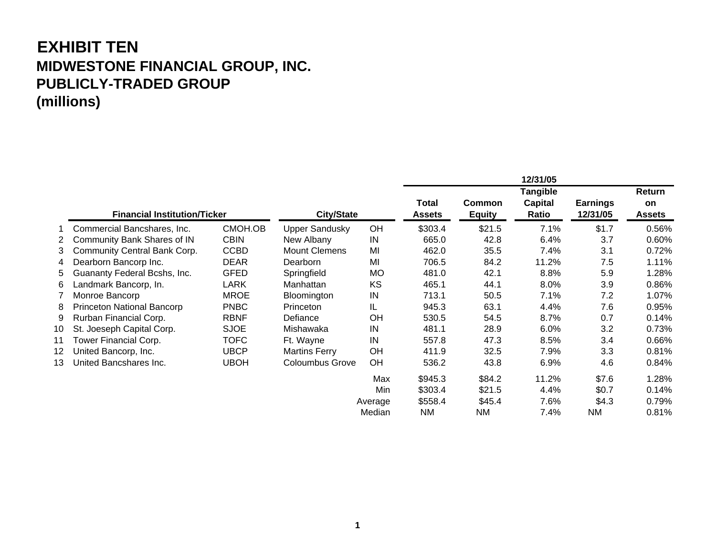### **EXHIBIT TEN MIDWESTONE FINANCIAL GROUP, INC. PUBLICLY-TRADED GROUP (millions)**

|    |                              |                                                          |                        |           |                        |                                | 12/31/05         |                             |                            |
|----|------------------------------|----------------------------------------------------------|------------------------|-----------|------------------------|--------------------------------|------------------|-----------------------------|----------------------------|
|    |                              |                                                          |                        |           |                        |                                | <b>Tangible</b>  |                             | Return                     |
|    |                              | <b>City/State</b><br><b>Financial Institution/Ticker</b> |                        |           | Total<br><b>Assets</b> | <b>Common</b><br><b>Equity</b> | Capital<br>Ratio | <b>Earnings</b><br>12/31/05 | <b>on</b><br><b>Assets</b> |
|    | Commercial Bancshares, Inc.  | CMOH.OB                                                  | <b>Upper Sandusky</b>  | <b>OH</b> | \$303.4                | \$21.5                         | 7.1%             | \$1.7                       | 0.56%                      |
| 2  | Community Bank Shares of IN  | <b>CBIN</b>                                              | New Albany             | IN        | 665.0                  | 42.8                           | 6.4%             | 3.7                         | 0.60%                      |
| 3  | Community Central Bank Corp. | <b>CCBD</b>                                              | <b>Mount Clemens</b>   | MI        | 462.0                  | 35.5                           | 7.4%             | 3.1                         | 0.72%                      |
| 4  | Dearborn Bancorp Inc.        | <b>DEAR</b>                                              | Dearborn               | MI        | 706.5                  | 84.2                           | 11.2%            | 7.5                         | 1.11%                      |
| 5. | Guananty Federal Bcshs, Inc. | <b>GFED</b>                                              | Springfield            | <b>MO</b> | 481.0                  | 42.1                           | 8.8%             | 5.9                         | 1.28%                      |
| 6  | Landmark Bancorp, In.        | LARK                                                     | Manhattan              | KS        | 465.1                  | 44.1                           | 8.0%             | 3.9                         | 0.86%                      |
|    | Monroe Bancorp               | <b>MROE</b>                                              | Bloomington            | IN        | 713.1                  | 50.5                           | 7.1%             | 7.2                         | 1.07%                      |
| 8  | Princeton National Bancorp   | <b>PNBC</b>                                              | Princeton              | IL        | 945.3                  | 63.1                           | 4.4%             | 7.6                         | 0.95%                      |
| 9  | Rurban Financial Corp.       | <b>RBNF</b>                                              | Defiance               | <b>OH</b> | 530.5                  | 54.5                           | 8.7%             | 0.7                         | 0.14%                      |
| 10 | St. Joeseph Capital Corp.    | <b>SJOE</b>                                              | Mishawaka              | IN        | 481.1                  | 28.9                           | 6.0%             | 3.2                         | 0.73%                      |
| 11 | Tower Financial Corp.        | <b>TOFC</b>                                              | Ft. Wayne              | IN        | 557.8                  | 47.3                           | 8.5%             | 3.4                         | $0.66\%$                   |
| 12 | United Bancorp, Inc.         | <b>UBCP</b>                                              | <b>Martins Ferry</b>   | OH        | 411.9                  | 32.5                           | 7.9%             | 3.3                         | 0.81%                      |
| 13 | United Bancshares Inc.       | <b>UBOH</b>                                              | <b>Coloumbus Grove</b> | OH        | 536.2                  | 43.8                           | 6.9%             | 4.6                         | 0.84%                      |
|    |                              |                                                          |                        | Max       | \$945.3                | \$84.2                         | 11.2%            | \$7.6                       | 1.28%                      |
|    |                              |                                                          |                        | Min       | \$303.4                | \$21.5                         | 4.4%             | \$0.7                       | 0.14%                      |
|    |                              |                                                          |                        | Average   | \$558.4                | \$45.4                         | 7.6%             | \$4.3                       | 0.79%                      |
|    |                              |                                                          |                        | Median    | <b>NM</b>              | <b>NM</b>                      | 7.4%             | NM.                         | 0.81%                      |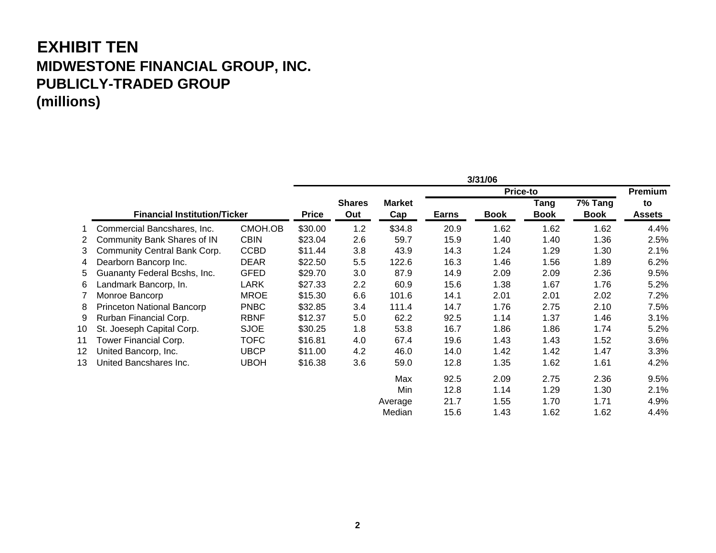### **EXHIBIT TEN MIDWESTONE FINANCIAL GROUP, INC. PUBLICLY-TRADED GROUP (millions)**

|    |                                     |             |              |               |               |              | 3/31/06     |                 |             |               |
|----|-------------------------------------|-------------|--------------|---------------|---------------|--------------|-------------|-----------------|-------------|---------------|
|    |                                     |             |              |               |               |              |             | <b>Price-to</b> |             | Premium       |
|    |                                     |             |              | <b>Shares</b> | <b>Market</b> |              |             | <b>Tang</b>     | 7% Tang     | to            |
|    | <b>Financial Institution/Ticker</b> |             | <b>Price</b> | Out           | Cap           | <b>Earns</b> | <b>Book</b> | <b>Book</b>     | <b>Book</b> | <b>Assets</b> |
|    | Commercial Bancshares, Inc.         | CMOH.OB     | \$30.00      | 1.2           | \$34.8        | 20.9         | 1.62        | 1.62            | 1.62        | 4.4%          |
| 2  | Community Bank Shares of IN         | <b>CBIN</b> | \$23.04      | 2.6           | 59.7          | 15.9         | 1.40        | 1.40            | 1.36        | 2.5%          |
| 3  | Community Central Bank Corp.        | <b>CCBD</b> | \$11.44      | 3.8           | 43.9          | 14.3         | 1.24        | 1.29            | 1.30        | 2.1%          |
| 4  | Dearborn Bancorp Inc.               | <b>DEAR</b> | \$22.50      | 5.5           | 122.6         | 16.3         | 1.46        | 1.56            | 1.89        | 6.2%          |
| 5  | Guananty Federal Bcshs, Inc.        | <b>GFED</b> | \$29.70      | 3.0           | 87.9          | 14.9         | 2.09        | 2.09            | 2.36        | 9.5%          |
| 6  | Landmark Bancorp, In.               | LARK        | \$27.33      | 2.2           | 60.9          | 15.6         | 1.38        | 1.67            | 1.76        | 5.2%          |
|    | Monroe Bancorp                      | <b>MROE</b> | \$15.30      | 6.6           | 101.6         | 14.1         | 2.01        | 2.01            | 2.02        | 7.2%          |
| 8  | Princeton National Bancorp          | <b>PNBC</b> | \$32.85      | 3.4           | 111.4         | 14.7         | 1.76        | 2.75            | 2.10        | 7.5%          |
| 9  | Rurban Financial Corp.              | <b>RBNF</b> | \$12.37      | 5.0           | 62.2          | 92.5         | 1.14        | 1.37            | 1.46        | 3.1%          |
| 10 | St. Joeseph Capital Corp.           | <b>SJOE</b> | \$30.25      | 1.8           | 53.8          | 16.7         | 1.86        | 1.86            | 1.74        | 5.2%          |
| 11 | Tower Financial Corp.               | <b>TOFC</b> | \$16.81      | 4.0           | 67.4          | 19.6         | 1.43        | 1.43            | 1.52        | 3.6%          |
| 12 | United Bancorp, Inc.                | <b>UBCP</b> | \$11.00      | 4.2           | 46.0          | 14.0         | 1.42        | 1.42            | 1.47        | 3.3%          |
| 13 | United Bancshares Inc.              | <b>UBOH</b> | \$16.38      | 3.6           | 59.0          | 12.8         | 1.35        | 1.62            | 1.61        | 4.2%          |
|    |                                     |             |              |               | Max           | 92.5         | 2.09        | 2.75            | 2.36        | 9.5%          |
|    |                                     |             |              |               | Min           | 12.8         | 1.14        | 1.29            | 1.30        | 2.1%          |
|    |                                     |             |              |               | Average       | 21.7         | 1.55        | 1.70            | 1.71        | 4.9%          |
|    |                                     |             |              |               | Median        | 15.6         | 1.43        | 1.62            | 1.62        | 4.4%          |

**2**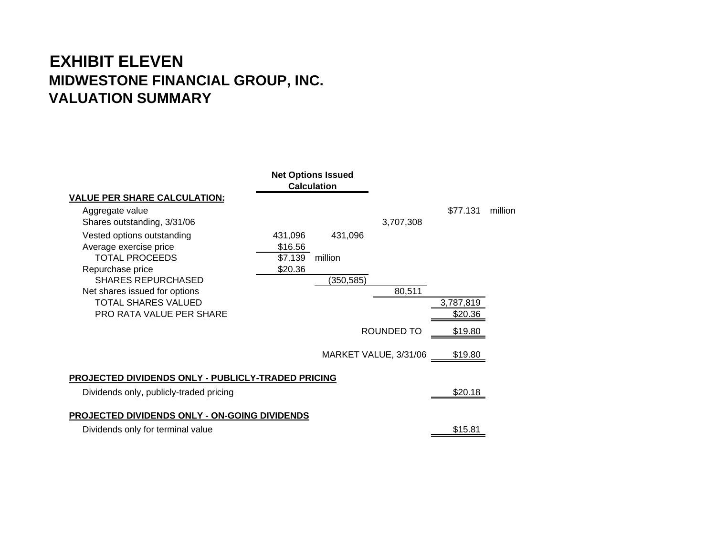## **EXHIBIT ELEVEN MIDWESTONE FINANCIAL GROUP, INC. VALUATION SUMMARY**

|                                                    |         | <b>Net Options Issued</b><br><b>Calculation</b> |                       |           |         |
|----------------------------------------------------|---------|-------------------------------------------------|-----------------------|-----------|---------|
| <b>VALUE PER SHARE CALCULATION:</b>                |         |                                                 |                       |           |         |
| Aggregate value                                    |         |                                                 |                       | \$77.131  | million |
| Shares outstanding, 3/31/06                        |         |                                                 | 3,707,308             |           |         |
| Vested options outstanding                         | 431,096 | 431,096                                         |                       |           |         |
| Average exercise price                             | \$16.56 |                                                 |                       |           |         |
| <b>TOTAL PROCEEDS</b>                              | \$7.139 | million                                         |                       |           |         |
| Repurchase price                                   | \$20.36 |                                                 |                       |           |         |
| <b>SHARES REPURCHASED</b>                          |         | (350, 585)                                      |                       |           |         |
| Net shares issued for options                      |         |                                                 | 80,511                |           |         |
| TOTAL SHARES VALUED                                |         |                                                 |                       | 3,787,819 |         |
| <b>PRO RATA VALUE PER SHARE</b>                    |         |                                                 |                       | \$20.36   |         |
|                                                    |         |                                                 | <b>ROUNDED TO</b>     | \$19.80   |         |
|                                                    |         |                                                 |                       |           |         |
|                                                    |         |                                                 | MARKET VALUE, 3/31/06 | \$19.80   |         |
| PROJECTED DIVIDENDS ONLY - PUBLICLY-TRADED PRICING |         |                                                 |                       |           |         |
| Dividends only, publicly-traded pricing            |         |                                                 |                       | \$20.18   |         |
| PROJECTED DIVIDENDS ONLY - ON-GOING DIVIDENDS      |         |                                                 |                       |           |         |
|                                                    |         |                                                 |                       |           |         |
| Dividends only for terminal value                  |         |                                                 |                       | \$15.81   |         |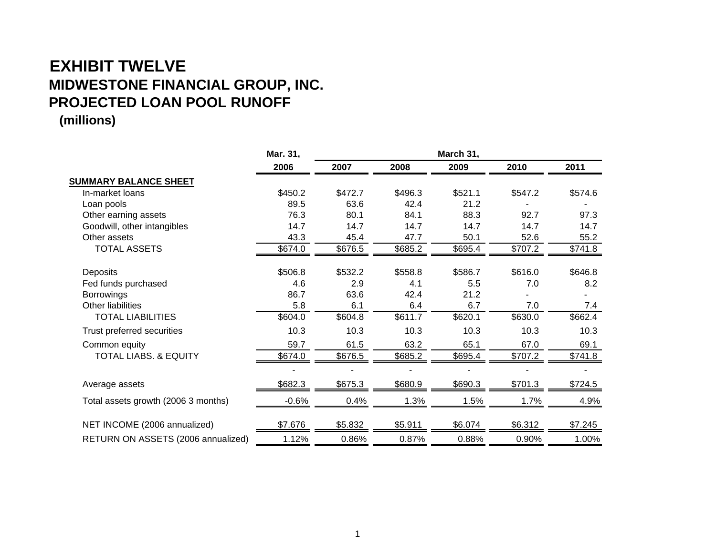## **EXHIBIT TWELVE MIDWESTONE FINANCIAL GROUP, INC. PROJECTED LOAN POOL RUNOFF**

|                                     | Mar. 31, |         |         |         |         |         |
|-------------------------------------|----------|---------|---------|---------|---------|---------|
|                                     | 2006     | 2007    | 2008    | 2009    | 2010    | 2011    |
| <b>SUMMARY BALANCE SHEET</b>        |          |         |         |         |         |         |
| In-market loans                     | \$450.2  | \$472.7 | \$496.3 | \$521.1 | \$547.2 | \$574.6 |
| Loan pools                          | 89.5     | 63.6    | 42.4    | 21.2    |         |         |
| Other earning assets                | 76.3     | 80.1    | 84.1    | 88.3    | 92.7    | 97.3    |
| Goodwill, other intangibles         | 14.7     | 14.7    | 14.7    | 14.7    | 14.7    | 14.7    |
| Other assets                        | 43.3     | 45.4    | 47.7    | 50.1    | 52.6    | 55.2    |
| <b>TOTAL ASSETS</b>                 | \$674.0  | \$676.5 | \$685.2 | \$695.4 | \$707.2 | \$741.8 |
| Deposits                            | \$506.8  | \$532.2 | \$558.8 | \$586.7 | \$616.0 | \$646.8 |
| Fed funds purchased                 | 4.6      | 2.9     | 4.1     | 5.5     | 7.0     | 8.2     |
| <b>Borrowings</b>                   | 86.7     | 63.6    | 42.4    | 21.2    |         |         |
| Other liabilities                   | 5.8      | 6.1     | 6.4     | 6.7     | 7.0     | 7.4     |
| <b>TOTAL LIABILITIES</b>            | \$604.0  | \$604.8 | \$611.7 | \$620.1 | \$630.0 | \$662.4 |
| Trust preferred securities          | 10.3     | 10.3    | 10.3    | 10.3    | 10.3    | 10.3    |
| Common equity                       | 59.7     | 61.5    | 63.2    | 65.1    | 67.0    | 69.1    |
| <b>TOTAL LIABS. &amp; EQUITY</b>    | \$674.0  | \$676.5 | \$685.2 | \$695.4 | \$707.2 | \$741.8 |
|                                     |          |         |         |         |         |         |
| Average assets                      | \$682.3  | \$675.3 | \$680.9 | \$690.3 | \$701.3 | \$724.5 |
| Total assets growth (2006 3 months) | $-0.6%$  | 0.4%    | 1.3%    | 1.5%    | 1.7%    | 4.9%    |
| NET INCOME (2006 annualized)        | \$7.676  | \$5.832 | \$5.911 | \$6.074 | \$6.312 | \$7.245 |
| RETURN ON ASSETS (2006 annualized)  | 1.12%    | 0.86%   | 0.87%   | 0.88%   | 0.90%   | 1.00%   |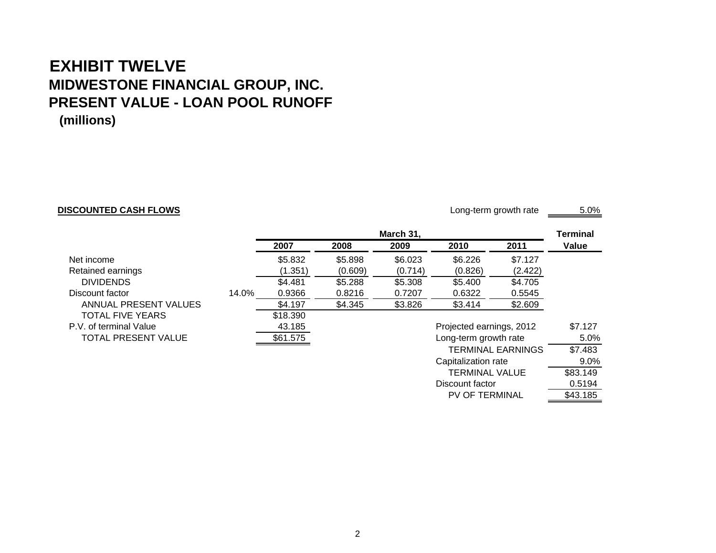### **EXHIBIT TWELVE MIDWESTONE FINANCIAL GROUP, INC. PRESENT VALUE - LOAN POOL RUNOFF (millions)**

#### **DISCOUNTED CASH FLOWS**

Long-term growth rate \_\_\_\_\_\_\_\_ 5.0%

Discount factor

PV OF TERMINAL \$43.185

0.5194

|                            |       |          |         | March 31, |                          |                          | <b>Terminal</b> |
|----------------------------|-------|----------|---------|-----------|--------------------------|--------------------------|-----------------|
|                            |       | 2007     | 2008    | 2009      | 2010                     | 2011                     | Value           |
| Net income                 |       | \$5.832  | \$5.898 | \$6.023   | \$6.226                  | \$7.127                  |                 |
| Retained earnings          |       | (1.351)  | (0.609) | (0.714)   | (0.826)                  | (2.422)                  |                 |
| <b>DIVIDENDS</b>           |       | \$4.481  | \$5.288 | \$5.308   | \$5.400                  | \$4.705                  |                 |
| Discount factor            | 14.0% | 0.9366   | 0.8216  | 0.7207    | 0.6322                   | 0.5545                   |                 |
| ANNUAL PRESENT VALUES      |       | \$4.197  | \$4.345 | \$3.826   | \$3.414                  | \$2.609                  |                 |
| <b>TOTAL FIVE YEARS</b>    |       | \$18.390 |         |           |                          |                          |                 |
| P.V. of terminal Value     |       | 43.185   |         |           | Projected earnings, 2012 |                          | \$7.127         |
| <b>TOTAL PRESENT VALUE</b> |       | \$61.575 |         |           | Long-term growth rate    |                          | $5.0\%$         |
|                            |       |          |         |           |                          | <b>TERMINAL EARNINGS</b> | \$7.483         |
|                            |       |          |         |           | Capitalization rate      |                          | $9.0\%$         |
|                            |       |          |         |           | TERMINAL VALUE           |                          | \$83.149        |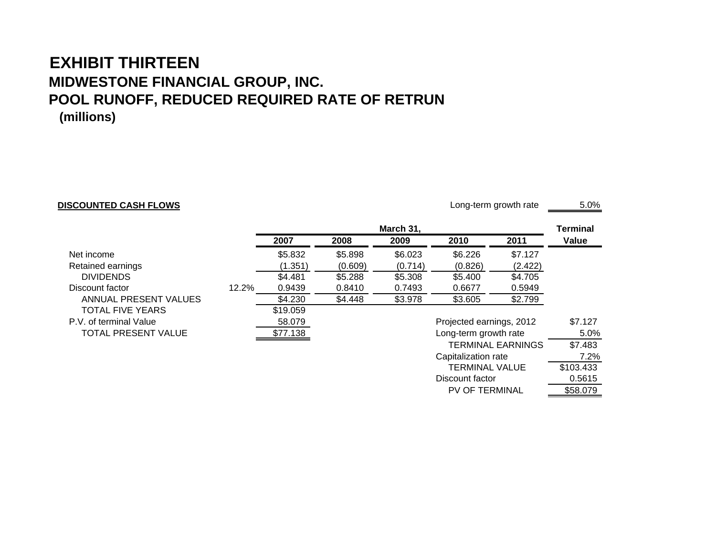#### **EXHIBIT THIRTEENMIDWESTONE FINANCIAL GROUP, INC. POOL RUNOFF, REDUCED REQUIRED RATE OF RETRUN (millions)**

#### **DISCOUNTED CASH FLOWS**

Long-term growth rate 5.0%

TERMINAL VALUE \$103.433

PV OF TERMINAL \$58.079

Discount factor

0.5615

|                            |       |          |         | March 31, |                          |                          | <b>Terminal</b> |
|----------------------------|-------|----------|---------|-----------|--------------------------|--------------------------|-----------------|
|                            |       | 2007     | 2008    | 2009      | 2010                     | 2011                     | Value           |
| Net income                 |       | \$5.832  | \$5.898 | \$6.023   | \$6.226                  | \$7.127                  |                 |
| Retained earnings          |       | (1.351)  | (0.609) | (0.714)   | (0.826)                  | (2.422)                  |                 |
| <b>DIVIDENDS</b>           |       | \$4.481  | \$5.288 | \$5.308   | \$5.400                  | \$4.705                  |                 |
| Discount factor            | 12.2% | 0.9439   | 0.8410  | 0.7493    | 0.6677                   | 0.5949                   |                 |
| ANNUAL PRESENT VALUES      |       | \$4.230  | \$4.448 | \$3.978   | \$3.605                  | \$2.799                  |                 |
| <b>TOTAL FIVE YEARS</b>    |       | \$19.059 |         |           |                          |                          |                 |
| P.V. of terminal Value     |       | 58.079   |         |           | Projected earnings, 2012 |                          | \$7.127         |
| <b>TOTAL PRESENT VALUE</b> |       | \$77.138 |         |           | Long-term growth rate    |                          | 5.0%            |
|                            |       |          |         |           |                          | <b>TERMINAL EARNINGS</b> | \$7.483         |
|                            |       |          |         |           | Capitalization rate      |                          | 7.2%            |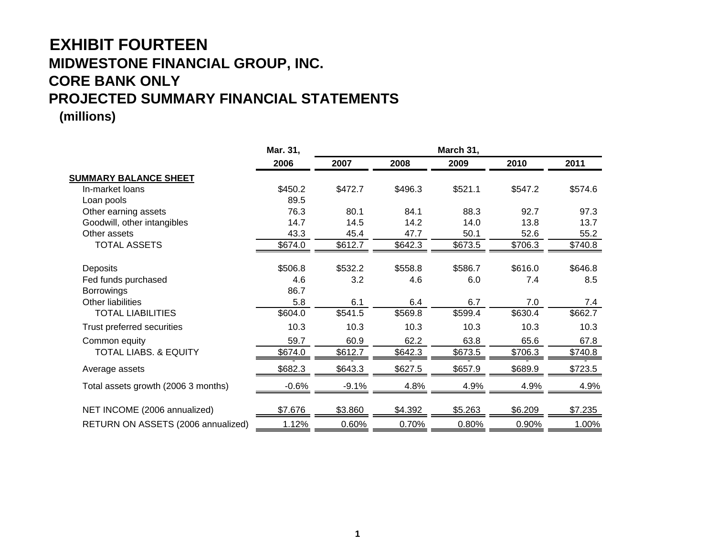## **EXHIBIT FOURTEEN MIDWESTONE FINANCIAL GROUP, INC. CORE BANK ONLY PROJECTED SUMMARY FINANCIAL STATEMENTS**

|                                     | Mar. 31, |         |         |         |         |         |
|-------------------------------------|----------|---------|---------|---------|---------|---------|
|                                     | 2006     | 2007    | 2008    | 2009    | 2010    | 2011    |
| <b>SUMMARY BALANCE SHEET</b>        |          |         |         |         |         |         |
| In-market loans                     | \$450.2  | \$472.7 | \$496.3 | \$521.1 | \$547.2 | \$574.6 |
| Loan pools                          | 89.5     |         |         |         |         |         |
| Other earning assets                | 76.3     | 80.1    | 84.1    | 88.3    | 92.7    | 97.3    |
| Goodwill, other intangibles         | 14.7     | 14.5    | 14.2    | 14.0    | 13.8    | 13.7    |
| Other assets                        | 43.3     | 45.4    | 47.7    | 50.1    | 52.6    | 55.2    |
| <b>TOTAL ASSETS</b>                 | \$674.0  | \$612.7 | \$642.3 | \$673.5 | \$706.3 | \$740.8 |
| Deposits                            | \$506.8  | \$532.2 | \$558.8 | \$586.7 | \$616.0 | \$646.8 |
| Fed funds purchased                 | 4.6      | 3.2     | 4.6     | 6.0     | 7.4     | 8.5     |
| <b>Borrowings</b>                   | 86.7     |         |         |         |         |         |
| Other liabilities                   | 5.8      | 6.1     | 6.4     | 6.7     | 7.0     | 7.4     |
| <b>TOTAL LIABILITIES</b>            | \$604.0  | \$541.5 | \$569.8 | \$599.4 | \$630.4 | \$662.7 |
| Trust preferred securities          | 10.3     | 10.3    | 10.3    | 10.3    | 10.3    | 10.3    |
| Common equity                       | 59.7     | 60.9    | 62.2    | 63.8    | 65.6    | 67.8    |
| <b>TOTAL LIABS. &amp; EQUITY</b>    | \$674.0  | \$612.7 | \$642.3 | \$673.5 | \$706.3 | \$740.8 |
| Average assets                      | \$682.3  | \$643.3 | \$627.5 | \$657.9 | \$689.9 | \$723.5 |
| Total assets growth (2006 3 months) | $-0.6%$  | $-9.1%$ | 4.8%    | 4.9%    | 4.9%    | 4.9%    |
| NET INCOME (2006 annualized)        | \$7.676  | \$3.860 | \$4.392 | \$5.263 | \$6.209 | \$7.235 |
| RETURN ON ASSETS (2006 annualized)  | 1.12%    | 0.60%   | 0.70%   | 0.80%   | 0.90%   | 1.00%   |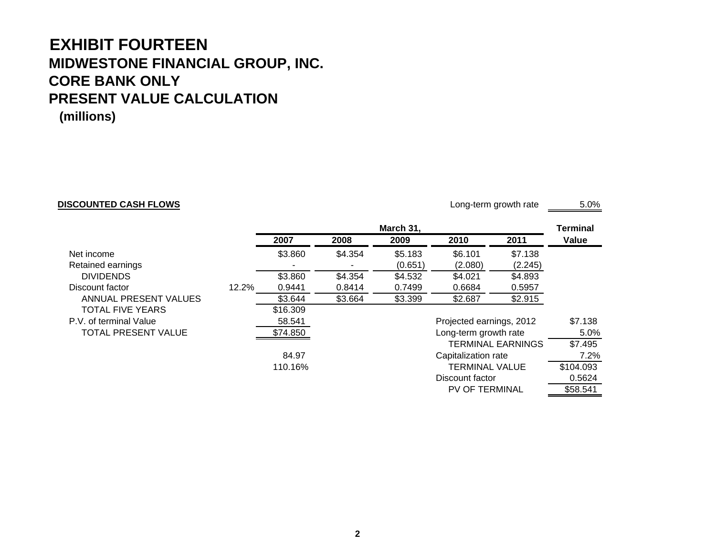# **EXHIBIT FOURTEEN MIDWESTONE FINANCIAL GROUP, INC. CORE BANK ONLYPRESENT VALUE CALCULATION**

**(millions)**

#### **DISCOUNTED CASH FLOWS**

Long-term growth rate 5.0%

PV OF TERMINAL \$58.541

|                            |       |          |         | March 31, |                          |                          | Terminal  |
|----------------------------|-------|----------|---------|-----------|--------------------------|--------------------------|-----------|
|                            |       | 2007     | 2008    | 2009      | 2010                     | 2011                     | Value     |
| Net income                 |       | \$3.860  | \$4.354 | \$5.183   | \$6.101                  | \$7.138                  |           |
| Retained earnings          |       |          |         | (0.651)   | (2.080)                  | (2.245)                  |           |
| <b>DIVIDENDS</b>           |       | \$3.860  | \$4.354 | \$4.532   | \$4.021                  | \$4.893                  |           |
| Discount factor            | 12.2% | 0.9441   | 0.8414  | 0.7499    | 0.6684                   | 0.5957                   |           |
| ANNUAL PRESENT VALUES      |       | \$3.644  | \$3.664 | \$3.399   | \$2.687                  | \$2.915                  |           |
| <b>TOTAL FIVE YEARS</b>    |       | \$16.309 |         |           |                          |                          |           |
| P.V. of terminal Value     |       | 58.541   |         |           | Projected earnings, 2012 |                          | \$7.138   |
| <b>TOTAL PRESENT VALUE</b> |       | \$74.850 |         |           | Long-term growth rate    |                          | $5.0\%$   |
|                            |       |          |         |           |                          | <b>TERMINAL EARNINGS</b> | \$7.495   |
|                            |       | 84.97    |         |           | Capitalization rate      |                          | 7.2%      |
|                            |       | 110.16%  |         |           | <b>TERMINAL VALUE</b>    |                          | \$104.093 |
|                            |       |          |         |           | Discount factor          |                          | 0.5624    |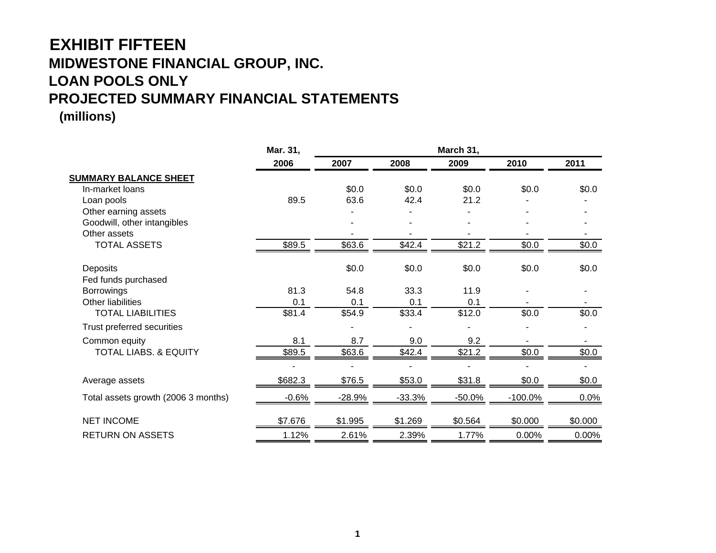# **EXHIBIT FIFTEEN MIDWESTONE FINANCIAL GROUP, INC. LOAN POOLS ONLY PROJECTED SUMMARY FINANCIAL STATEMENTS**

|                                     | Mar. 31, | March 31, |          |          |            |         |  |
|-------------------------------------|----------|-----------|----------|----------|------------|---------|--|
|                                     | 2006     | 2007      | 2008     | 2009     | 2010       | 2011    |  |
| <b>SUMMARY BALANCE SHEET</b>        |          |           |          |          |            |         |  |
| In-market loans                     |          | \$0.0     | \$0.0    | \$0.0    | \$0.0      | \$0.0   |  |
| Loan pools                          | 89.5     | 63.6      | 42.4     | 21.2     |            |         |  |
| Other earning assets                |          |           |          |          |            |         |  |
| Goodwill, other intangibles         |          |           |          |          |            |         |  |
| Other assets                        |          |           |          |          |            |         |  |
| <b>TOTAL ASSETS</b>                 | \$89.5   | \$63.6    | \$42.4   | \$21.2   | \$0.0      | \$0.0   |  |
| Deposits                            |          | \$0.0     | \$0.0    | \$0.0    | \$0.0      | \$0.0   |  |
| Fed funds purchased                 |          |           |          |          |            |         |  |
| <b>Borrowings</b>                   | 81.3     | 54.8      | 33.3     | 11.9     |            |         |  |
| <b>Other liabilities</b>            | 0.1      | 0.1       | 0.1      | 0.1      |            |         |  |
| <b>TOTAL LIABILITIES</b>            | \$81.4   | \$54.9    | \$33.4   | \$12.0   | \$0.0      | \$0.0\$ |  |
| Trust preferred securities          |          |           |          |          |            |         |  |
| Common equity                       | 8.1      | 8.7       | 9.0      | 9.2      |            |         |  |
| <b>TOTAL LIABS. &amp; EQUITY</b>    | \$89.5   | \$63.6    | \$42.4   | \$21.2   | \$0.0      | \$0.0\$ |  |
|                                     |          |           |          |          |            |         |  |
| Average assets                      | \$682.3  | \$76.5    | \$53.0   | \$31.8   | \$0.0      | \$0.0   |  |
| Total assets growth (2006 3 months) | $-0.6%$  | -28.9%    | $-33.3%$ | $-50.0%$ | $-100.0\%$ | 0.0%    |  |
| <b>NET INCOME</b>                   | \$7.676  | \$1.995   | \$1.269  | \$0.564  | \$0.000    | \$0.000 |  |
| <b>RETURN ON ASSETS</b>             | 1.12%    | 2.61%     | 2.39%    | 1.77%    | 0.00%      | 0.00%   |  |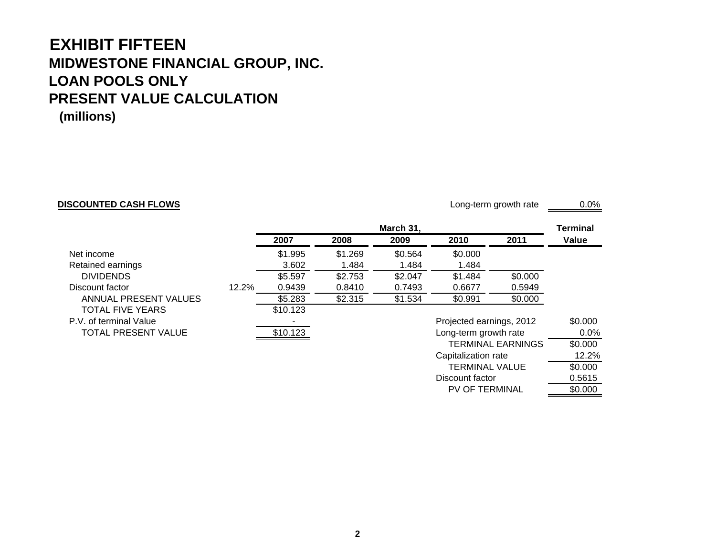#### **EXHIBIT FIFTEENMIDWESTONE FINANCIAL GROUP, INC. LOAN POOLS ONLYPRESENT VALUE CALCULATION(millions)**

#### **DISCOUNTED CASH FLOWS**

Long-term growth rate  $\qquad 0.0\%$ 

TERMINAL VALUE \$0.000

PV OF TERMINAL \$0.000

Discount factor

0.5615

|                            |       | March 31, |         |         |                          | Terminal |         |
|----------------------------|-------|-----------|---------|---------|--------------------------|----------|---------|
|                            |       | 2007      | 2008    | 2009    | 2010                     | 2011     | Value   |
| Net income                 |       | \$1.995   | \$1.269 | \$0.564 | \$0.000                  |          |         |
| Retained earnings          |       | 3.602     | 1.484   | 1.484   | 1.484                    |          |         |
| <b>DIVIDENDS</b>           |       | \$5.597   | \$2.753 | \$2.047 | \$1.484                  | \$0.000  |         |
| Discount factor            | 12.2% | 0.9439    | 0.8410  | 0.7493  | 0.6677                   | 0.5949   |         |
| ANNUAL PRESENT VALUES      |       | \$5.283   | \$2.315 | \$1.534 | \$0.991                  | \$0.000  |         |
| <b>TOTAL FIVE YEARS</b>    |       | \$10.123  |         |         |                          |          |         |
| P.V. of terminal Value     |       |           |         |         | Projected earnings, 2012 | \$0.000  |         |
| <b>TOTAL PRESENT VALUE</b> |       | \$10.123  |         |         | Long-term growth rate    |          | $0.0\%$ |
|                            |       |           |         |         | TERMINAL EARNINGS        |          | \$0.000 |
|                            |       |           |         |         | Capitalization rate      |          | 12.2%   |